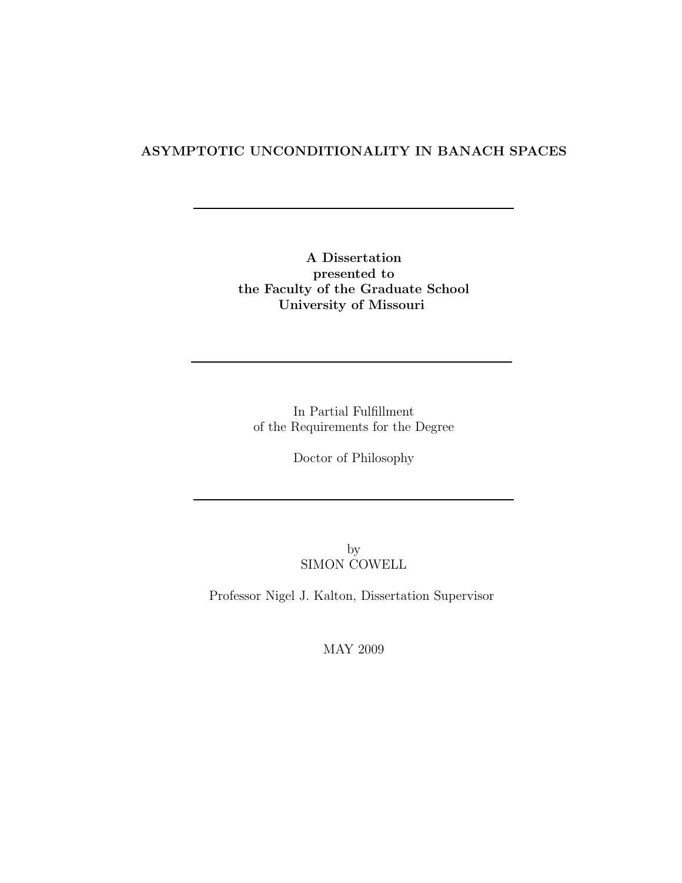#### ASYMPTOTIC UNCONDITIONALITY IN BANACH SPACES

A Dissertation presented to the Faculty of the Graduate School University of Missouri

In Partial Fulfillment of the Requirements for the Degree

Doctor of Philosophy

by SIMON COWELL

Professor Nigel J. Kalton, Dissertation Supervisor

MAY 2009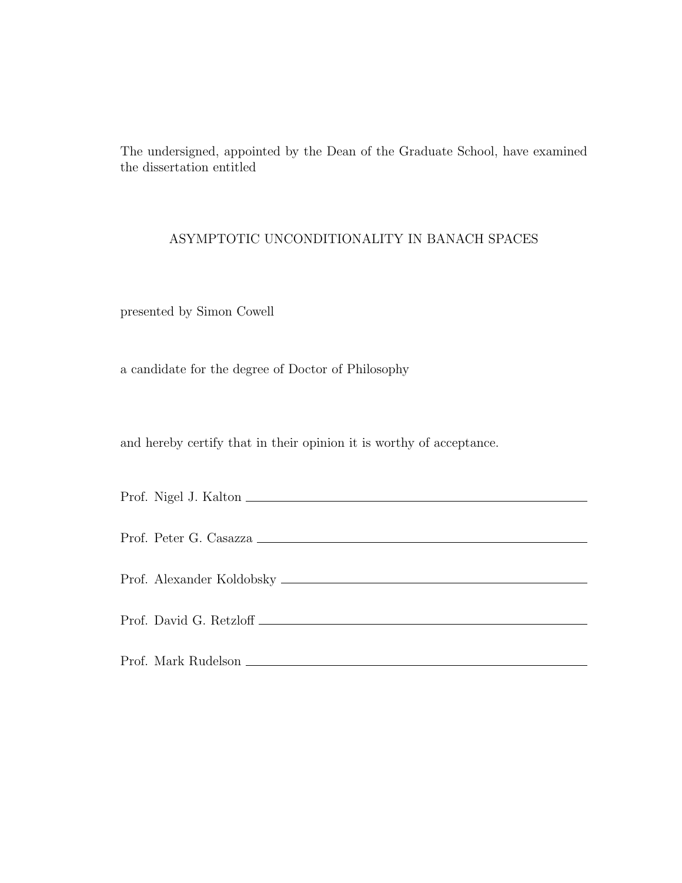The undersigned, appointed by the Dean of the Graduate School, have examined the dissertation entitled

#### ASYMPTOTIC UNCONDITIONALITY IN BANACH SPACES

presented by Simon Cowell

a candidate for the degree of Doctor of Philosophy

and hereby certify that in their opinion it is worthy of acceptance.

| Prof. Nigel J. Kalton  |
|------------------------|
| Prof. Peter G. Casazza |
|                        |
|                        |
|                        |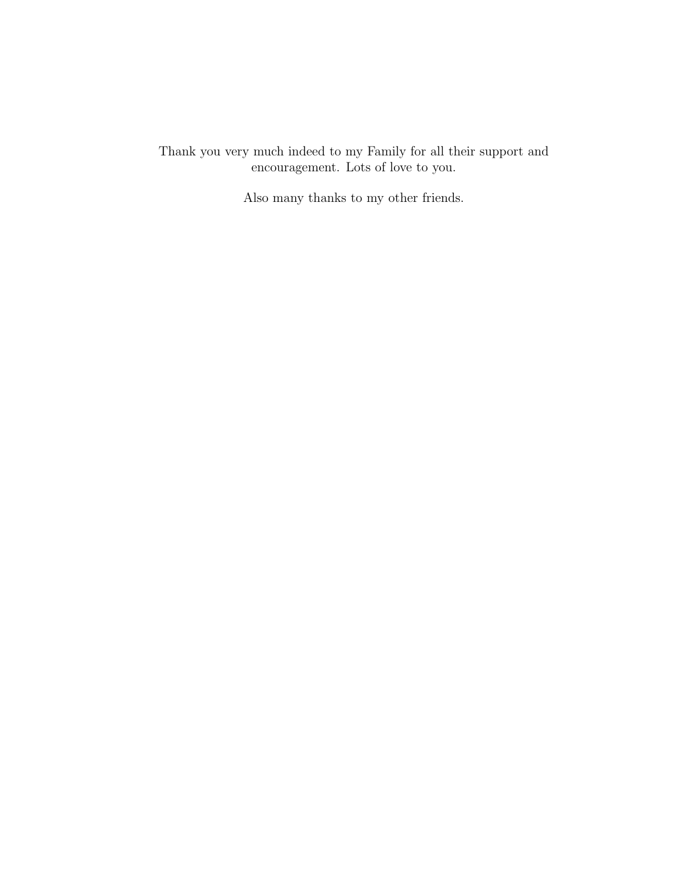Thank you very much indeed to my Family for all their support and encouragement. Lots of love to you.

Also many thanks to my other friends.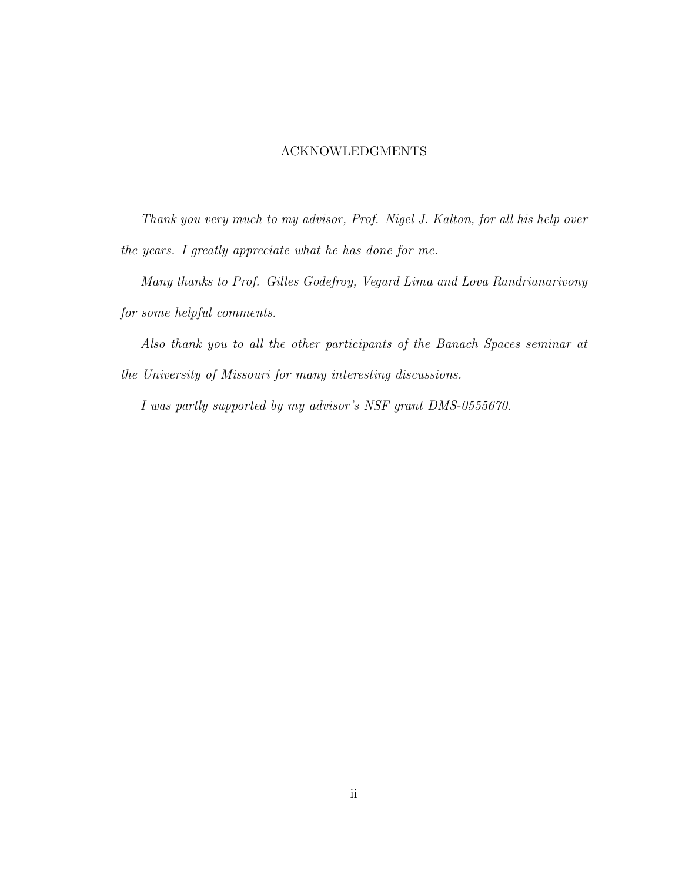#### ACKNOWLEDGMENTS

Thank you very much to my advisor, Prof. Nigel J. Kalton, for all his help over the years. I greatly appreciate what he has done for me.

Many thanks to Prof. Gilles Godefroy, Vegard Lima and Lova Randrianarivony for some helpful comments.

Also thank you to all the other participants of the Banach Spaces seminar at the University of Missouri for many interesting discussions.

I was partly supported by my advisor's NSF grant DMS-0555670.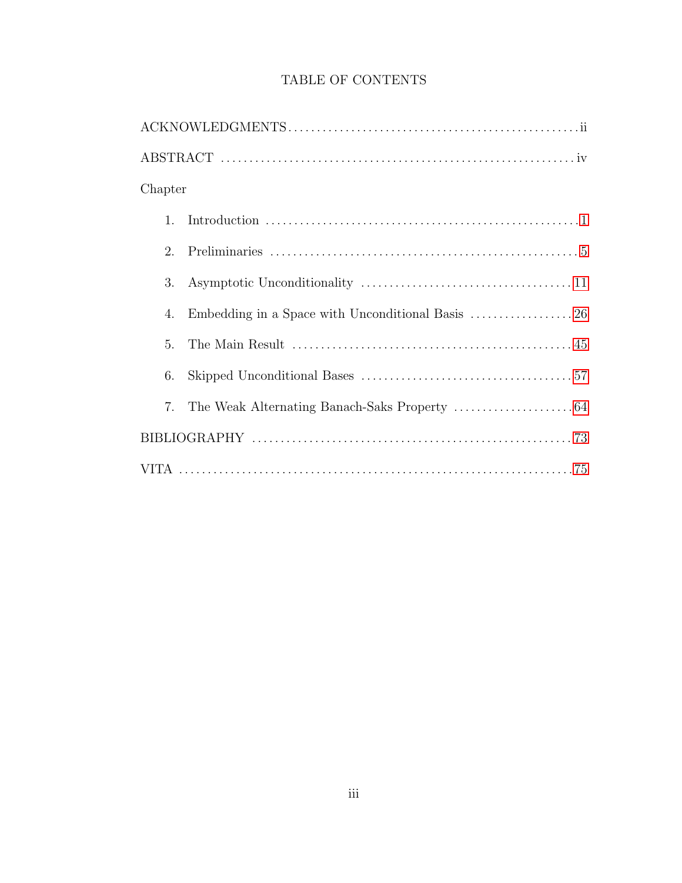| Chapter        |  |  |
|----------------|--|--|
| $\mathbf{1}$ . |  |  |
| 2.             |  |  |
| 3.             |  |  |
| 4.             |  |  |
| 5.             |  |  |
| 6.             |  |  |
| 7.             |  |  |
|                |  |  |
|                |  |  |

#### TABLE OF CONTENTS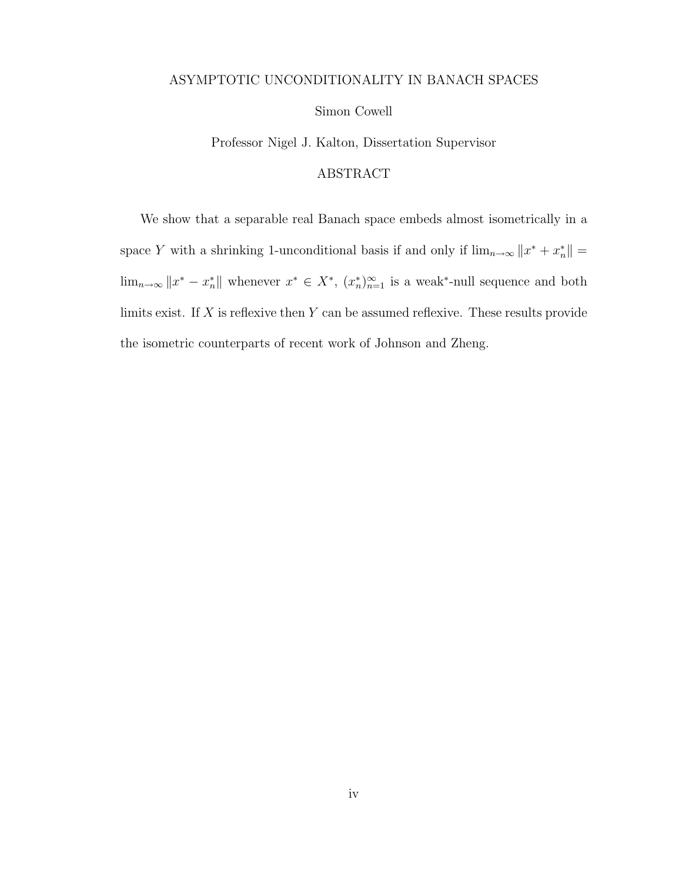#### ASYMPTOTIC UNCONDITIONALITY IN BANACH SPACES

#### Simon Cowell

Professor Nigel J. Kalton, Dissertation Supervisor

#### ABSTRACT

We show that a separable real Banach space embeds almost isometrically in a space Y with a shrinking 1-unconditional basis if and only if  $\lim_{n\to\infty}||x^* + x^*_{n}|| =$  $\lim_{n\to\infty} ||x^* - x^*||$  whenever  $x^* \in X^*$ ,  $(x^*_n)_{n=1}^{\infty}$  is a weak\*-null sequence and both limits exist. If  $X$  is reflexive then  $Y$  can be assumed reflexive. These results provide the isometric counterparts of recent work of Johnson and Zheng.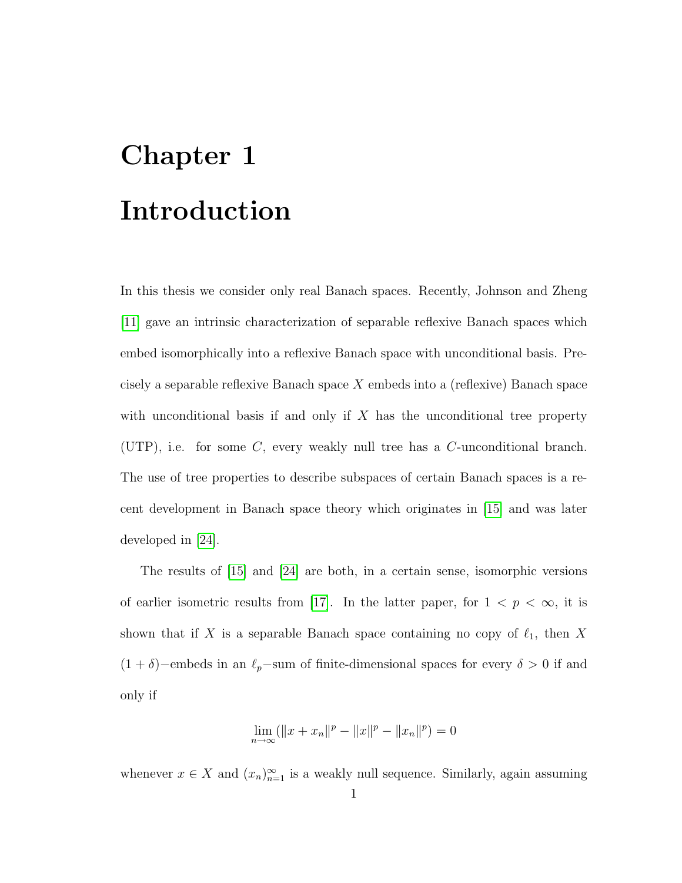### <span id="page-6-0"></span>Chapter 1 Introduction

In this thesis we consider only real Banach spaces. Recently, Johnson and Zheng [\[11\]](#page-78-1) gave an intrinsic characterization of separable reflexive Banach spaces which embed isomorphically into a reflexive Banach space with unconditional basis. Precisely a separable reflexive Banach space  $X$  embeds into a (reflexive) Banach space with unconditional basis if and only if  $X$  has the unconditional tree property (UTP), i.e. for some  $C$ , every weakly null tree has a  $C$ -unconditional branch. The use of tree properties to describe subspaces of certain Banach spaces is a recent development in Banach space theory which originates in [\[15\]](#page-78-2) and was later developed in [\[24\]](#page-79-1).

The results of [\[15\]](#page-78-2) and [\[24\]](#page-79-1) are both, in a certain sense, isomorphic versions of earlier isometric results from [\[17\]](#page-79-2). In the latter paper, for  $1 < p < \infty$ , it is shown that if X is a separable Banach space containing no copy of  $\ell_1$ , then X  $(1 + \delta)$ −embeds in an  $\ell_p$ −sum of finite-dimensional spaces for every  $\delta > 0$  if and only if

$$
\lim_{n \to \infty} (\|x + x_n\|^p - \|x\|^p - \|x_n\|^p) = 0
$$

whenever  $x \in X$  and  $(x_n)_{n=1}^{\infty}$  is a weakly null sequence. Similarly, again assuming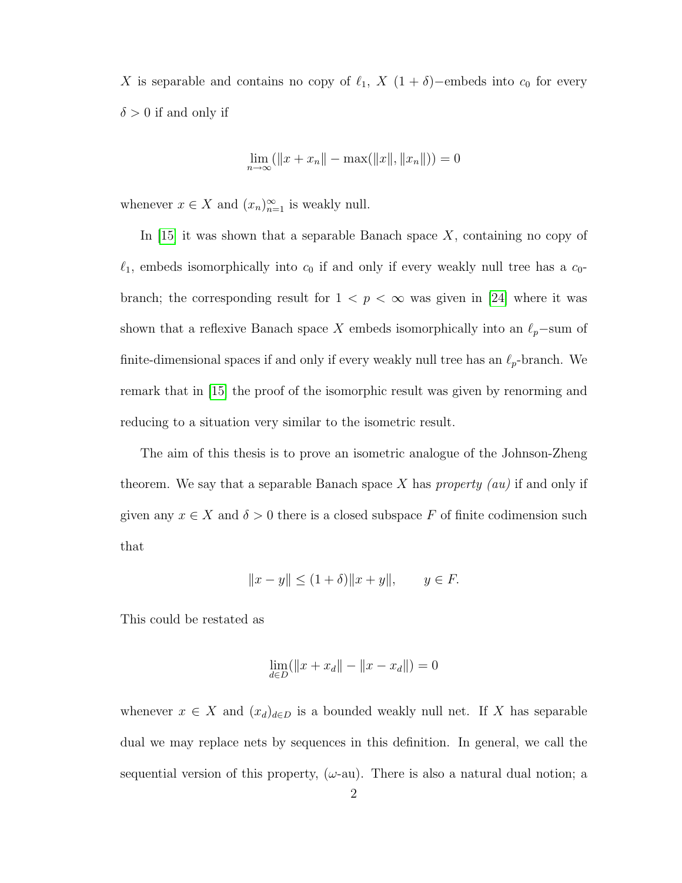X is separable and contains no copy of  $\ell_1$ , X  $(1 + \delta)$ −embeds into  $c_0$  for every  $\delta > 0$  if and only if

$$
\lim_{n \to \infty} (\|x + x_n\| - \max(\|x\|, \|x_n\|)) = 0
$$

whenever  $x \in X$  and  $(x_n)_{n=1}^{\infty}$  is weakly null.

In  $|15|$  it was shown that a separable Banach space X, containing no copy of  $\ell_1$ , embeds isomorphically into  $c_0$  if and only if every weakly null tree has a  $c_0$ branch; the corresponding result for  $1 < p < \infty$  was given in [\[24\]](#page-79-1) where it was shown that a reflexive Banach space X embeds isomorphically into an  $\ell_p$ −sum of finite-dimensional spaces if and only if every weakly null tree has an  $\ell_p$ -branch. We remark that in [\[15\]](#page-78-2) the proof of the isomorphic result was given by renorming and reducing to a situation very similar to the isometric result.

The aim of this thesis is to prove an isometric analogue of the Johnson-Zheng theorem. We say that a separable Banach space X has *property (au)* if and only if given any  $x \in X$  and  $\delta > 0$  there is a closed subspace F of finite codimension such that

$$
||x - y|| \le (1 + \delta) ||x + y||,
$$
  $y \in F.$ 

This could be restated as

$$
\lim_{d \in D} (\|x + x_d\| - \|x - x_d\|) = 0
$$

whenever  $x \in X$  and  $(x_d)_{d \in D}$  is a bounded weakly null net. If X has separable dual we may replace nets by sequences in this definition. In general, we call the sequential version of this property,  $(\omega$ -au). There is also a natural dual notion; a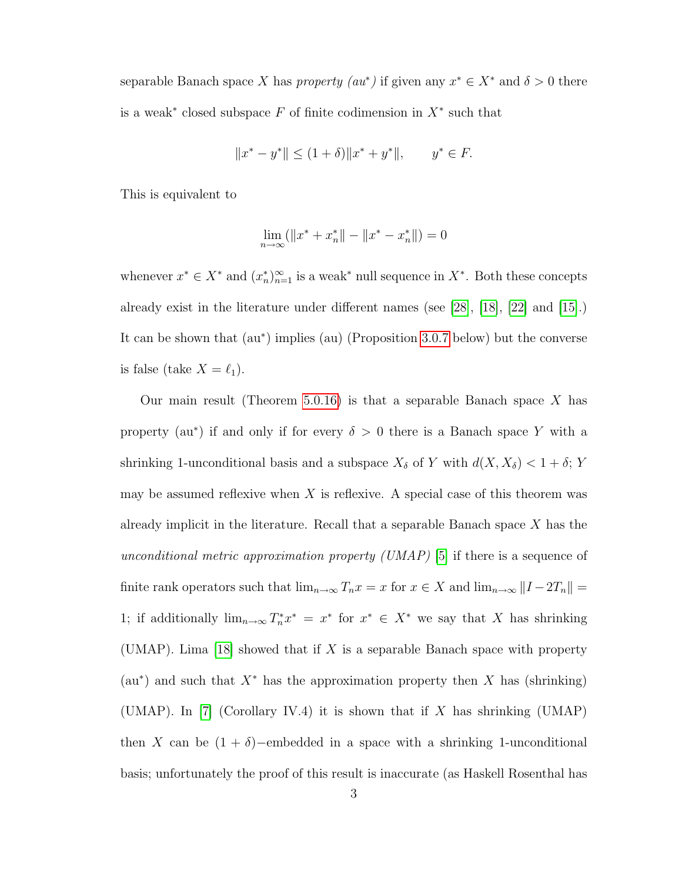separable Banach space X has *property*  $(au^*)$  if given any  $x^* \in X^*$  and  $\delta > 0$  there is a weak<sup>\*</sup> closed subspace  $F$  of finite codimension in  $X^*$  such that

$$
||x^* - y^*|| \le (1 + \delta) ||x^* + y^*||, \qquad y^* \in F.
$$

This is equivalent to

$$
\lim_{n \to \infty} (\|x^* + x_n^*\| - \|x^* - x_n^*\|) = 0
$$

whenever  $x^* \in X^*$  and  $(x_n^*)_{n=1}^{\infty}$  is a weak\* null sequence in  $X^*$ . Both these concepts already exist in the literature under different names (see [\[28\]](#page-79-3), [\[18\]](#page-79-4), [\[22\]](#page-79-5) and [\[15\]](#page-78-2).) It can be shown that (au<sup>\*</sup>) implies (au) (Proposition [3.0.7](#page-23-0) below) but the converse is false (take  $X = \ell_1$ ).

Our main result (Theorem [5.0.16\)](#page-52-0) is that a separable Banach space  $X$  has property (au<sup>\*</sup>) if and only if for every  $\delta > 0$  there is a Banach space Y with a shrinking 1-unconditional basis and a subspace  $X_{\delta}$  of Y with  $d(X, X_{\delta}) < 1 + \delta$ ; Y may be assumed reflexive when  $X$  is reflexive. A special case of this theorem was already implicit in the literature. Recall that a separable Banach space  $X$  has the unconditional metric approximation property (UMAP) [\[5\]](#page-78-3) if there is a sequence of finite rank operators such that  $\lim_{n\to\infty} T_n x = x$  for  $x \in X$  and  $\lim_{n\to\infty} ||I - 2T_n|| =$ 1; if additionally  $\lim_{n\to\infty} T_n^* x^* = x^*$  for  $x^* \in X^*$  we say that X has shrinking (UMAP). Lima [\[18\]](#page-79-4) showed that if X is a separable Banach space with property  $(au<sup>*</sup>)$  and such that  $X<sup>*</sup>$  has the approximation property then X has (shrinking) (UMAP). In [\[7\]](#page-78-4) (Corollary IV.4) it is shown that if X has shrinking (UMAP) then X can be  $(1 + \delta)$ −embedded in a space with a shrinking 1-unconditional basis; unfortunately the proof of this result is inaccurate (as Haskell Rosenthal has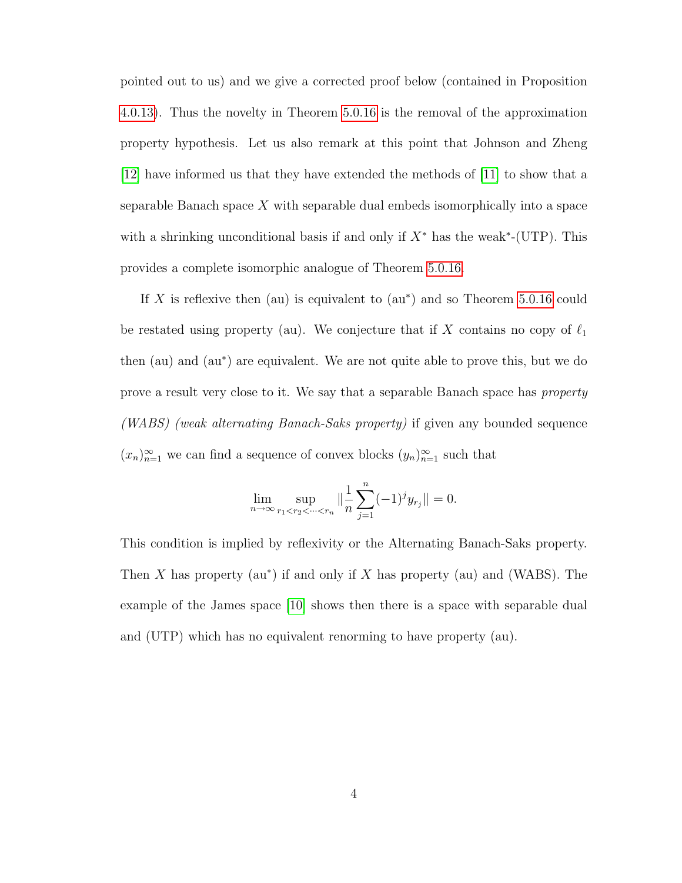pointed out to us) and we give a corrected proof below (contained in Proposition [4.0.13\)](#page-44-0). Thus the novelty in Theorem [5.0.16](#page-52-0) is the removal of the approximation property hypothesis. Let us also remark at this point that Johnson and Zheng [\[12\]](#page-78-5) have informed us that they have extended the methods of [\[11\]](#page-78-1) to show that a separable Banach space X with separable dual embeds isomorphically into a space with a shrinking unconditional basis if and only if  $X^*$  has the weak<sup>\*</sup>-(UTP). This provides a complete isomorphic analogue of Theorem [5.0.16.](#page-52-0)

If X is reflexive then (au) is equivalent to  $(au^*)$  and so Theorem [5.0.16](#page-52-0) could be restated using property (au). We conjecture that if X contains no copy of  $\ell_1$ then (au) and (au<sup>∗</sup> ) are equivalent. We are not quite able to prove this, but we do prove a result very close to it. We say that a separable Banach space has property (WABS) (weak alternating Banach-Saks property) if given any bounded sequence  $(x_n)_{n=1}^{\infty}$  we can find a sequence of convex blocks  $(y_n)_{n=1}^{\infty}$  such that

$$
\lim_{n \to \infty} \sup_{r_1 < r_2 < \dots < r_n} \| \frac{1}{n} \sum_{j=1}^n (-1)^j y_{r_j} \| = 0.
$$

This condition is implied by reflexivity or the Alternating Banach-Saks property. Then X has property  $(au^*)$  if and only if X has property  $(au)$  and  $(WABS)$ . The example of the James space [\[10\]](#page-78-6) shows then there is a space with separable dual and (UTP) which has no equivalent renorming to have property (au).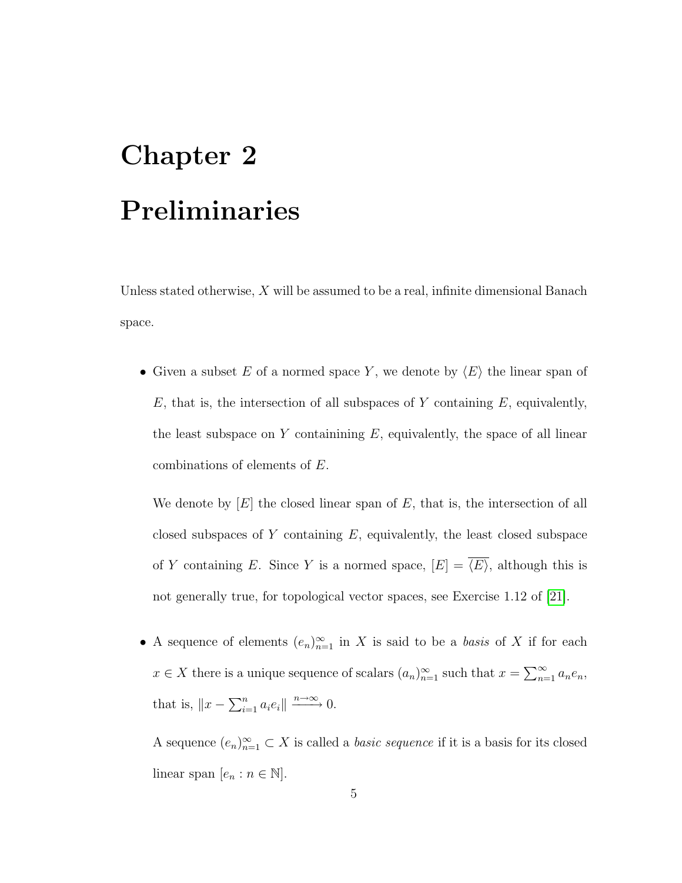# <span id="page-10-0"></span>Chapter 2 Preliminaries

Unless stated otherwise,  $X$  will be assumed to be a real, infinite dimensional Banach space.

• Given a subset E of a normed space Y, we denote by  $\langle E \rangle$  the linear span of  $E$ , that is, the intersection of all subspaces of Y containing E, equivalently, the least subspace on Y containining  $E$ , equivalently, the space of all linear combinations of elements of E.

We denote by  $[E]$  the closed linear span of E, that is, the intersection of all closed subspaces of Y containing  $E$ , equivalently, the least closed subspace of Y containing E. Since Y is a normed space,  $[E] = \langle \overline{E} \rangle$ , although this is not generally true, for topological vector spaces, see Exercise 1.12 of [\[21\]](#page-79-6).

• A sequence of elements  $(e_n)_{n=1}^{\infty}$  in X is said to be a *basis* of X if for each  $x \in X$  there is a unique sequence of scalars  $(a_n)_{n=1}^{\infty}$  such that  $x = \sum_{n=1}^{\infty} a_n e_n$ , that is,  $||x - \sum_{i=1}^n a_i e_i|| \xrightarrow{n \to \infty} 0$ .

A sequence  $(e_n)_{n=1}^{\infty} \subset X$  is called a *basic sequence* if it is a basis for its closed linear span  $[e_n : n \in \mathbb{N}].$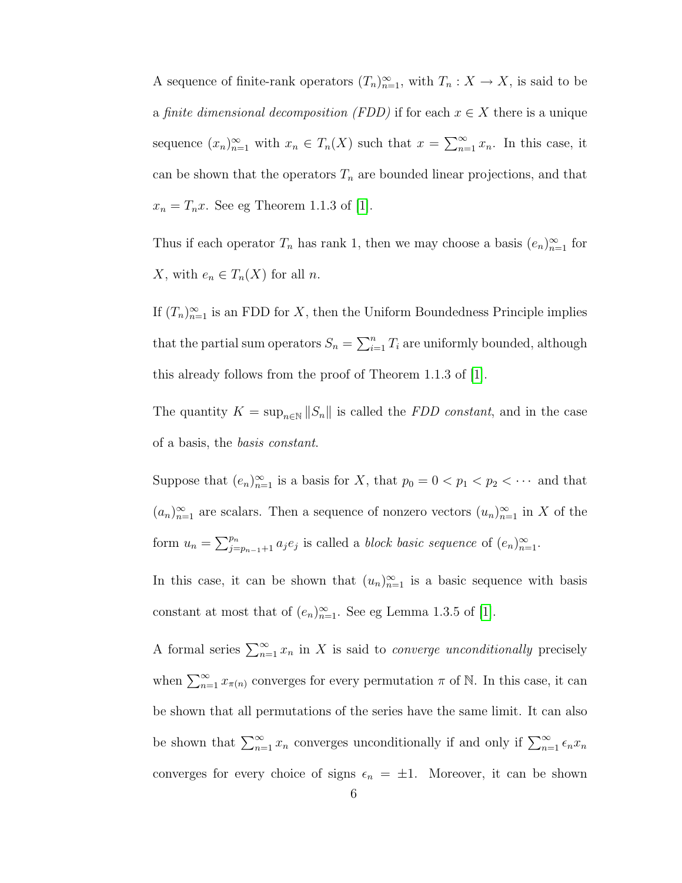A sequence of finite-rank operators  $(T_n)_{n=1}^{\infty}$ , with  $T_n: X \to X$ , is said to be a finite dimensional decomposition (FDD) if for each  $x \in X$  there is a unique sequence  $(x_n)_{n=1}^{\infty}$  with  $x_n \in T_n(X)$  such that  $x = \sum_{n=1}^{\infty} x_n$ . In this case, it can be shown that the operators  $T_n$  are bounded linear projections, and that  $x_n = T_n x$ . See eg Theorem 1.1.3 of [\[1\]](#page-78-7).

Thus if each operator  $T_n$  has rank 1, then we may choose a basis  $(e_n)_{n=1}^{\infty}$  for X, with  $e_n \in T_n(X)$  for all n.

If  $(T_n)_{n=1}^{\infty}$  is an FDD for X, then the Uniform Boundedness Principle implies that the partial sum operators  $S_n = \sum_{i=1}^n T_i$  are uniformly bounded, although this already follows from the proof of Theorem 1.1.3 of [\[1\]](#page-78-7).

The quantity  $K = \sup_{n \in \mathbb{N}} ||S_n||$  is called the *FDD constant*, and in the case of a basis, the basis constant.

Suppose that  $(e_n)_{n=1}^{\infty}$  is a basis for X, that  $p_0 = 0 < p_1 < p_2 < \cdots$  and that  $(a_n)_{n=1}^{\infty}$  are scalars. Then a sequence of nonzero vectors  $(u_n)_{n=1}^{\infty}$  in X of the form  $u_n = \sum_{j=p_{n-1}+1}^{p_n} a_j e_j$  is called a *block basic sequence* of  $(e_n)_{n=1}^{\infty}$ .

In this case, it can be shown that  $(u_n)_{n=1}^{\infty}$  is a basic sequence with basis constant at most that of  $(e_n)_{n=1}^{\infty}$ . See eg Lemma 1.3.5 of [\[1\]](#page-78-7).

A formal series  $\sum_{n=1}^{\infty} x_n$  in X is said to *converge unconditionally* precisely when  $\sum_{n=1}^{\infty} x_{\pi(n)}$  converges for every permutation  $\pi$  of N. In this case, it can be shown that all permutations of the series have the same limit. It can also be shown that  $\sum_{n=1}^{\infty} x_n$  converges unconditionally if and only if  $\sum_{n=1}^{\infty} \epsilon_n x_n$ converges for every choice of signs  $\epsilon_n = \pm 1$ . Moreover, it can be shown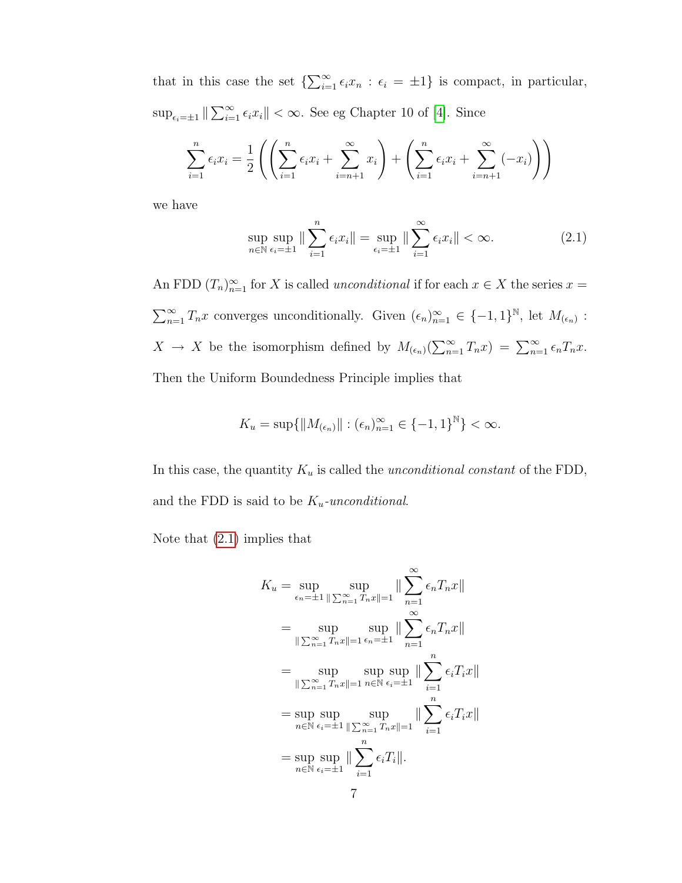that in this case the set  $\{\sum_{i=1}^{\infty} \epsilon_i x_n : \epsilon_i = \pm 1\}$  is compact, in particular,  $\sup_{\epsilon_i=\pm 1} \|\sum_{i=1}^{\infty} \epsilon_i x_i\| < \infty$ . See eg Chapter 10 of [\[4\]](#page-78-8). Since

$$
\sum_{i=1}^{n} \epsilon_i x_i = \frac{1}{2} \left( \left( \sum_{i=1}^{n} \epsilon_i x_i + \sum_{i=n+1}^{\infty} x_i \right) + \left( \sum_{i=1}^{n} \epsilon_i x_i + \sum_{i=n+1}^{\infty} (-x_i) \right) \right)
$$

we have

<span id="page-12-0"></span>
$$
\sup_{n \in \mathbb{N}} \sup_{\epsilon_i = \pm 1} \|\sum_{i=1}^n \epsilon_i x_i\| = \sup_{\epsilon_i = \pm 1} \|\sum_{i=1}^\infty \epsilon_i x_i\| < \infty. \tag{2.1}
$$

An FDD  $(T_n)_{n=1}^{\infty}$  for X is called *unconditional* if for each  $x \in X$  the series  $x =$  $\sum_{n=1}^{\infty} T_n x$  converges unconditionally. Given  $(\epsilon_n)_{n=1}^{\infty} \in \{-1,1\}^{\mathbb{N}}$ , let  $M_{(\epsilon_n)}$ :  $X \to X$  be the isomorphism defined by  $M_{(\epsilon_n)}(\sum_{n=1}^{\infty} T_n x) = \sum_{n=1}^{\infty} \epsilon_n T_n x$ . Then the Uniform Boundedness Principle implies that

$$
K_u = \sup\{\|M_{(\epsilon_n)}\| : (\epsilon_n)_{n=1}^{\infty} \in \{-1,1\}^{\mathbb{N}}\} < \infty.
$$

In this case, the quantity  $K_u$  is called the unconditional constant of the FDD, and the FDD is said to be  $K_u$ -unconditional.

Note that [\(2.1\)](#page-12-0) implies that

$$
K_u = \sup_{\epsilon_n = \pm 1} \sup_{\parallel \sum_{n=1}^{\infty} T_n x \parallel = 1} \|\sum_{n=1}^{\infty} \epsilon_n T_n x \parallel
$$
  
\n
$$
= \sup_{\parallel \sum_{n=1}^{\infty} T_n x \parallel = 1} \sup_{\epsilon_n = \pm 1} \|\sum_{n=1}^{\infty} \epsilon_n T_n x \parallel
$$
  
\n
$$
= \sup_{\parallel \sum_{n=1}^{\infty} T_n x \parallel = 1} \sup_{n \in \mathbb{N}} \sup_{\epsilon_i = \pm 1} \|\sum_{i=1}^n \epsilon_i T_i x \parallel
$$
  
\n
$$
= \sup_{n \in \mathbb{N}} \sup_{\epsilon_i = \pm 1} \sup_{\parallel \sum_{n=1}^{\infty} T_n x \parallel = 1} \|\sum_{i=1}^n \epsilon_i T_i x \parallel
$$
  
\n
$$
= \sup_{n \in \mathbb{N}} \sup_{\epsilon_i = \pm 1} \|\sum_{i=1}^n \epsilon_i T_i \parallel.
$$
  
\n
$$
= 7
$$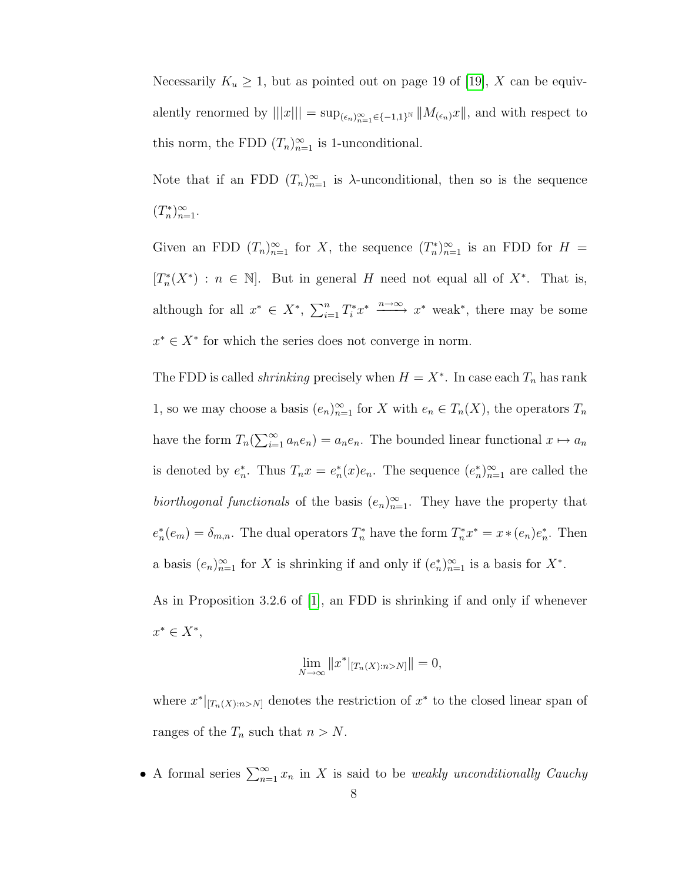Necessarily  $K_u \geq 1$ , but as pointed out on page 19 of [\[19\]](#page-79-7), X can be equivalently renormed by  $|||x||| = \sup_{(\epsilon_n)_{n=1}^{\infty} \in \{-1,1\}^{\mathbb{N}}} ||M_{(\epsilon_n)}x||$ , and with respect to this norm, the FDD  $(T_n)_{n=1}^{\infty}$  is 1-unconditional.

Note that if an FDD  $(T_n)_{n=1}^{\infty}$  is  $\lambda$ -unconditional, then so is the sequence  $(T_n^*)_{n=1}^{\infty}$ .

Given an FDD  $(T_n)_{n=1}^{\infty}$  for X, the sequence  $(T_n^*)_{n=1}^{\infty}$  is an FDD for  $H =$  $[T_n^*(X^*) : n \in \mathbb{N}]$ . But in general H need not equal all of  $X^*$ . That is, although for all  $x^* \in X^*$ ,  $\sum_{i=1}^n T_i^* x^* \xrightarrow{n \to \infty} x^*$  weak\*, there may be some  $x^* \in X^*$  for which the series does not converge in norm.

The FDD is called *shrinking* precisely when  $H = X^*$ . In case each  $T_n$  has rank 1, so we may choose a basis  $(e_n)_{n=1}^{\infty}$  for X with  $e_n \in T_n(X)$ , the operators  $T_n$ have the form  $T_n(\sum_{i=1}^{\infty} a_n e_n) = a_n e_n$ . The bounded linear functional  $x \mapsto a_n$ is denoted by  $e_n^*$ . Thus  $T_n x = e_n^*(x)e_n$ . The sequence  $(e_n^*)_{n=1}^{\infty}$  are called the biorthogonal functionals of the basis  $(e_n)_{n=1}^{\infty}$ . They have the property that  $e_n^*(e_m) = \delta_{m,n}$ . The dual operators  $T_n^*$  have the form  $T_n^* x^* = x * (e_n) e_n^*$ . Then a basis  $(e_n)_{n=1}^{\infty}$  for X is shrinking if and only if  $(e_n^*)_{n=1}^{\infty}$  is a basis for  $X^*$ .

As in Proposition 3.2.6 of [\[1\]](#page-78-7), an FDD is shrinking if and only if whenever  $x^* \in X^*$ 

$$
\lim_{N \to \infty} ||x^*|_{[T_n(X):n > N]}|| = 0,
$$

where  $x^*|_{[T_n(X):n>N]}$  denotes the restriction of  $x^*$  to the closed linear span of ranges of the  $T_n$  such that  $n > N$ .

• A formal series  $\sum_{n=1}^{\infty} x_n$  in X is said to be *weakly unconditionally Cauchy*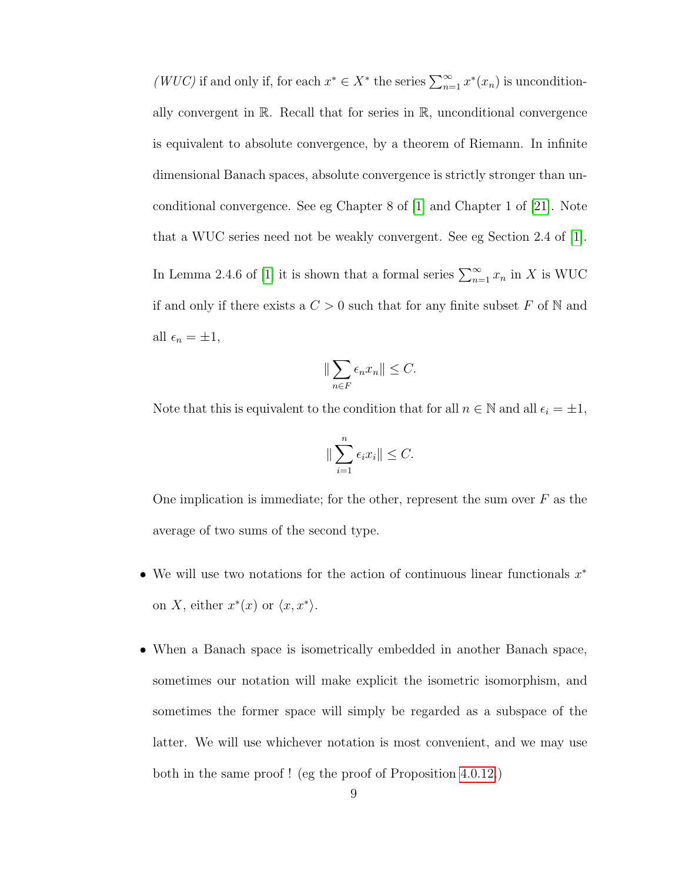(WUC) if and only if, for each  $x^* \in X^*$  the series  $\sum_{n=1}^{\infty} x^*(x_n)$  is unconditionally convergent in  $\mathbb{R}$ . Recall that for series in  $\mathbb{R}$ , unconditional convergence is equivalent to absolute convergence, by a theorem of Riemann. In infinite dimensional Banach spaces, absolute convergence is strictly stronger than unconditional convergence. See eg Chapter 8 of [\[1\]](#page-78-7) and Chapter 1 of [\[21\]](#page-79-6). Note that a WUC series need not be weakly convergent. See eg Section 2.4 of [\[1\]](#page-78-7). In Lemma 2.4.6 of [\[1\]](#page-78-7) it is shown that a formal series  $\sum_{n=1}^{\infty} x_n$  in X is WUC if and only if there exists a  $C > 0$  such that for any finite subset F of N and all  $\epsilon_n = \pm 1$ ,

$$
\|\sum_{n\in F}\epsilon_n x_n\|\leq C.
$$

Note that this is equivalent to the condition that for all  $n \in \mathbb{N}$  and all  $\epsilon_i = \pm 1$ ,

$$
\|\sum_{i=1}^n \epsilon_i x_i\| \le C.
$$

One implication is immediate; for the other, represent the sum over  $F$  as the average of two sums of the second type.

- We will use two notations for the action of continuous linear functionals  $x^*$ on X, either  $x^*(x)$  or  $\langle x, x^* \rangle$ .
- When a Banach space is isometrically embedded in another Banach space, sometimes our notation will make explicit the isometric isomorphism, and sometimes the former space will simply be regarded as a subspace of the latter. We will use whichever notation is most convenient, and we may use both in the same proof ! (eg the proof of Proposition [4.0.12.](#page-38-0))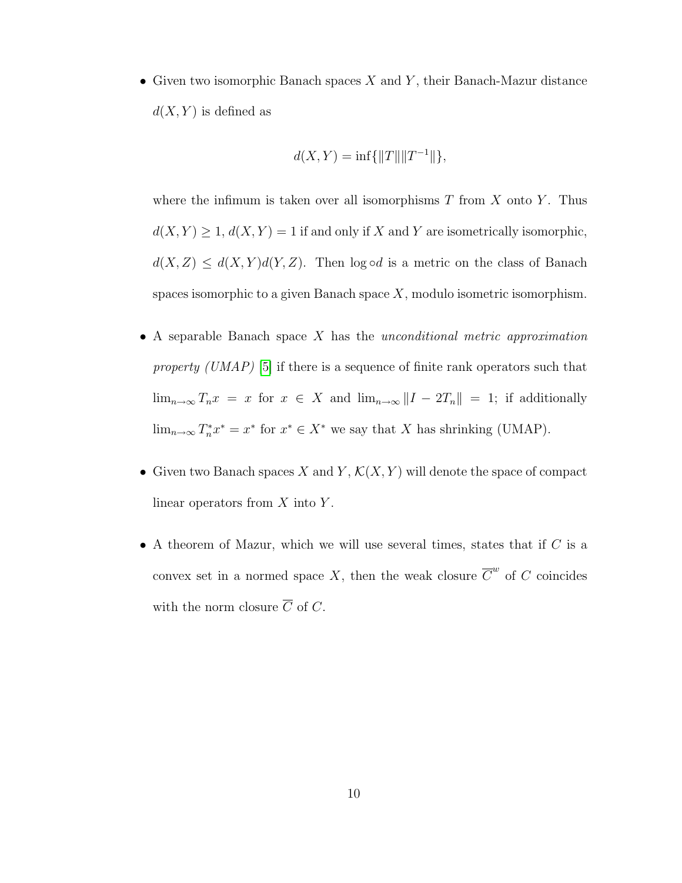• Given two isomorphic Banach spaces  $X$  and  $Y$ , their Banach-Mazur distance  $d(X, Y)$  is defined as

$$
d(X, Y) = \inf\{\|T\| \|T^{-1}\|\},\
$$

where the infimum is taken over all isomorphisms  $T$  from  $X$  onto  $Y$ . Thus  $d(X, Y) \geq 1, d(X, Y) = 1$  if and only if X and Y are isometrically isomorphic,  $d(X, Z) \leq d(X, Y) d(Y, Z)$ . Then log  $\circ d$  is a metric on the class of Banach spaces isomorphic to a given Banach space  $X$ , modulo isometric isomorphism.

- A separable Banach space  $X$  has the unconditional metric approximation property (UMAP) [\[5\]](#page-78-3) if there is a sequence of finite rank operators such that  $\lim_{n\to\infty} T_n x = x$  for  $x \in X$  and  $\lim_{n\to\infty} ||I - 2T_n|| = 1$ ; if additionally  $\lim_{n\to\infty} T_n^* x^* = x^*$  for  $x^* \in X^*$  we say that X has shrinking (UMAP).
- Given two Banach spaces X and Y,  $\mathcal{K}(X, Y)$  will denote the space of compact linear operators from  $X$  into  $Y$ .
- A theorem of Mazur, which we will use several times, states that if  $C$  is a convex set in a normed space X, then the weak closure  $\overline{C}^w$  of C coincides with the norm closure  $\overline{C}$  of C.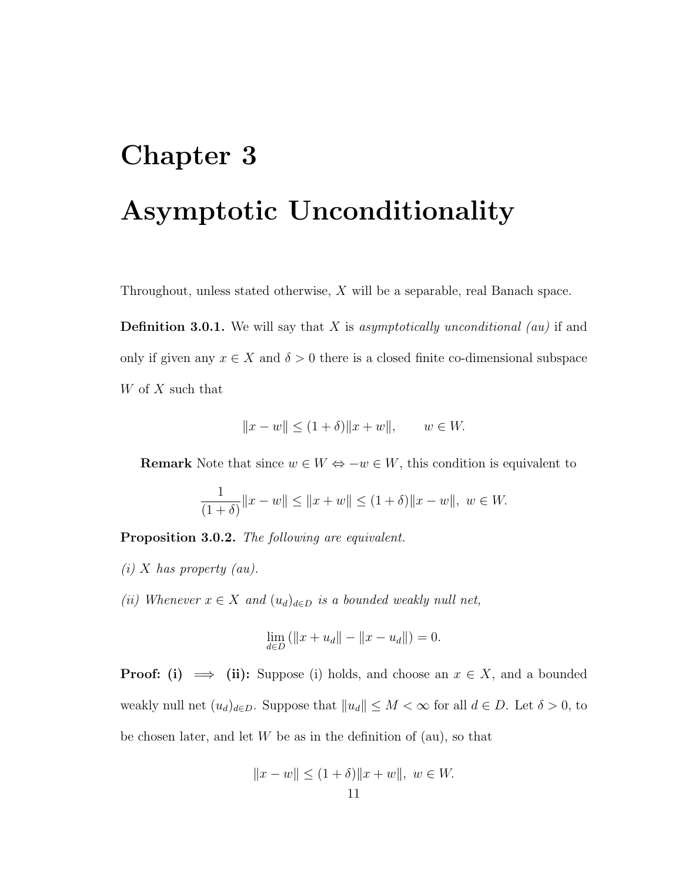# <span id="page-16-0"></span>Chapter 3 Asymptotic Unconditionality

Throughout, unless stated otherwise, X will be a separable, real Banach space.

**Definition 3.0.1.** We will say that X is asymptotically unconditional (au) if and only if given any  $x \in X$  and  $\delta > 0$  there is a closed finite co-dimensional subspace W of X such that

$$
||x - w|| \le (1 + \delta) ||x + w||
$$
,  $w \in W$ .

**Remark** Note that since  $w \in W \Leftrightarrow -w \in W$ , this condition is equivalent to

$$
\frac{1}{(1+\delta)}\|x-w\| \le \|x+w\| \le (1+\delta)\|x-w\|, \ w \in W.
$$

<span id="page-16-1"></span>Proposition 3.0.2. The following are equivalent.

- $(i)$  X has property  $(au)$ .
- (ii) Whenever  $x \in X$  and  $(u_d)_{d \in D}$  is a bounded weakly null net,

$$
\lim_{d \in D} (||x + u_d|| - ||x - u_d||) = 0.
$$

**Proof:** (i)  $\implies$  (ii): Suppose (i) holds, and choose an  $x \in X$ , and a bounded weakly null net  $(u_d)_{d\in D}$ . Suppose that  $||u_d|| \leq M < \infty$  for all  $d \in D$ . Let  $\delta > 0$ , to be chosen later, and let  $W$  be as in the definition of (au), so that

$$
||x - w|| \le (1 + \delta) ||x + w||, \ w \in W.
$$
  
11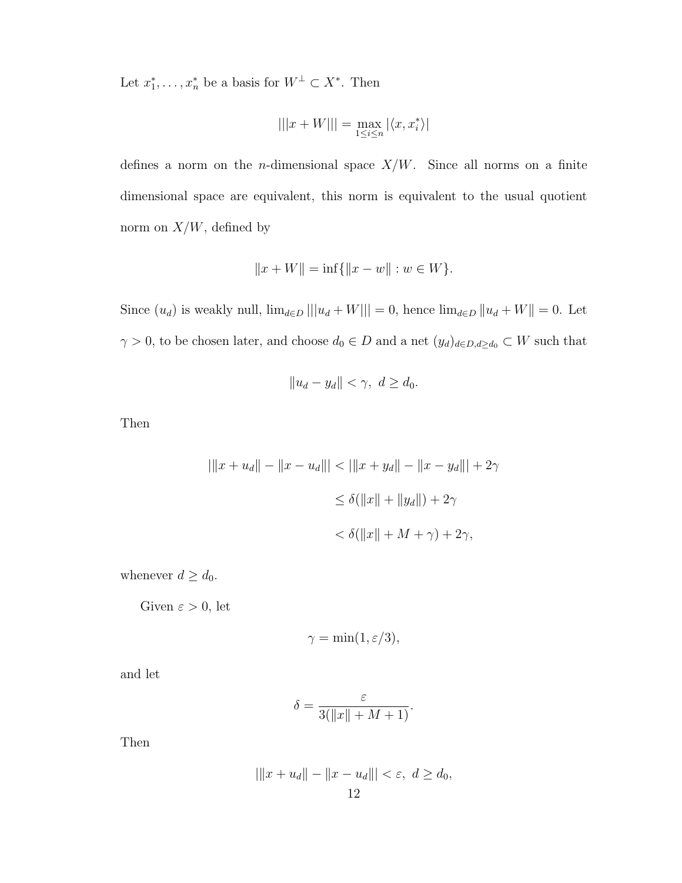Let  $x_1^*, \ldots, x_n^*$  be a basis for  $W^{\perp} \subset X^*$ . Then

$$
|||x+W|||=\max_{1\leq i\leq n}|\langle x,x^*_i\rangle|
$$

defines a norm on the *n*-dimensional space  $X/W$ . Since all norms on a finite dimensional space are equivalent, this norm is equivalent to the usual quotient norm on  $X/W$ , defined by

$$
||x + W|| = \inf{||x - w|| : w \in W}.
$$

Since  $(u_d)$  is weakly null,  $\lim_{d \in D} ||u_d + W|| = 0$ , hence  $\lim_{d \in D} ||u_d + W|| = 0$ . Let  $\gamma > 0$ , to be chosen later, and choose  $d_0 \in D$  and a net  $(y_d)_{d \in D, d \geq d_0} \subset W$  such that

$$
||u_d - y_d|| < \gamma, \ d \ge d_0.
$$

Then

$$
|\|x + u_d\| - \|x - u_d\|| < \|\|x + y_d\| - \|x - y_d\|\| + 2\gamma
$$
\n
$$
\leq \delta(\|x\| + \|y_d\|) + 2\gamma
$$
\n
$$
< \delta(\|x\| + M + \gamma) + 2\gamma,
$$

whenever  $d \geq d_0$ .

Given  $\varepsilon > 0$ , let

$$
\gamma = \min(1, \varepsilon/3),
$$

and let

$$
\delta = \frac{\varepsilon}{3(\|x\| + M + 1)}.
$$

Then

$$
|\|x + u_d\| - \|x - u_d\|| < \varepsilon, \ d \ge d_0,
$$
\n12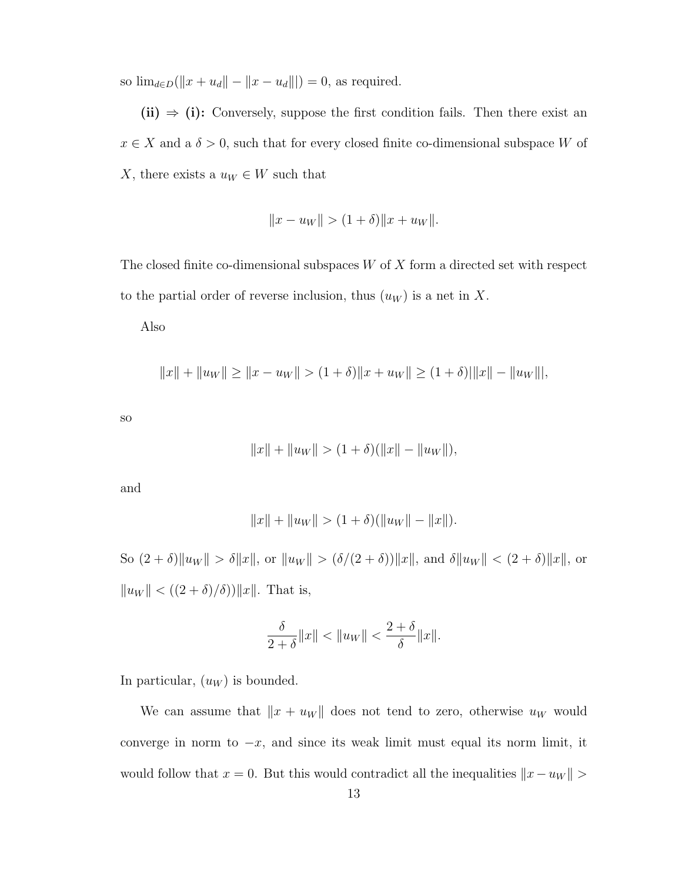so  $\lim_{d \in D} (\|x + u_d\| - \|x - u_d\||) = 0$ , as required.

(ii)  $\Rightarrow$  (i): Conversely, suppose the first condition fails. Then there exist an  $x \in X$  and a  $\delta > 0$ , such that for every closed finite co-dimensional subspace W of X, there exists a  $u_W \in W$  such that

$$
||x - u_W|| > (1 + \delta) ||x + u_W||.
$$

The closed finite co-dimensional subspaces  $W$  of  $X$  form a directed set with respect to the partial order of reverse inclusion, thus  $(u_W)$  is a net in X.

Also

$$
||x|| + ||u_W|| \ge ||x - u_W|| > (1 + \delta) ||x + u_W|| \ge (1 + \delta) ||x|| - ||u_W||,
$$

so

$$
||x|| + ||u_W|| > (1 + \delta)(||x|| - ||u_W||),
$$

and

$$
||x|| + ||u_W|| > (1 + \delta)(||u_W|| - ||x||).
$$

So  $(2 + \delta) \|u_W\| > \delta \|x\|$ , or  $\|u_W\| > (\delta/(2 + \delta)) \|x\|$ , and  $\delta \|u_W\| < (2 + \delta) \|x\|$ , or  $||u_W|| < ((2 + \delta)/\delta)||x||$ . That is,

$$
\frac{\delta}{2+\delta}||x|| < ||u_W|| < \frac{2+\delta}{\delta}||x||.
$$

In particular,  $(u_W)$  is bounded.

We can assume that  $||x + u_W||$  does not tend to zero, otherwise  $u_W$  would converge in norm to  $-x$ , and since its weak limit must equal its norm limit, it would follow that  $x = 0$ . But this would contradict all the inequalities  $||x - u_W||$  >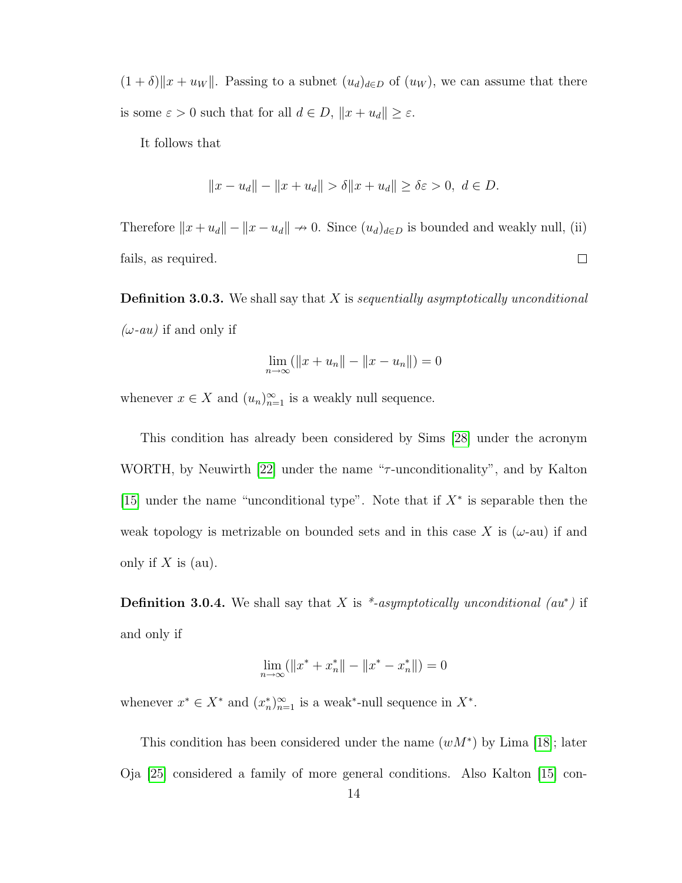$(1 + \delta) \|x + u_W\|$ . Passing to a subnet  $(u_d)_{d \in D}$  of  $(u_W)$ , we can assume that there is some  $\varepsilon > 0$  such that for all  $d \in D$ ,  $||x + u_d|| \ge \varepsilon$ .

It follows that

$$
||x - u_d|| - ||x + u_d|| > \delta ||x + u_d|| \ge \delta \varepsilon > 0, \ d \in D.
$$

Therefore  $||x + u_d|| - ||x - u_d|| \to 0$ . Since  $(u_d)_{d \in D}$  is bounded and weakly null, (ii) fails, as required.  $\Box$ 

**Definition 3.0.3.** We shall say that  $X$  is sequentially asymptotically unconditional  $(\omega$ -au) if and only if

$$
\lim_{n \to \infty} (||x + u_n|| - ||x - u_n||) = 0
$$

whenever  $x \in X$  and  $(u_n)_{n=1}^{\infty}$  is a weakly null sequence.

This condition has already been considered by Sims [\[28\]](#page-79-3) under the acronym WORTH, by Neuwirth [\[22\]](#page-79-5) under the name " $\tau$ -unconditionality", and by Kalton [\[15\]](#page-78-2) under the name "unconditional type". Note that if  $X^*$  is separable then the weak topology is metrizable on bounded sets and in this case X is  $(\omega$ -au) if and only if  $X$  is (au).

**Definition 3.0.4.** We shall say that X is \*-asymptotically unconditional  $(au^*)$  if and only if

$$
\lim_{n \to \infty} (\|x^* + x_n^*\| - \|x^* - x_n^*\|) = 0
$$

whenever  $x^* \in X^*$  and  $(x_n^*)_{n=1}^{\infty}$  is a weak\*-null sequence in  $X^*$ .

This condition has been considered under the name  $(wM^*)$  by Lima [\[18\]](#page-79-4); later Oja [\[25\]](#page-79-8) considered a family of more general conditions. Also Kalton [\[15\]](#page-78-2) con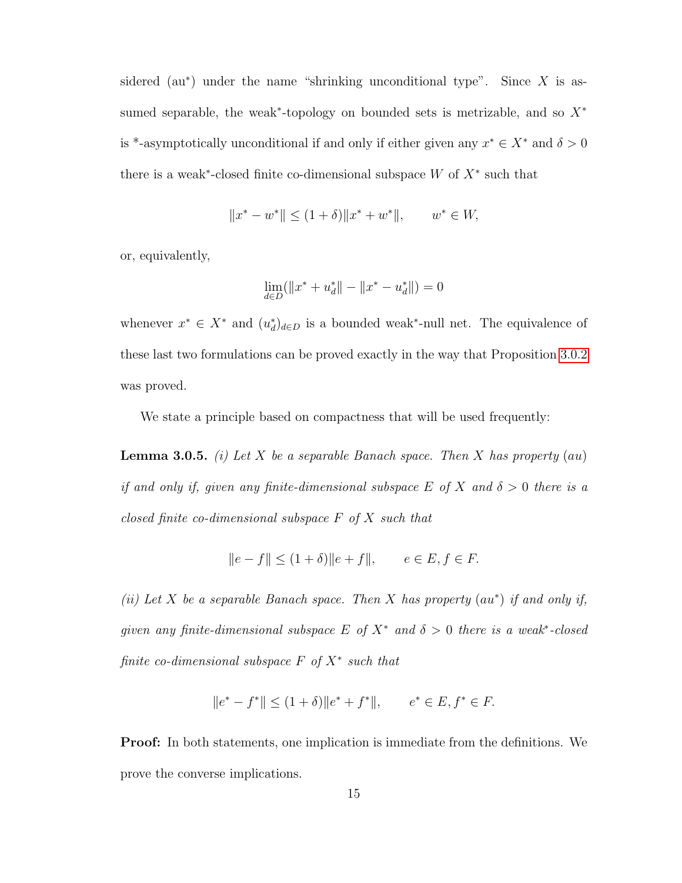sidered (au<sup>\*</sup>) under the name "shrinking unconditional type". Since  $X$  is assumed separable, the weak<sup>\*</sup>-topology on bounded sets is metrizable, and so  $X^*$ is \*-asymptotically unconditional if and only if either given any  $x^* \in X^*$  and  $\delta > 0$ there is a weak<sup>\*</sup>-closed finite co-dimensional subspace  $W$  of  $X^*$  such that

$$
||x^* - w^*|| \le (1 + \delta) ||x^* + w^*||, \qquad w^* \in W,
$$

or, equivalently,

$$
\lim_{d\in D}(\|x^*+u_d^*\|-\|x^*-u_d^*\|)=0
$$

whenever  $x^* \in X^*$  and  $(u_d^*)_{d \in D}$  is a bounded weak<sup>\*</sup>-null net. The equivalence of these last two formulations can be proved exactly in the way that Proposition [3.0.2](#page-16-1) was proved.

<span id="page-20-0"></span>We state a principle based on compactness that will be used frequently:

**Lemma 3.0.5.** (i) Let X be a separable Banach space. Then X has property (au) if and only if, given any finite-dimensional subspace E of X and  $\delta > 0$  there is a closed finite co-dimensional subspace  $F$  of  $X$  such that

$$
||e - f|| \le (1 + \delta) ||e + f||, \qquad e \in E, f \in F.
$$

(ii) Let X be a separable Banach space. Then X has property  $(au^*)$  if and only if, given any finite-dimensional subspace E of  $X^*$  and  $\delta > 0$  there is a weak<sup>\*</sup>-closed finite co-dimensional subspace  $F$  of  $X^*$  such that

$$
||e^* - f^*|| \le (1 + \delta) ||e^* + f^*||, \qquad e^* \in E, f^* \in F.
$$

Proof: In both statements, one implication is immediate from the definitions. We prove the converse implications.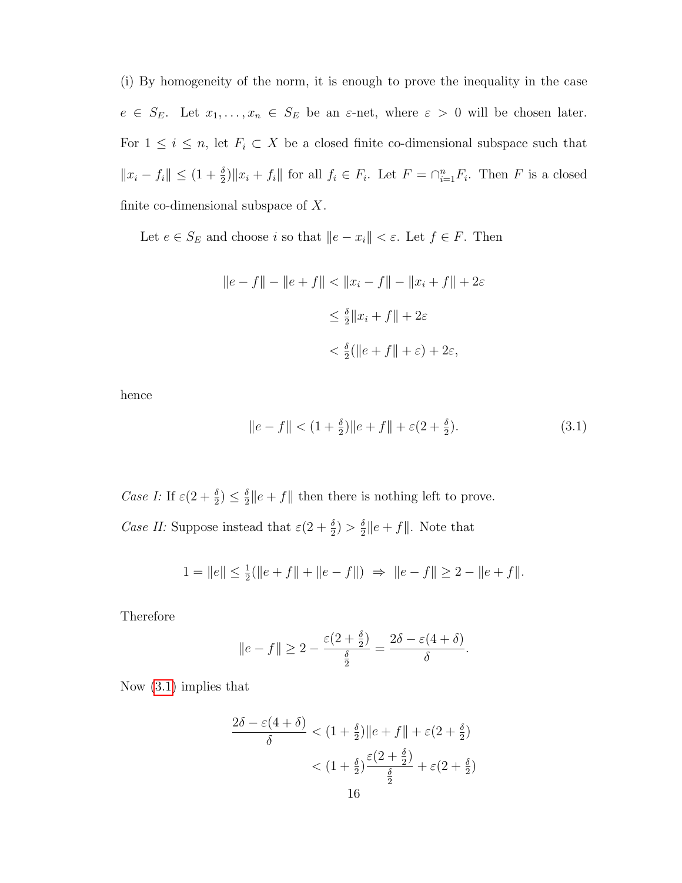(i) By homogeneity of the norm, it is enough to prove the inequality in the case  $e \in S_E$ . Let  $x_1, \ldots, x_n \in S_E$  be an  $\varepsilon$ -net, where  $\varepsilon > 0$  will be chosen later. For  $1 \leq i \leq n$ , let  $F_i \subset X$  be a closed finite co-dimensional subspace such that  $||x_i - f_i|| \leq (1 + \frac{\delta}{2}) ||x_i + f_i||$  for all  $f_i \in F_i$ . Let  $F = \bigcap_{i=1}^n F_i$ . Then F is a closed finite co-dimensional subspace of  $X$ .

Let  $e \in S_E$  and choose i so that  $||e - x_i|| < \varepsilon$ . Let  $f \in F$ . Then

$$
||e - f|| - ||e + f|| < ||x_i - f|| - ||x_i + f|| + 2\varepsilon
$$
  
\n
$$
\leq \frac{\delta}{2} ||x_i + f|| + 2\varepsilon
$$
  
\n
$$
< \frac{\delta}{2} (||e + f|| + \varepsilon) + 2\varepsilon,
$$

hence

<span id="page-21-0"></span>
$$
||e - f|| < (1 + \frac{\delta}{2})||e + f|| + \varepsilon(2 + \frac{\delta}{2}).
$$
\n(3.1)

Case I: If  $\varepsilon(2+\frac{\delta}{2}) \leq \frac{\delta}{2}$  $\frac{\delta}{2} \|e + f\|$  then there is nothing left to prove. Case II: Suppose instead that  $\varepsilon(2+\frac{\delta}{2}) > \frac{\delta}{2}$  $\frac{\delta}{2}||e+f||.$  Note that

$$
1 = ||e|| \le \frac{1}{2} (||e + f|| + ||e - f||) \implies ||e - f|| \ge 2 - ||e + f||.
$$

Therefore

$$
\|e - f\| \ge 2 - \frac{\varepsilon (2 + \frac{\delta}{2})}{\frac{\delta}{2}} = \frac{2\delta - \varepsilon (4 + \delta)}{\delta}.
$$

Now [\(3.1\)](#page-21-0) implies that

$$
\frac{2\delta - \varepsilon(4+\delta)}{\delta} < (1+\frac{\delta}{2})\|e+f\| + \varepsilon(2+\frac{\delta}{2})
$$
\n
$$
< (1+\frac{\delta}{2})\frac{\varepsilon(2+\frac{\delta}{2})}{\frac{\delta}{2}} + \varepsilon(2+\frac{\delta}{2})
$$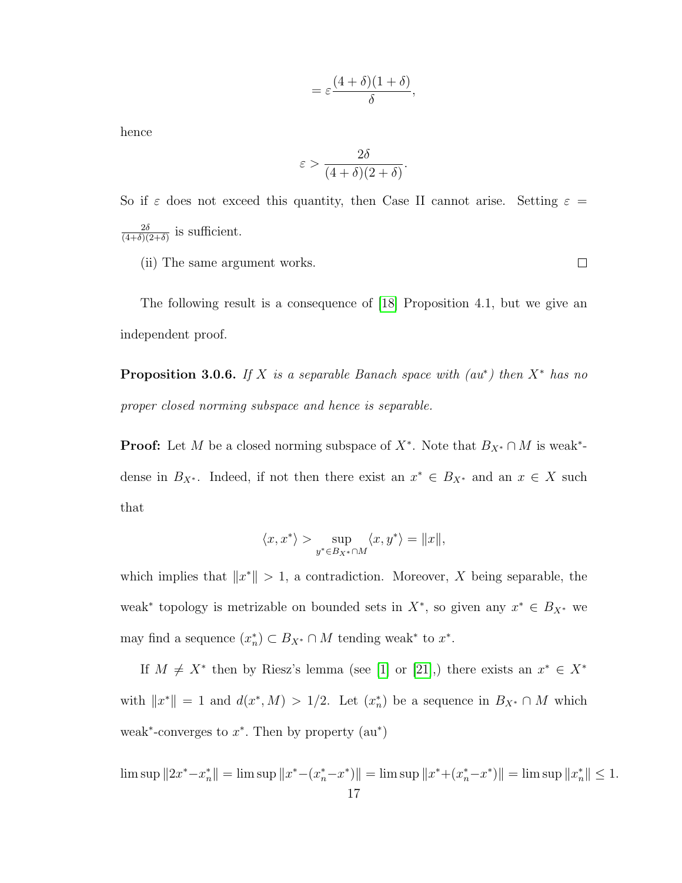$$
=\varepsilon\frac{(4+\delta)(1+\delta)}{\delta},
$$

hence

$$
\varepsilon > \frac{2\delta}{(4+\delta)(2+\delta)}.
$$

So if  $\varepsilon$  does not exceed this quantity, then Case II cannot arise. Setting  $\varepsilon$  =  $2\delta$  $\frac{2\delta}{(4+\delta)(2+\delta)}$  is sufficient.

(ii) The same argument works.

 $\Box$ 

The following result is a consequence of [\[18\]](#page-79-4) Proposition 4.1, but we give an independent proof.

**Proposition 3.0.6.** If X is a separable Banach space with  $(au^*)$  then  $X^*$  has no proper closed norming subspace and hence is separable.

**Proof:** Let M be a closed norming subspace of  $X^*$ . Note that  $B_{X^*} \cap M$  is weak<sup>\*</sup>dense in  $B_{X^*}$ . Indeed, if not then there exist an  $x^* \in B_{X^*}$  and an  $x \in X$  such that

$$
\langle x, x^* \rangle > \sup_{y^* \in B_{X^*} \cap M} \langle x, y^* \rangle = ||x||,
$$

which implies that  $||x^*|| > 1$ , a contradiction. Moreover, X being separable, the weak<sup>\*</sup> topology is metrizable on bounded sets in  $X^*$ , so given any  $x^* \in B_{X^*}$  we may find a sequence  $(x_n^*) \subset B_{X^*} \cap M$  tending weak\* to  $x^*$ .

If  $M \neq X^*$  then by Riesz's lemma (see [\[1\]](#page-78-7) or [\[21\]](#page-79-6),) there exists an  $x^* \in X^*$ with  $||x^*|| = 1$  and  $d(x^*, M) > 1/2$ . Let  $(x_n^*)$  be a sequence in  $B_{X^*} \cap M$  which weak<sup>\*</sup>-converges to  $x^*$ . Then by property  $(au^*)$ 

 $\limsup \|2x^* - x_n^*\| = \limsup \|x^* - (x_n^* - x^*)\| = \limsup \|x^* + (x_n^* - x^*)\| = \limsup \|x_n^*\| \le 1.$ 17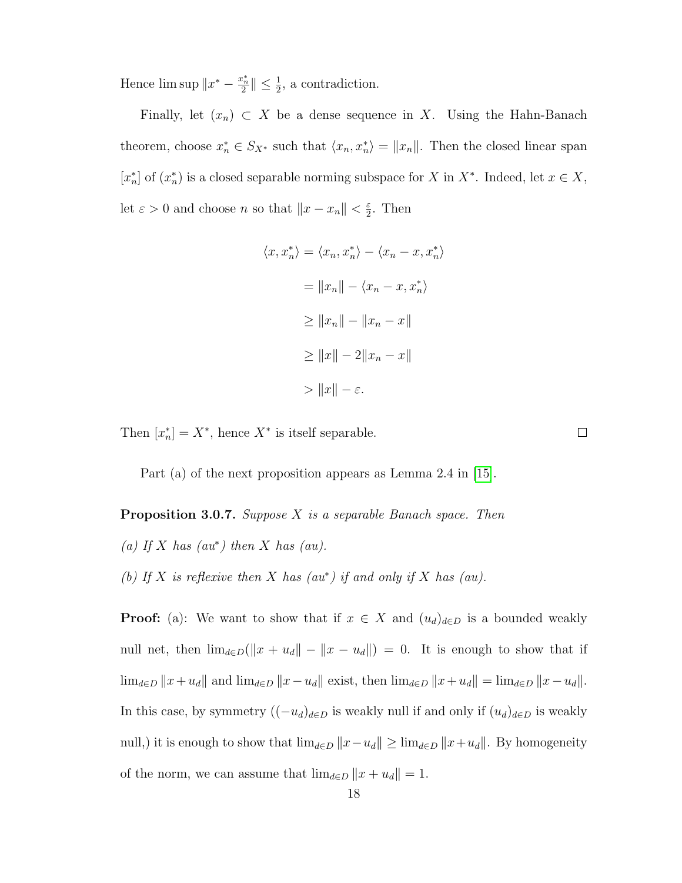Hence  $\limsup \|x^* - \frac{x_n^*}{2}\| \leq \frac{1}{2}$ , a contradiction.

Finally, let  $(x_n) \subset X$  be a dense sequence in X. Using the Hahn-Banach theorem, choose  $x_n^* \in S_{X^*}$  such that  $\langle x_n, x_n^* \rangle = ||x_n||$ . Then the closed linear span  $[x_n^*]$  of  $(x_n^*)$  is a closed separable norming subspace for X in X<sup>\*</sup>. Indeed, let  $x \in X$ , let  $\varepsilon > 0$  and choose n so that  $||x - x_n|| < \frac{\varepsilon}{2}$  $\frac{\varepsilon}{2}$ . Then

$$
\langle x, x_n^* \rangle = \langle x_n, x_n^* \rangle - \langle x_n - x, x_n^* \rangle
$$

$$
= ||x_n|| - \langle x_n - x, x_n^* \rangle
$$

$$
\ge ||x_n|| - ||x_n - x||
$$

$$
\ge ||x|| - 2||x_n - x||
$$

$$
> ||x|| - \varepsilon.
$$

 $\Box$ 

Then  $[x_n^*] = X^*$ , hence  $X^*$  is itself separable.

<span id="page-23-0"></span>Part (a) of the next proposition appears as Lemma 2.4 in [\[15\]](#page-78-2).

**Proposition 3.0.7.** Suppose  $X$  is a separable Banach space. Then (a) If X has  $(au^*)$  then X has  $(au)$ . (b) If X is reflexive then X has  $(au^*)$  if and only if X has  $(au)$ .

**Proof:** (a): We want to show that if  $x \in X$  and  $(u_d)_{d \in D}$  is a bounded weakly null net, then  $\lim_{d \in D} (\Vert x + u_d \Vert - \Vert x - u_d \Vert) = 0$ . It is enough to show that if  $\lim_{d\in D} ||x+u_d||$  and  $\lim_{d\in D} ||x-u_d||$  exist, then  $\lim_{d\in D} ||x+u_d|| = \lim_{d\in D} ||x-u_d||$ . In this case, by symmetry  $((-u_d)_{d\in D})$  is weakly null if and only if  $(u_d)_{d\in D}$  is weakly null,) it is enough to show that  $\lim_{d\in D} ||x-u_d|| \ge \lim_{d\in D} ||x+u_d||$ . By homogeneity of the norm, we can assume that  $\lim_{d \in D} ||x + u_d|| = 1$ .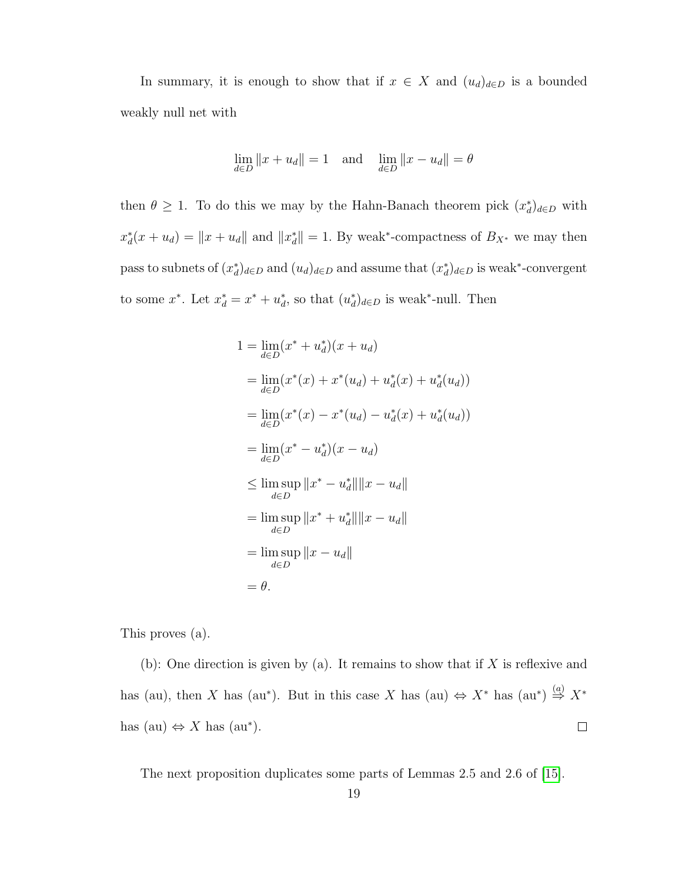In summary, it is enough to show that if  $x \in X$  and  $(u_d)_{d \in D}$  is a bounded weakly null net with

$$
\lim_{d \in D} ||x + u_d|| = 1 \quad \text{and} \quad \lim_{d \in D} ||x - u_d|| = \theta
$$

then  $\theta \geq 1$ . To do this we may by the Hahn-Banach theorem pick  $(x_d^*)_{d \in D}$  with  $x_d^*(x + u_d) = ||x + u_d||$  and  $||x_d^*|| = 1$ . By weak<sup>\*</sup>-compactness of  $B_{X^*}$  we may then pass to subnets of  $(x_d^*)_{d\in D}$  and  $(u_d)_{d\in D}$  and assume that  $(x_d^*)_{d\in D}$  is weak\*-convergent to some  $x^*$ . Let  $x_d^* = x^* + u_d^*$ , so that  $(u_d^*)_{d \in D}$  is weak\*-null. Then

$$
1 = \lim_{d \in D} (x^* + u_d^*)(x + u_d)
$$
  
\n
$$
= \lim_{d \in D} (x^*(x) + x^*(u_d) + u_d^*(x) + u_d^*(u_d))
$$
  
\n
$$
= \lim_{d \in D} (x^*(x) - x^*(u_d) - u_d^*(x) + u_d^*(u_d))
$$
  
\n
$$
= \lim_{d \in D} (x^* - u_d^*)(x - u_d)
$$
  
\n
$$
\leq \limsup_{d \in D} ||x^* - u_d^*|| ||x - u_d||
$$
  
\n
$$
= \limsup_{d \in D} ||x^* + u_d^*|| ||x - u_d||
$$
  
\n
$$
= \limsup_{d \in D} ||x - u_d||
$$
  
\n
$$
= \theta.
$$

This proves (a).

(b): One direction is given by (a). It remains to show that if  $X$  is reflexive and has (au), then X has (au\*). But in this case X has (au)  $\Leftrightarrow X^*$  has (au\*)  $\stackrel{(a)}{\Rightarrow} X^*$ has (au)  $\Leftrightarrow$  X has (au\*).  $\Box$ 

<span id="page-24-0"></span>The next proposition duplicates some parts of Lemmas 2.5 and 2.6 of [\[15\]](#page-78-2).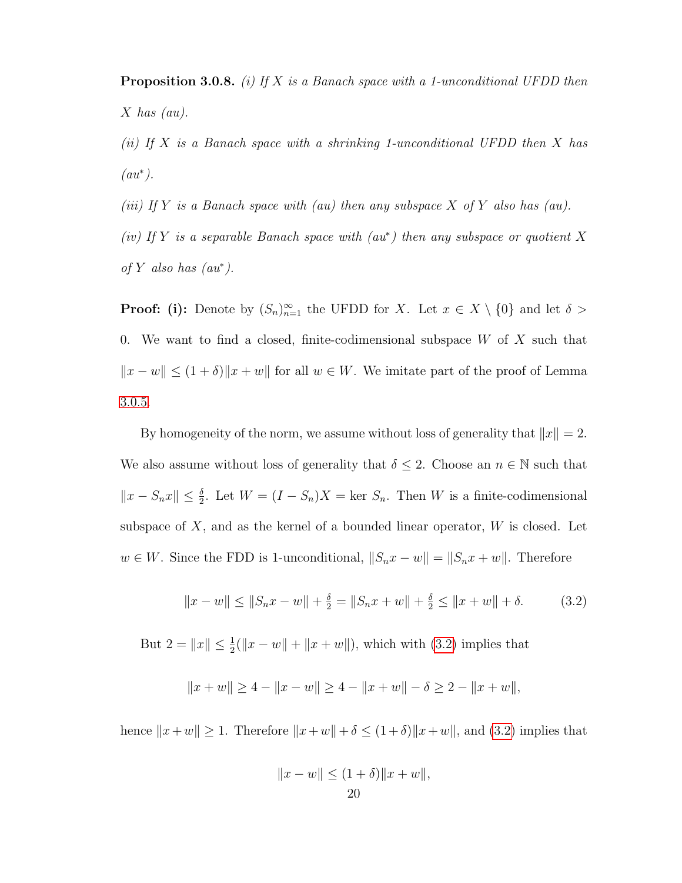**Proposition 3.0.8.** (i) If X is a Banach space with a 1-unconditional UFDD then  $X$  has  $(au)$ .

(ii) If X is a Banach space with a shrinking 1-unconditional UFDD then X has  $(au^*)$ .

(iii) If Y is a Banach space with (au) then any subspace  $X$  of  $Y$  also has (au).

(iv) If Y is a separable Banach space with  $(au^*)$  then any subspace or quotient X of Y also has  $(au^*)$ .

**Proof:** (i): Denote by  $(S_n)_{n=1}^{\infty}$  the UFDD for X. Let  $x \in X \setminus \{0\}$  and let  $\delta >$ 0. We want to find a closed, finite-codimensional subspace  $W$  of  $X$  such that  $||x - w|| \le (1 + \delta) ||x + w||$  for all  $w \in W$ . We imitate part of the proof of Lemma [3.0.5.](#page-20-0)

By homogeneity of the norm, we assume without loss of generality that  $||x|| = 2$ . We also assume without loss of generality that  $\delta \leq 2$ . Choose an  $n \in \mathbb{N}$  such that  $||x - S_nx|| \leq \frac{\delta}{2}$ . Let  $W = (I - S_n)X = \text{ker } S_n$ . Then W is a finite-codimensional subspace of  $X$ , and as the kernel of a bounded linear operator,  $W$  is closed. Let  $w \in W$ . Since the FDD is 1-unconditional,  $||S_n x - w|| = ||S_n x + w||$ . Therefore

<span id="page-25-0"></span>
$$
||x - w|| \le ||S_n x - w|| + \frac{\delta}{2} = ||S_n x + w|| + \frac{\delta}{2} \le ||x + w|| + \delta.
$$
 (3.2)

But  $2 = ||x|| \le \frac{1}{2} (||x - w|| + ||x + w||)$ , which with [\(3.2\)](#page-25-0) implies that

$$
||x + w|| \ge 4 - ||x - w|| \ge 4 - ||x + w|| - \delta \ge 2 - ||x + w||,
$$

hence  $||x+w|| \ge 1$ . Therefore  $||x+w|| + \delta \le (1+\delta)||x+w||$ , and [\(3.2\)](#page-25-0) implies that

$$
||x - w|| \le (1 + \delta) ||x + w||,
$$
  
20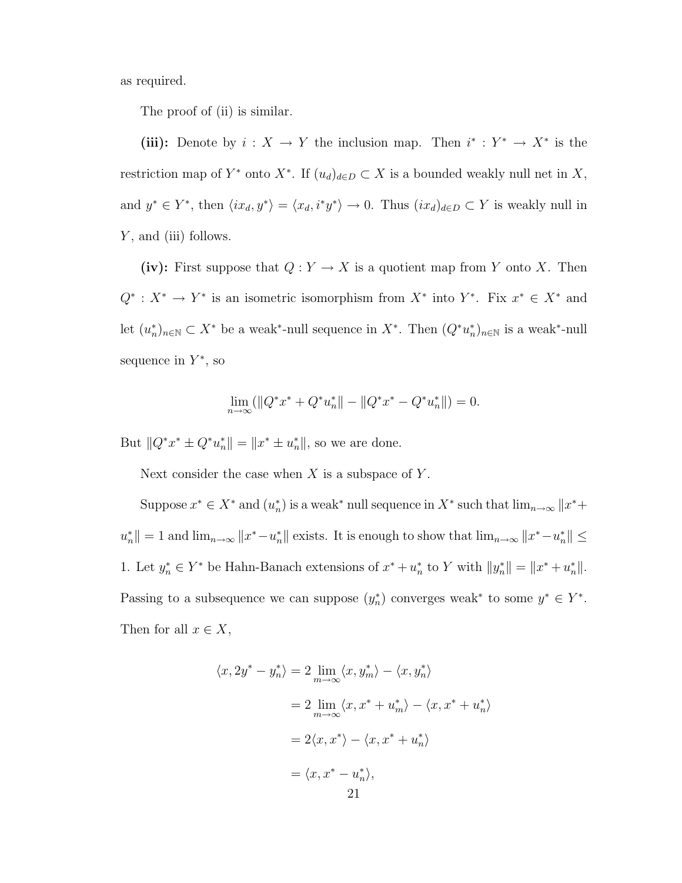as required.

The proof of (ii) is similar.

(iii): Denote by  $i: X \to Y$  the inclusion map. Then  $i^* : Y^* \to X^*$  is the restriction map of  $Y^*$  onto  $X^*$ . If  $(u_d)_{d\in D} \subset X$  is a bounded weakly null net in X, and  $y^* \in Y^*$ , then  $\langle ix_d, y^* \rangle = \langle x_d, i^*y^* \rangle \to 0$ . Thus  $(ix_d)_{d \in D} \subset Y$  is weakly null in Y, and (iii) follows.

(iv): First suppose that  $Q: Y \to X$  is a quotient map from Y onto X. Then  $Q^* : X^* \to Y^*$  is an isometric isomorphism from  $X^*$  into  $Y^*$ . Fix  $x^* \in X^*$  and let  $(u_n^*)_{n\in\mathbb{N}}\subset X^*$  be a weak<sup>\*</sup>-null sequence in  $X^*$ . Then  $(Q^*u_n^*)_{n\in\mathbb{N}}$  is a weak\*-null sequence in  $Y^*$ , so

$$
\lim_{n \to \infty} (||Q^*x^* + Q^*u_n^*|| - ||Q^*x^* - Q^*u_n^*||) = 0.
$$

But  $||Q^*x^* \pm Q^*u_n^*|| = ||x^* \pm u_n^*||$ , so we are done.

Next consider the case when  $X$  is a subspace of  $Y$ .

Suppose  $x^* \in X^*$  and  $(u_n^*)$  is a weak<sup>\*</sup> null sequence in  $X^*$  such that  $\lim_{n\to\infty} ||x^* +$  $u_n^*$  = 1 and  $\lim_{n\to\infty}$   $||x^*-\overline{u}_n^*||$  exists. It is enough to show that  $\lim_{n\to\infty}$   $||x^*-\overline{u}_n^*|| \le$ 1. Let  $y_n^* \in Y^*$  be Hahn-Banach extensions of  $x^* + u_n^*$  to Y with  $||y_n^*|| = ||x^* + u_n^*||$ . Passing to a subsequence we can suppose  $(y_n^*)$  converges weak<sup>\*</sup> to some  $y^* \in Y^*$ . Then for all  $x \in X$ ,

$$
\langle x, 2y^* - y_n^* \rangle = 2 \lim_{m \to \infty} \langle x, y_m^* \rangle - \langle x, y_n^* \rangle
$$
  
= 
$$
2 \lim_{m \to \infty} \langle x, x^* + u_m^* \rangle - \langle x, x^* + u_n^* \rangle
$$
  
= 
$$
2\langle x, x^* \rangle - \langle x, x^* + u_n^* \rangle
$$
  
= 
$$
\langle x, x^* - u_n^* \rangle,
$$
  
21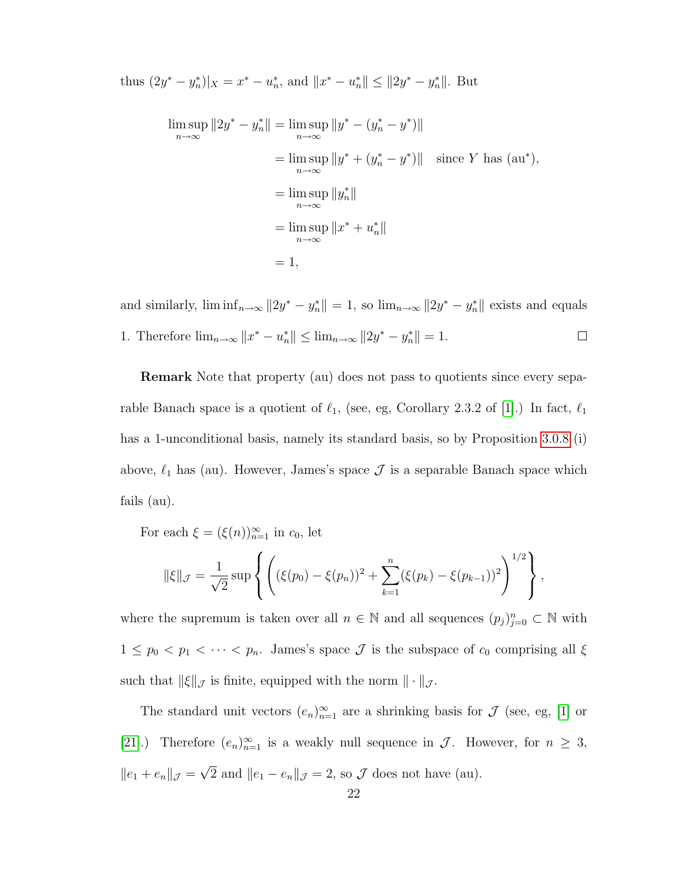thus  $(2y^* - y_n^*)|_X = x^* - u_n^*$ , and  $||x^* - u_n^*|| \le ||2y^* - y_n^*||$ . But

$$
\limsup_{n \to \infty} ||2y^* - y_n^*|| = \limsup_{n \to \infty} ||y^* - (y_n^* - y^*)||
$$
  
\n
$$
= \limsup_{n \to \infty} ||y^* + (y_n^* - y^*)|| \quad \text{since } Y \text{ has (au*)},
$$
  
\n
$$
= \limsup_{n \to \infty} ||y_n^*||
$$
  
\n
$$
= \limsup_{n \to \infty} ||x^* + u_n^*||
$$
  
\n
$$
= 1,
$$

and similarly,  $\liminf_{n\to\infty} ||2y^* - y_n^*|| = 1$ , so  $\lim_{n\to\infty} ||2y^* - y_n^*||$  exists and equals 1. Therefore  $\lim_{n\to\infty} ||x^* - u^*_{n}|| \le \lim_{n\to\infty} ||2y^* - y^*_{n}|| = 1.$  $\Box$ 

Remark Note that property (au) does not pass to quotients since every separable Banach space is a quotient of  $\ell_1$ , (see, eg, Corollary 2.3.2 of [\[1\]](#page-78-7).) In fact,  $\ell_1$ has a 1-unconditional basis, namely its standard basis, so by Proposition [3.0.8](#page-24-0) (i) above,  $\ell_1$  has (au). However, James's space  $\mathcal J$  is a separable Banach space which fails (au).

For each  $\xi = (\xi(n))_{n=1}^{\infty}$  in  $c_0$ , let

$$
\|\xi\|_{\mathcal{J}} = \frac{1}{\sqrt{2}} \sup \left\{ \left( (\xi(p_0) - \xi(p_n))^2 + \sum_{k=1}^n (\xi(p_k) - \xi(p_{k-1}))^2 \right)^{1/2} \right\},\,
$$

where the supremum is taken over all  $n \in \mathbb{N}$  and all sequences  $(p_j)_{j=0}^n \subset \mathbb{N}$  with  $1 \leq p_0 < p_1 < \cdots < p_n$ . James's space  $\mathcal J$  is the subspace of  $c_0$  comprising all  $\xi$ such that  $\|\xi\|_{\mathcal{J}}$  is finite, equipped with the norm  $\|\cdot\|_{\mathcal{J}}$ .

The standard unit vectors  $(e_n)_{n=1}^{\infty}$  are a shrinking basis for  $\mathcal J$  (see, eg, [\[1\]](#page-78-7) or [\[21\]](#page-79-6).) Therefore  $(e_n)_{n=1}^{\infty}$  is a weakly null sequence in  $\mathcal{J}$ . However, for  $n \geq 3$ ,  $||e_1 + e_n||_{\mathcal{J}} =$ √ 2 and  $||e_1 - e_n||_{\mathcal{J}} = 2$ , so  $\mathcal J$  does not have (au).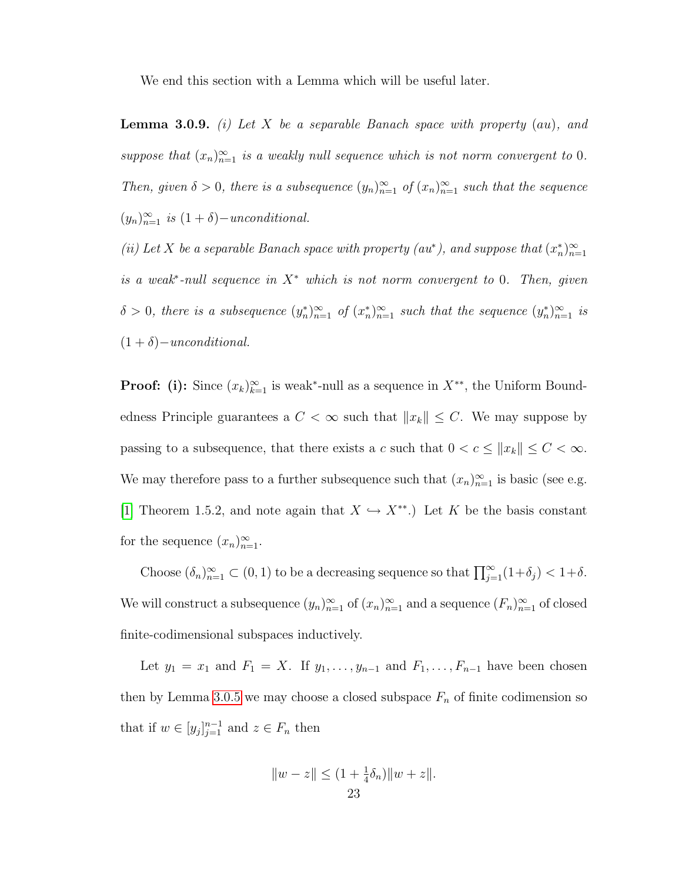We end this section with a Lemma which will be useful later.

**Lemma 3.0.9.** (i) Let X be a separable Banach space with property  $(au)$ , and suppose that  $(x_n)_{n=1}^{\infty}$  is a weakly null sequence which is not norm convergent to 0. Then, given  $\delta > 0$ , there is a subsequence  $(y_n)_{n=1}^{\infty}$  of  $(x_n)_{n=1}^{\infty}$  such that the sequence  $(y_n)_{n=1}^{\infty}$  is  $(1+\delta)-unconditional.$ 

(ii) Let X be a separable Banach space with property (au\*), and suppose that  $(x_n^*)_{n=1}^{\infty}$ is a weak<sup>\*</sup>-null sequence in  $X^*$  which is not norm convergent to 0. Then, given  $\delta > 0$ , there is a subsequence  $(y_n^*)_{n=1}^{\infty}$  of  $(x_n^*)_{n=1}^{\infty}$  such that the sequence  $(y_n^*)_{n=1}^{\infty}$  is  $(1 + \delta)$  – unconditional.

**Proof:** (i): Since  $(x_k)_{k=1}^{\infty}$  is weak<sup>\*</sup>-null as a sequence in  $X^{**}$ , the Uniform Boundedness Principle guarantees a  $C < \infty$  such that  $||x_k|| \leq C$ . We may suppose by passing to a subsequence, that there exists a c such that  $0 < c \le ||x_k|| \le C < \infty$ . We may therefore pass to a further subsequence such that  $(x_n)_{n=1}^{\infty}$  is basic (see e.g. [\[1\]](#page-78-7) Theorem 1.5.2, and note again that  $X \hookrightarrow X^{**}$ .) Let K be the basis constant for the sequence  $(x_n)_{n=1}^{\infty}$ .

Choose  $(\delta_n)_{n=1}^{\infty} \subset (0,1)$  to be a decreasing sequence so that  $\prod_{j=1}^{\infty} (1+\delta_j) < 1+\delta$ . We will construct a subsequence  $(y_n)_{n=1}^{\infty}$  of  $(x_n)_{n=1}^{\infty}$  and a sequence  $(F_n)_{n=1}^{\infty}$  of closed finite-codimensional subspaces inductively.

Let  $y_1 = x_1$  and  $F_1 = X$ . If  $y_1, \ldots, y_{n-1}$  and  $F_1, \ldots, F_{n-1}$  have been chosen then by Lemma [3.0.5](#page-20-0) we may choose a closed subspace  $F_n$  of finite codimension so that if  $w \in [y_j]_{j=1}^{n-1}$  and  $z \in F_n$  then

$$
||w - z|| \le (1 + \frac{1}{4}\delta_n) ||w + z||.
$$
  
23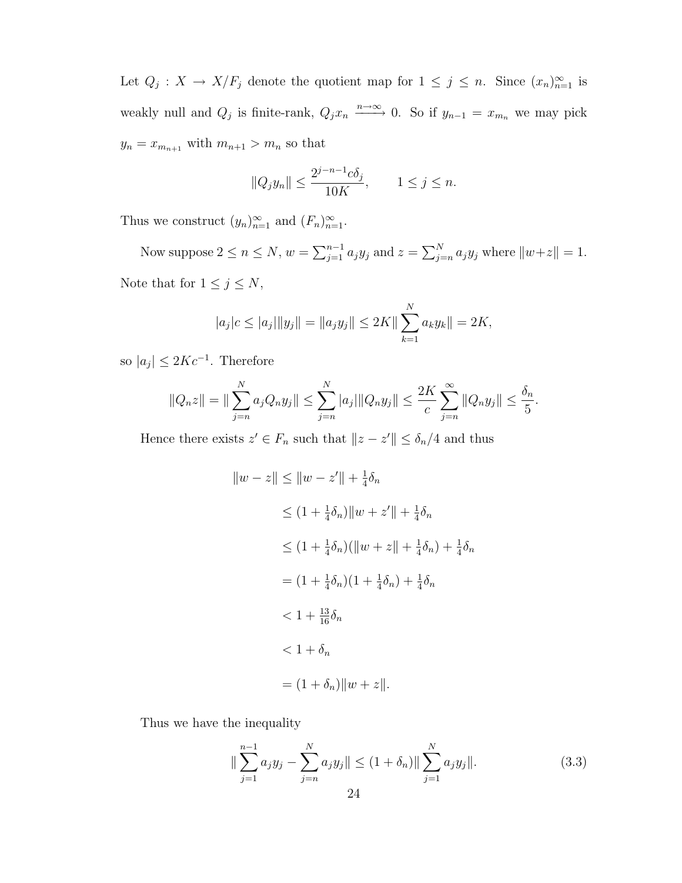Let  $Q_j: X \to X/F_j$  denote the quotient map for  $1 \leq j \leq n$ . Since  $(x_n)_{n=1}^{\infty}$  is weakly null and  $Q_j$  is finite-rank,  $Q_j x_n \xrightarrow{n \to \infty} 0$ . So if  $y_{n-1} = x_{m_n}$  we may pick  $y_n = x_{m_{n+1}}$  with  $m_{n+1} > m_n$  so that

$$
||Q_jy_n|| \le \frac{2^{j-n-1}c\delta_j}{10K}, \qquad 1 \le j \le n.
$$

Thus we construct  $(y_n)_{n=1}^{\infty}$  and  $(F_n)_{n=1}^{\infty}$ .

Now suppose  $2 \le n \le N$ ,  $w = \sum_{j=1}^{n-1} a_j y_j$  and  $z = \sum_{j=n}^{N} a_j y_j$  where  $||w+z|| = 1$ . Note that for  $1 \leq j \leq N$ ,

$$
|a_j|c \le |a_j| \|y_j\| = \|a_j y_j\| \le 2K \|\sum_{k=1}^N a_k y_k\| = 2K,
$$

so  $|a_j| \leq 2Kc^{-1}$ . Therefore

$$
||Q_nz|| = ||\sum_{j=n}^N a_j Q_n y_j|| \le \sum_{j=n}^N |a_j| ||Q_n y_j|| \le \frac{2K}{c} \sum_{j=n}^\infty ||Q_n y_j|| \le \frac{\delta_n}{5}.
$$

Hence there exists  $z' \in F_n$  such that  $||z - z'|| \leq \delta_n/4$  and thus

$$
||w - z|| \le ||w - z'|| + \frac{1}{4}\delta_n
$$
  
\n
$$
\le (1 + \frac{1}{4}\delta_n) ||w + z'|| + \frac{1}{4}\delta_n
$$
  
\n
$$
\le (1 + \frac{1}{4}\delta_n) (||w + z|| + \frac{1}{4}\delta_n) + \frac{1}{4}\delta_n
$$
  
\n
$$
= (1 + \frac{1}{4}\delta_n)(1 + \frac{1}{4}\delta_n) + \frac{1}{4}\delta_n
$$
  
\n
$$
< 1 + \frac{13}{16}\delta_n
$$
  
\n
$$
< 1 + \delta_n
$$
  
\n
$$
= (1 + \delta_n) ||w + z||.
$$

Thus we have the inequality

<span id="page-29-0"></span>
$$
\|\sum_{j=1}^{n-1} a_j y_j - \sum_{j=n}^{N} a_j y_j \| \le (1 + \delta_n) \|\sum_{j=1}^{N} a_j y_j \|.
$$
 (3.3)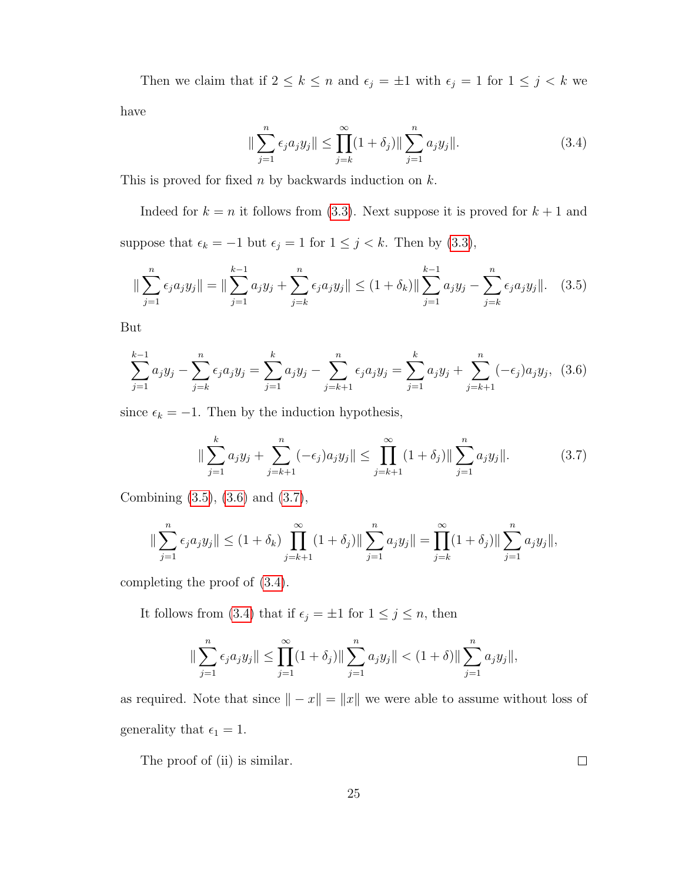Then we claim that if  $2 \leq k \leq n$  and  $\epsilon_j = \pm 1$  with  $\epsilon_j = 1$  for  $1 \leq j \leq k$  we

have

<span id="page-30-3"></span>
$$
\|\sum_{j=1}^{n} \epsilon_j a_j y_j \| \le \prod_{j=k}^{\infty} (1+\delta_j) \|\sum_{j=1}^{n} a_j y_j \|.
$$
 (3.4)

This is proved for fixed  $n$  by backwards induction on  $k$ .

Indeed for  $k = n$  it follows from [\(3.3\)](#page-29-0). Next suppose it is proved for  $k + 1$  and suppose that  $\epsilon_k = -1$  but  $\epsilon_j = 1$  for  $1 \le j \le k$ . Then by [\(3.3\)](#page-29-0),

<span id="page-30-0"></span>
$$
\|\sum_{j=1}^{n} \epsilon_j a_j y_j\| = \|\sum_{j=1}^{k-1} a_j y_j + \sum_{j=k}^{n} \epsilon_j a_j y_j\| \le (1 + \delta_k) \|\sum_{j=1}^{k-1} a_j y_j - \sum_{j=k}^{n} \epsilon_j a_j y_j\|. \quad (3.5)
$$

But

<span id="page-30-1"></span>
$$
\sum_{j=1}^{k-1} a_j y_j - \sum_{j=k}^n \epsilon_j a_j y_j = \sum_{j=1}^k a_j y_j - \sum_{j=k+1}^n \epsilon_j a_j y_j = \sum_{j=1}^k a_j y_j + \sum_{j=k+1}^n (-\epsilon_j) a_j y_j, \tag{3.6}
$$

since  $\epsilon_k = -1$ . Then by the induction hypothesis,

<span id="page-30-2"></span>
$$
\|\sum_{j=1}^{k} a_j y_j + \sum_{j=k+1}^{n} (-\epsilon_j) a_j y_j \| \le \prod_{j=k+1}^{\infty} (1+\delta_j) \|\sum_{j=1}^{n} a_j y_j \|.
$$
 (3.7)

Combining [\(3.5\)](#page-30-0), [\(3.6\)](#page-30-1) and [\(3.7\)](#page-30-2),

$$
\|\sum_{j=1}^n \epsilon_j a_j y_j\| \le (1+\delta_k) \prod_{j=k+1}^\infty (1+\delta_j) \|\sum_{j=1}^n a_j y_j\| = \prod_{j=k}^\infty (1+\delta_j) \|\sum_{j=1}^n a_j y_j\|,
$$

completing the proof of [\(3.4\)](#page-30-3).

It follows from [\(3.4\)](#page-30-3) that if  $\epsilon_j = \pm 1$  for  $1 \le j \le n$ , then

$$
\|\sum_{j=1}^n \epsilon_j a_j y_j\| \le \prod_{j=1}^\infty (1+\delta_j) \|\sum_{j=1}^n a_j y_j\| < (1+\delta) \|\sum_{j=1}^n a_j y_j\|,
$$

as required. Note that since  $\|-x\| = \|x\|$  we were able to assume without loss of generality that  $\epsilon_1 = 1$ .

The proof of (ii) is similar.

25

 $\Box$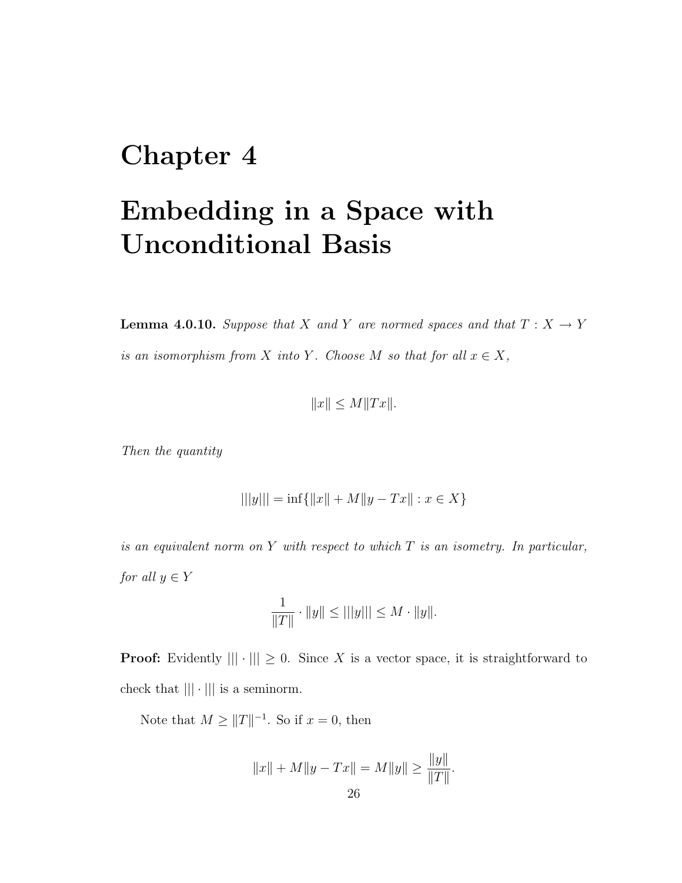### <span id="page-31-0"></span>Chapter 4

### Embedding in a Space with Unconditional Basis

**Lemma 4.0.10.** Suppose that X and Y are normed spaces and that  $T : X \rightarrow Y$ is an isomorphism from X into Y. Choose M so that for all  $x \in X$ ,

$$
||x|| \le M||Tx||.
$$

Then the quantity

$$
|||y||| = \inf\{||x|| + M||y - Tx|| : x \in X\}
$$

is an equivalent norm on  $Y$  with respect to which  $T$  is an isometry. In particular, for all  $y \in Y$ 

$$
\frac{1}{\|T\|} \cdot \|y\| \le |||y||| \le M \cdot \|y\|.
$$

**Proof:** Evidently  $|||\cdot||| \geq 0$ . Since X is a vector space, it is straightforward to check that  $|||\cdot|||$  is a seminorm.

Note that  $M \geq ||T||^{-1}$ . So if  $x = 0$ , then

$$
||x|| + M||y - Tx|| = M||y|| \ge \frac{||y||}{||T||}.
$$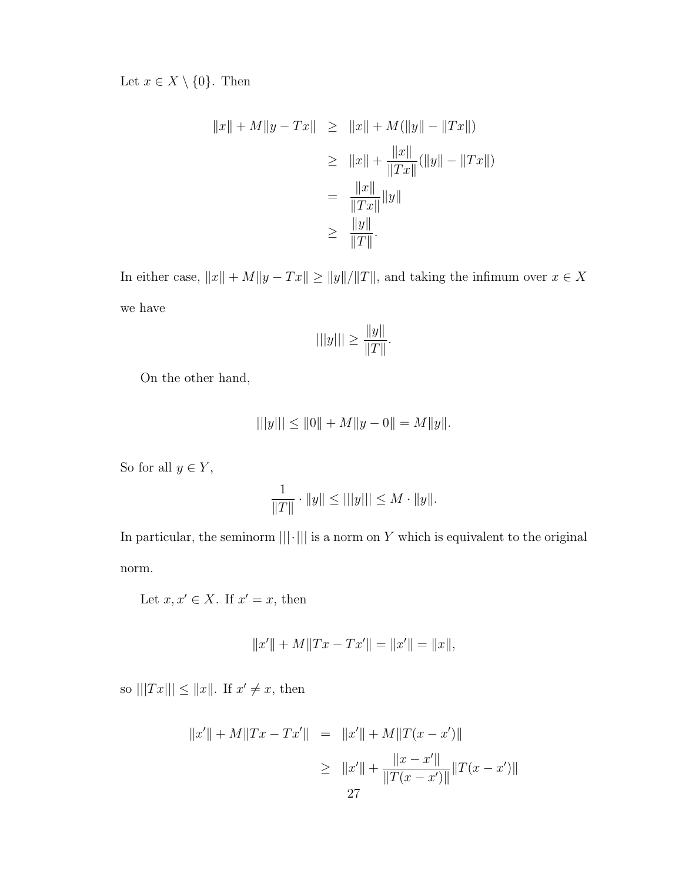Let  $x \in X \setminus \{0\}$ . Then

$$
||x|| + M||y - Tx|| \ge ||x|| + M(||y|| - ||Tx||)
$$
  
\n
$$
\ge ||x|| + \frac{||x||}{||Tx||} (||y|| - ||Tx||)
$$
  
\n
$$
= \frac{||x||}{||Tx||} ||y||
$$
  
\n
$$
\ge \frac{||y||}{||T||}.
$$

In either case,  $||x|| + M||y - Tx|| \ge ||y||/||T||$ , and taking the infimum over  $x \in X$ we have

$$
|||y||| \ge \frac{||y||}{||T||}.
$$

On the other hand,

$$
|||y||| \le ||0|| + M||y - 0|| = M||y||.
$$

So for all  $y\in Y,$ 

$$
\frac{1}{\|T\|} \cdot \|y\| \le |||y||| \le M \cdot \|y\|.
$$

In particular, the seminorm  $|||\cdot|||$  is a norm on  $Y$  which is equivalent to the original norm.

Let  $x, x' \in X$ . If  $x' = x$ , then

$$
||x'|| + M||Tx - Tx'|| = ||x'|| = ||x||,
$$

so  $|||Tx||| \leq ||x||$ . If  $x' \neq x$ , then

$$
||x'|| + M||Tx - Tx'|| = ||x'|| + M||T(x - x')||
$$
  
\n
$$
\geq ||x'|| + \frac{||x - x'||}{||T(x - x')||} ||T(x - x')||
$$
  
\n27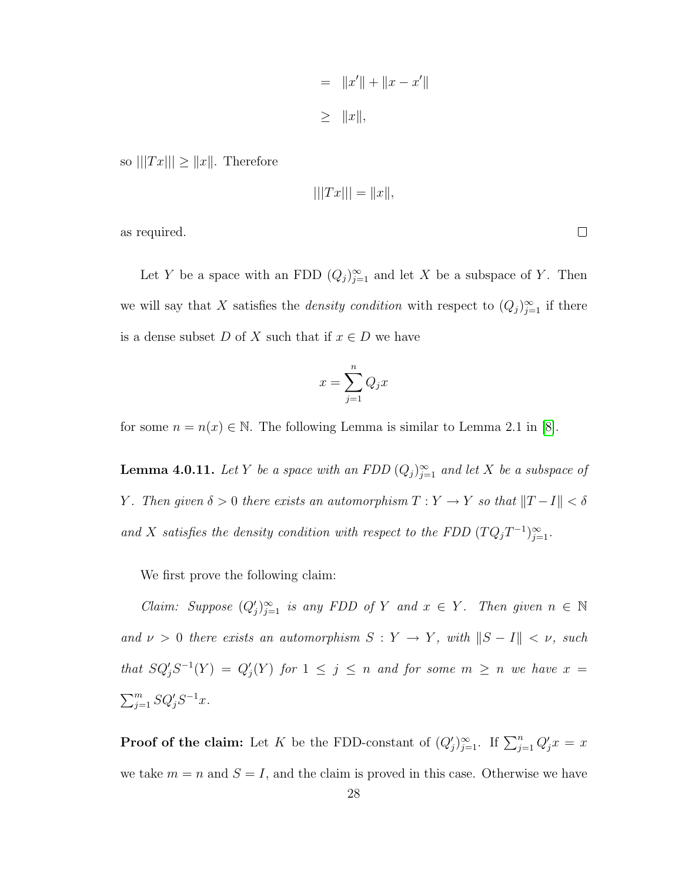$$
= \|x'\| + \|x - x'\|
$$
  

$$
\geq \|x\|,
$$

so  $|||Tx||| \ge ||x||$ . Therefore

$$
|||Tx||| = ||x||,
$$

as required.

Let Y be a space with an FDD  $(Q_j)_{j=1}^{\infty}$  and let X be a subspace of Y. Then we will say that X satisfies the *density condition* with respect to  $(Q_j)_{j=1}^{\infty}$  if there is a dense subset D of X such that if  $x \in D$  we have

$$
x = \sum_{j=1}^{n} Q_j x
$$

<span id="page-33-0"></span>for some  $n = n(x) \in \mathbb{N}$ . The following Lemma is similar to Lemma 2.1 in [\[8\]](#page-78-9).

**Lemma 4.0.11.** Let Y be a space with an FDD  $(Q_j)_{j=1}^{\infty}$  and let X be a subspace of Y. Then given  $\delta > 0$  there exists an automorphism  $T: Y \to Y$  so that  $||T - I|| < \delta$ and X satisfies the density condition with respect to the FDD  $(TQ_jT^{-1})_{j=1}^{\infty}$ .

We first prove the following claim:

*Claim:* Suppose  $(Q'_j)_{j=1}^{\infty}$  is any FDD of Y and  $x \in Y$ . Then given  $n \in \mathbb{N}$ and  $\nu > 0$  there exists an automorphism  $S: Y \to Y$ , with  $||S - I|| < \nu$ , such that  $SQ'_{j}S^{-1}(Y) = Q'_{j}(Y)$  for  $1 \leq j \leq n$  and for some  $m \geq n$  we have  $x =$  $\sum_{j=1}^m SQ'_jS^{-1}x.$ 

**Proof of the claim:** Let K be the FDD-constant of  $(Q'_j)_{j=1}^{\infty}$ . If  $\sum_{j=1}^n Q'_j x = x$ we take  $m = n$  and  $S = I$ , and the claim is proved in this case. Otherwise we have

 $\Box$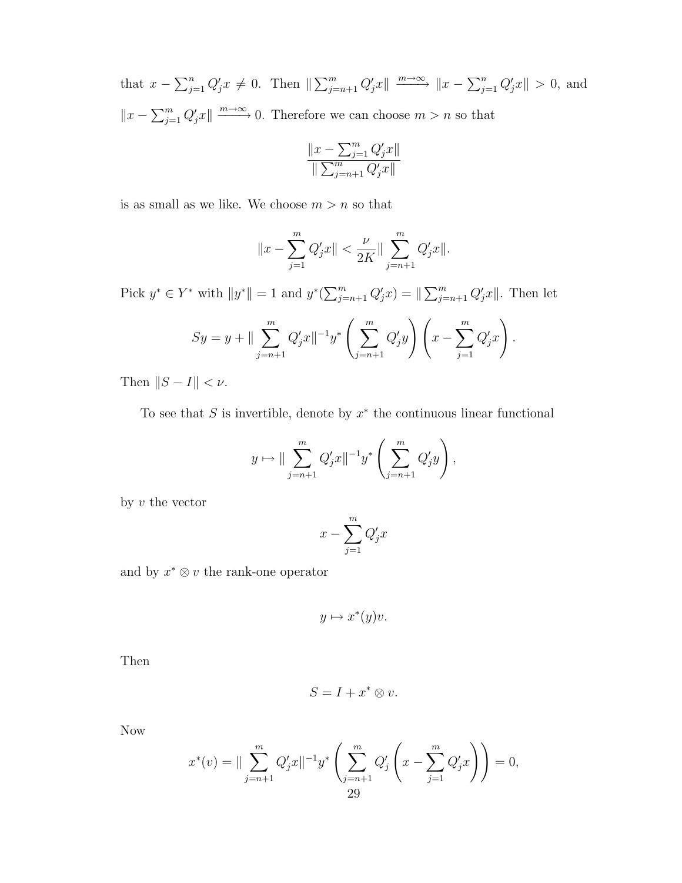that  $x - \sum_{j=1}^{n} Q'_j x \neq 0$ . Then  $\|\sum_{j=n+1}^{m} Q'_j x\| \xrightarrow{m \to \infty} \|x - \sum_{j=1}^{n} Q'_j x\| > 0$ , and  $||x - \sum_{j=1}^{m} Q'_j x|| \xrightarrow{m \to \infty} 0$ . Therefore we can choose  $m > n$  so that

$$
\frac{\|x-\sum_{j=1}^mQ'_jx\|}{\|\sum_{j=n+1}^mQ'_jx\|}
$$

is as small as we like. We choose  $m > n$  so that

$$
||x - \sum_{j=1}^{m} Q'_j x|| < \frac{\nu}{2K} || \sum_{j=n+1}^{m} Q'_j x||.
$$

Pick  $y^* \in Y^*$  with  $||y^*|| = 1$  and  $y^*(\sum_{j=n+1}^m Q'_j x) = ||\sum_{j=n+1}^m Q'_j x||$ . Then let

$$
Sy = y + || \sum_{j=n+1}^{m} Q'_j x ||^{-1} y^* \left( \sum_{j=n+1}^{m} Q'_j y \right) \left( x - \sum_{j=1}^{m} Q'_j x \right).
$$

Then  $||S - I|| < \nu$ .

To see that  $S$  is invertible, denote by  $x^*$  the continuous linear functional

$$
y \mapsto ||\sum_{j=n+1}^{m} Q'_j x||^{-1} y^* \left(\sum_{j=n+1}^{m} Q'_j y\right),
$$

by  $v$  the vector

$$
x - \sum_{j=1}^{m} Q'_j x
$$

and by  $x^* \otimes v$  the rank-one operator

$$
y \mapsto x^*(y)v.
$$

Then

$$
S = I + x^* \otimes v.
$$

Now

$$
x^*(v) = \|\sum_{j=n+1}^m Q'_j x\|^{-1} y^* \left(\sum_{j=n+1}^m Q'_j \left(x - \sum_{j=1}^m Q'_j x\right)\right) = 0,
$$
  
29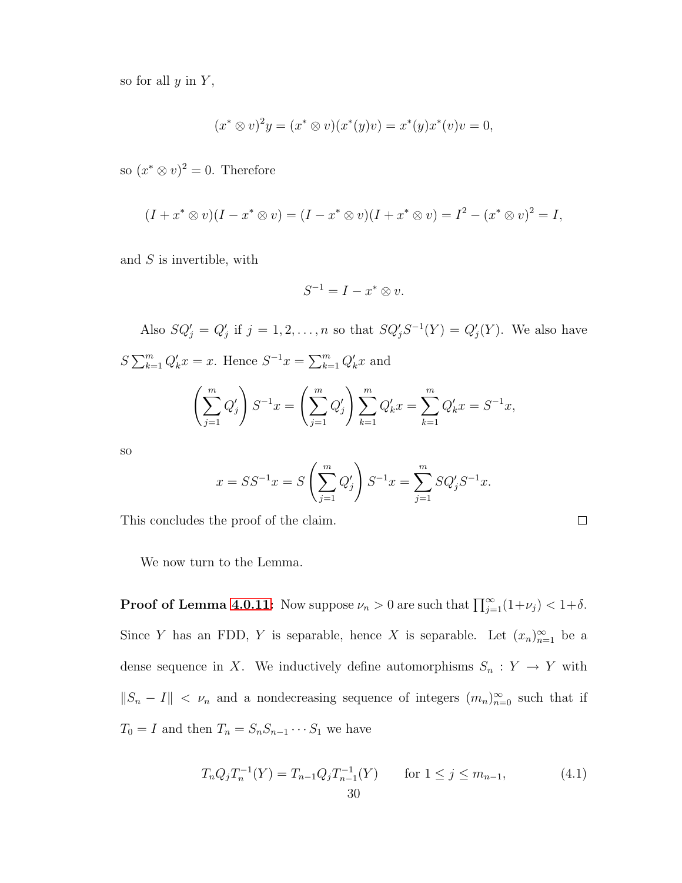so for all  $y$  in  $Y$ ,

$$
(x^* \otimes v)^2 y = (x^* \otimes v)(x^*(y)v) = x^*(y)x^*(v)v = 0,
$$

so  $(x^* \otimes v)^2 = 0$ . Therefore

$$
(I + x^* \otimes v)(I - x^* \otimes v) = (I - x^* \otimes v)(I + x^* \otimes v) = I^2 - (x^* \otimes v)^2 = I,
$$

and S is invertible, with

$$
S^{-1} = I - x^* \otimes v.
$$

Also  $SQ'_j = Q'_j$  if  $j = 1, 2, ..., n$  so that  $SQ'_jS^{-1}(Y) = Q'_j(Y)$ . We also have  $S \sum_{k=1}^{m} Q'_k x = x$ . Hence  $S^{-1} x = \sum_{k=1}^{m} Q'_k x$  and  $\left(\sum_{i=1}^{m}$  $j=1$  $Q_j'$  $\setminus$  $S^{-1}x = \left(\sum_{n=1}^{m} \right)$  $j=1$  $Q'_{j}$   $\sum^{m}$  $k=1$  $Q'_k x = \sum^m$  $k=1$  $Q'_k x = S^{-1} x,$ 

so

$$
x = SS^{-1}x = S\left(\sum_{j=1}^{m} Q'_j\right) S^{-1}x = \sum_{j=1}^{m} SQ'_j S^{-1}x.
$$

This concludes the proof of the claim.

$$
\Box
$$

We now turn to the Lemma.

**Proof of Lemma [4.0.11:](#page-33-0)** Now suppose  $\nu_n > 0$  are such that  $\prod_{j=1}^{\infty} (1 + \nu_j) < 1 + \delta$ . Since Y has an FDD, Y is separable, hence X is separable. Let  $(x_n)_{n=1}^{\infty}$  be a dense sequence in X. We inductively define automorphisms  $S_n : Y \to Y$  with  $||S_n - I|| < \nu_n$  and a nondecreasing sequence of integers  $(m_n)_{n=0}^{\infty}$  such that if  $T_0 = I$  and then  $T_n = S_n S_{n-1} \cdots S_1$  we have

$$
T_n Q_j T_n^{-1}(Y) = T_{n-1} Q_j T_{n-1}^{-1}(Y) \qquad \text{for } 1 \le j \le m_{n-1},
$$
\n
$$
30 \qquad \qquad 30
$$
\n(4.1)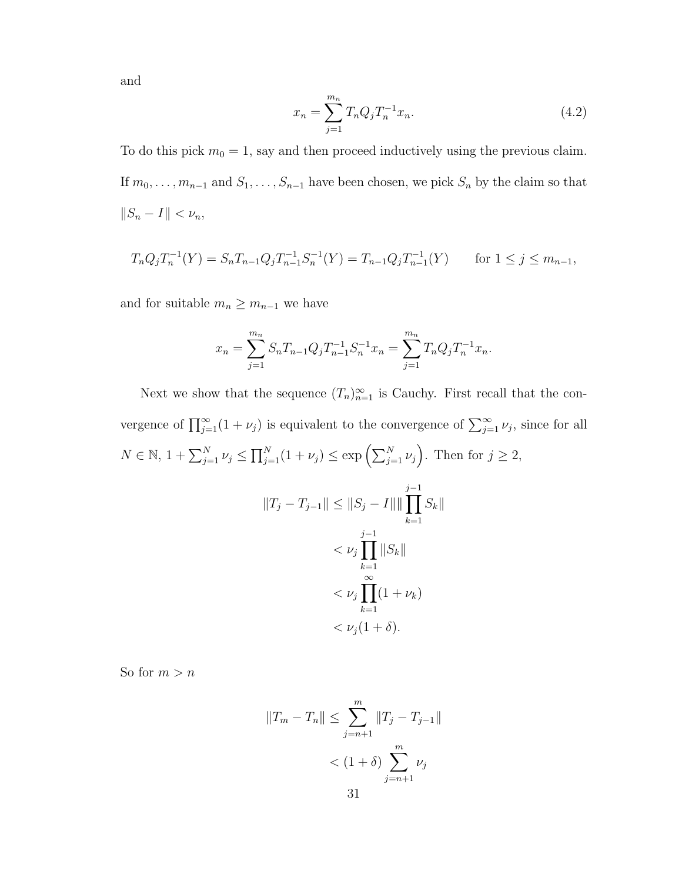and

<span id="page-36-0"></span>
$$
x_n = \sum_{j=1}^{m_n} T_n Q_j T_n^{-1} x_n.
$$
\n(4.2)

To do this pick  $m_0 = 1$ , say and then proceed inductively using the previous claim. If  $m_0, \ldots, m_{n-1}$  and  $S_1, \ldots, S_{n-1}$  have been chosen, we pick  $S_n$  by the claim so that  $||S_n - I|| < \nu_n,$ 

$$
T_n Q_j T_n^{-1}(Y) = S_n T_{n-1} Q_j T_{n-1}^{-1} S_n^{-1}(Y) = T_{n-1} Q_j T_{n-1}^{-1}(Y) \quad \text{for } 1 \le j \le m_{n-1},
$$

and for suitable  $m_n \geq m_{n-1}$  we have

$$
x_n = \sum_{j=1}^{m_n} S_n T_{n-1} Q_j T_{n-1}^{-1} S_n^{-1} x_n = \sum_{j=1}^{m_n} T_n Q_j T_n^{-1} x_n.
$$

Next we show that the sequence  $(T_n)_{n=1}^{\infty}$  is Cauchy. First recall that the convergence of  $\prod_{j=1}^{\infty} (1 + \nu_j)$  is equivalent to the convergence of  $\sum_{j=1}^{\infty} \nu_j$ , since for all  $N \in \mathbb{N}, 1 + \sum_{j=1}^{N} \nu_j \le \prod_{j=1}^{N} (1 + \nu_j) \le \exp\left(\sum_{j=1}^{N} \nu_j\right)$ . Then for  $j \ge 2$ ,  $||T_j - T_{j-1}|| \leq ||S_j - I|| ||\prod$  $j-1$  $k=1$  $S_k$ ||  $< \nu_j \prod$  $j-1$  $k=1$  $||S_k||$  $< \nu_j \prod^{\infty}$  $k=1$  $(1 + \nu_k)$ 

$$
\langle \nu_j(1+\delta).
$$

So for  $m > n$ 

$$
||T_m - T_n|| \le \sum_{j=n+1}^m ||T_j - T_{j-1}||
$$
  
< 
$$
< (1 + \delta) \sum_{j=n+1}^m \nu_j
$$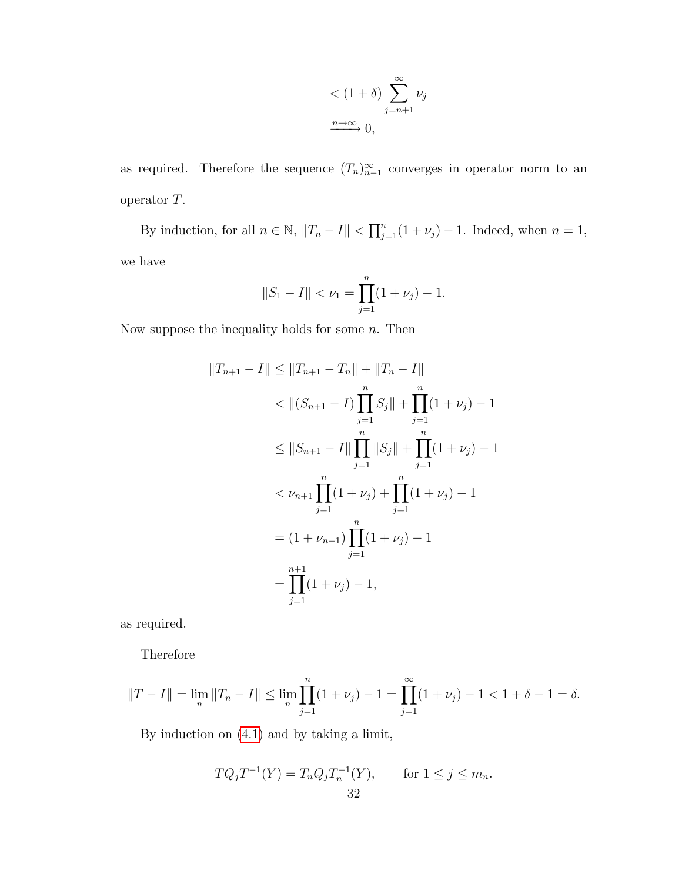$$
\langle (1+\delta) \sum_{j=n+1}^{\infty} \nu_j
$$
  

$$
\xrightarrow{n \to \infty} 0,
$$

as required. Therefore the sequence  $(T_n)_{n=1}^{\infty}$  converges in operator norm to an operator T.

By induction, for all  $n \in \mathbb{N}$ ,  $||T_n - I|| < \prod_{j=1}^n (1 + \nu_j) - 1$ . Indeed, when  $n = 1$ , we have

$$
||S_1 - I|| < \nu_1 = \prod_{j=1}^n (1 + \nu_j) - 1.
$$

Now suppose the inequality holds for some  $n$ . Then

$$
||T_{n+1} - I|| \le ||T_{n+1} - T_n|| + ||T_n - I||
$$
  
\n
$$
< ||(S_{n+1} - I)\prod_{j=1}^n S_j|| + \prod_{j=1}^n (1 + \nu_j) - 1
$$
  
\n
$$
\le ||S_{n+1} - I|| \prod_{j=1}^n ||S_j|| + \prod_{j=1}^n (1 + \nu_j) - 1
$$
  
\n
$$
< \nu_{n+1} \prod_{j=1}^n (1 + \nu_j) + \prod_{j=1}^n (1 + \nu_j) - 1
$$
  
\n
$$
= (1 + \nu_{n+1}) \prod_{j=1}^n (1 + \nu_j) - 1
$$
  
\n
$$
= \prod_{j=1}^{n+1} (1 + \nu_j) - 1,
$$
  
\n
$$
= \prod_{j=1}^{n+1} (1 + \nu_j) - 1,
$$

as required.

Therefore

$$
||T - I|| = \lim_{n} ||T_n - I|| \le \lim_{n} \prod_{j=1}^{n} (1 + \nu_j) - 1 = \prod_{j=1}^{\infty} (1 + \nu_j) - 1 < 1 + \delta - 1 = \delta.
$$

By induction on [\(4.1\)](#page-35-0) and by taking a limit,

$$
TQ_jT^{-1}(Y) = T_nQ_jT_n^{-1}(Y), \quad \text{for } 1 \le j \le m_n.
$$
  
32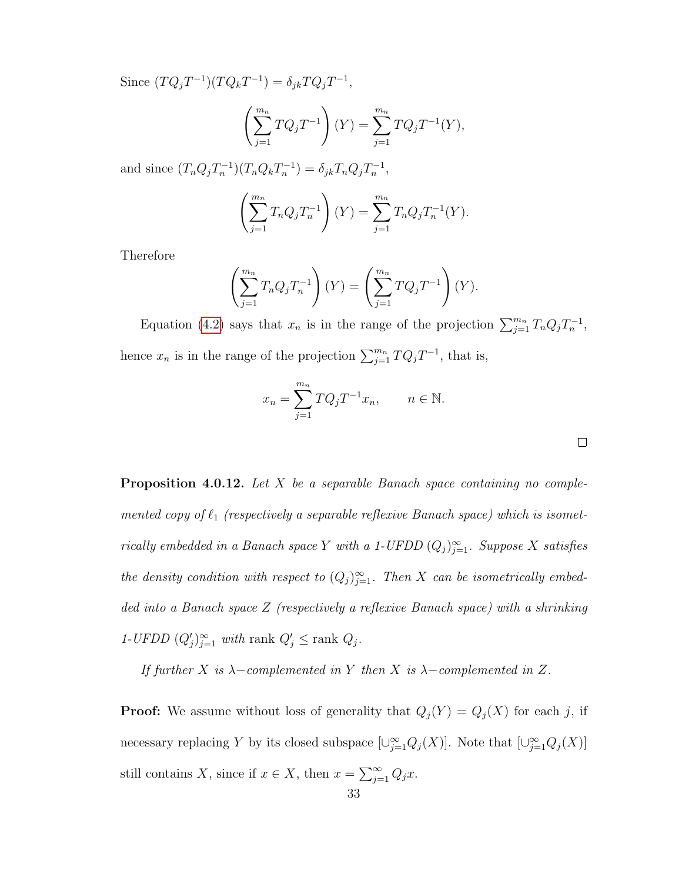Since  $(TQ_jT^{-1})(TQ_kT^{-1}) = \delta_{jk}TQ_jT^{-1},$ 

$$
\left(\sum_{j=1}^{m_n} TQ_j T^{-1}\right)(Y) = \sum_{j=1}^{m_n} TQ_j T^{-1}(Y),
$$

and since  $(T_n Q_j T_n^{-1}) (T_n Q_k T_n^{-1}) = \delta_{jk} T_n Q_j T_n^{-1}$ ,

$$
\left(\sum_{j=1}^{m_n} T_n Q_j T_n^{-1}\right)(Y) = \sum_{j=1}^{m_n} T_n Q_j T_n^{-1}(Y).
$$

Therefore

$$
\left(\sum_{j=1}^{m_n} T_n Q_j T_n^{-1}\right)(Y) = \left(\sum_{j=1}^{m_n} T Q_j T^{-1}\right)(Y).
$$

Equation [\(4.2\)](#page-36-0) says that  $x_n$  is in the range of the projection  $\sum_{j=1}^{m_n} T_n Q_j T_n^{-1}$ , hence  $x_n$  is in the range of the projection  $\sum_{j=1}^{m_n} T Q_j T^{-1}$ , that is,

$$
x_n = \sum_{j=1}^{m_n} TQ_j T^{-1} x_n, \qquad n \in \mathbb{N}.
$$

<span id="page-38-0"></span>

| <b>Proposition 4.0.12.</b> Let X be a separable Banach space containing no comple-                |
|---------------------------------------------------------------------------------------------------|
| mented copy of $\ell_1$ (respectively a separable reflexive Banach space) which is isomet-        |
| rically embedded in a Banach space Y with a 1-UFDD $(Q_i)_{i=1}^{\infty}$ . Suppose X satisfies   |
| the density condition with respect to $(Q_i)_{i=1}^{\infty}$ . Then X can be isometrically embed- |
| ded into a Banach space Z (respectively a reflexive Banach space) with a shrinking                |
| 1-UFDD $(Q'_i)_{i=1}^{\infty}$ with rank $Q'_i \leq$ rank $Q_i$ .                                 |

If further X is  $\lambda$ -complemented in Y then X is  $\lambda$ -complemented in Z.

**Proof:** We assume without loss of generality that  $Q_j(Y) = Q_j(X)$  for each j, if necessary replacing Y by its closed subspace  $[\cup_{j=1}^{\infty} Q_j(X)]$ . Note that  $[\cup_{j=1}^{\infty} Q_j(X)]$ still contains X, since if  $x \in X$ , then  $x = \sum_{j=1}^{\infty} Q_j x$ .

 $\Box$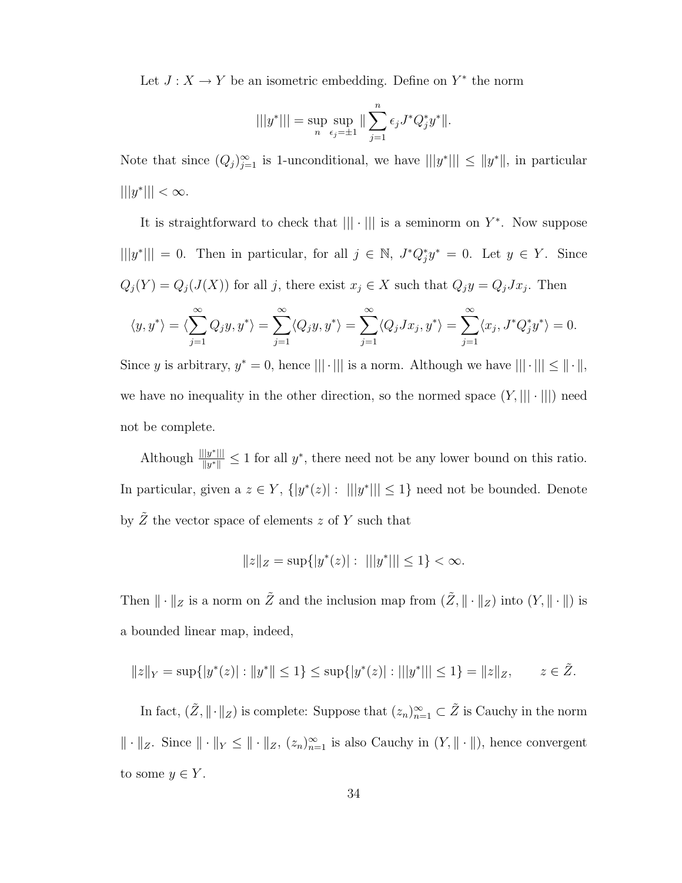Let  $J: X \to Y$  be an isometric embedding. Define on  $Y^*$  the norm

$$
|||y^*||| = \sup_n \sup_{\epsilon_j = \pm 1} || \sum_{j=1}^n \epsilon_j J^* Q_j^* y^* ||.
$$

Note that since  $(Q_j)_{j=1}^{\infty}$  is 1-unconditional, we have  $|||y^*||| \le ||y^*||$ , in particular  $|||y^*||| < \infty$ .

It is straightforward to check that  $\| \cdot \|$  is a seminorm on  $Y^*$ . Now suppose  $|||y^*||| = 0$ . Then in particular, for all  $j \in \mathbb{N}$ ,  $J^*Q_j^*y^* = 0$ . Let  $y \in Y$ . Since  $Q_j(Y) = Q_j(J(X))$  for all j, there exist  $x_j \in X$  such that  $Q_j y = Q_j J x_j$ . Then

$$
\langle y, y^* \rangle = \langle \sum_{j=1}^{\infty} Q_j y, y^* \rangle = \sum_{j=1}^{\infty} \langle Q_j y, y^* \rangle = \sum_{j=1}^{\infty} \langle Q_j J x_j, y^* \rangle = \sum_{j=1}^{\infty} \langle x_j, J^* Q_j^* y^* \rangle = 0.
$$

Since y is arbitrary,  $y^* = 0$ , hence  $|||\cdot|||$  is a norm. Although we have  $|||\cdot||| \le ||\cdot||$ , we have no inequality in the other direction, so the normed space  $(Y,|||\cdot|||)$  need not be complete.

Although  $\frac{|||y^*|||}{||y^*||}$  $\frac{||y^*||}{||y^*||}$  ≤ 1 for all y<sup>\*</sup>, there need not be any lower bound on this ratio. In particular, given a  $z \in Y$ ,  $\{|y^*(z)| : |||y^*||| \leq 1\}$  need not be bounded. Denote by  $\tilde{Z}$  the vector space of elements z of Y such that

$$
||z||_Z = \sup\{|y^*(z)| : |||y^*||| \le 1\} < \infty.
$$

Then  $\|\cdot\|_Z$  is a norm on  $\tilde{Z}$  and the inclusion map from  $(\tilde{Z}, \|\cdot\|_Z)$  into  $(Y, \|\cdot\|)$  is a bounded linear map, indeed,

$$
||z||_Y = \sup\{|y^*(z)| : ||y^*|| \le 1\} \le \sup\{|y^*(z)| : |||y^*||| \le 1\} = ||z||_Z, \qquad z \in \tilde{Z}.
$$

In fact,  $(\tilde{Z}, \|\cdot\|_Z)$  is complete: Suppose that  $(z_n)_{n=1}^{\infty} \subset \tilde{Z}$  is Cauchy in the norm  $\|\cdot\|_Z$ . Since  $\|\cdot\|_Y \leq \|\cdot\|_Z$ ,  $(z_n)_{n=1}^{\infty}$  is also Cauchy in  $(Y, \|\cdot\|)$ , hence convergent to some  $y \in Y$ .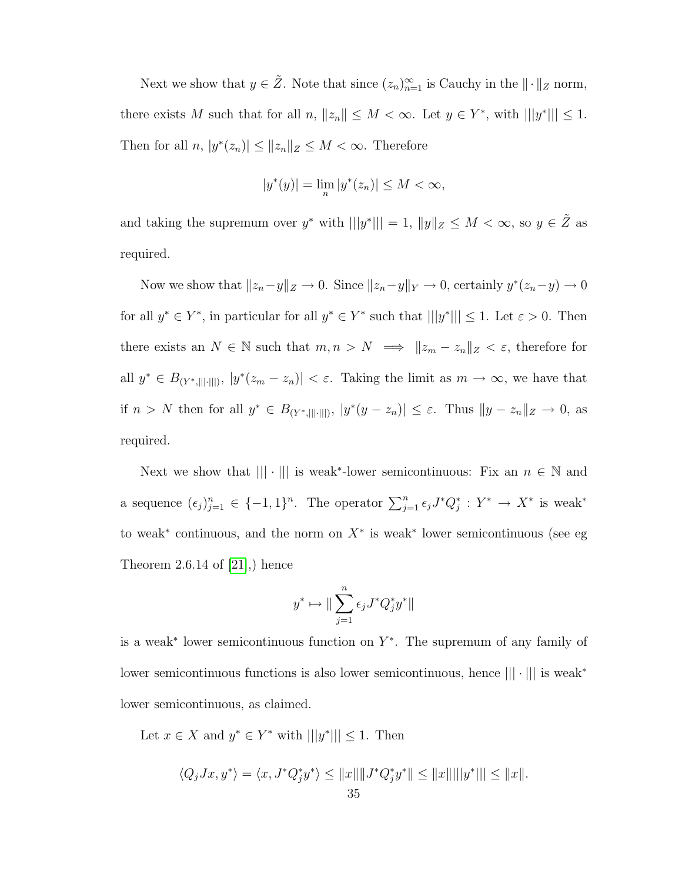Next we show that  $y \in \tilde{Z}$ . Note that since  $(z_n)_{n=1}^{\infty}$  is Cauchy in the  $\|\cdot\|_Z$  norm, there exists M such that for all  $n, ||z_n|| \leq M < \infty$ . Let  $y \in Y^*$ , with  $|||y^*||| \leq 1$ . Then for all  $n, |y^*(z_n)| \leq ||z_n||_Z \leq M < \infty$ . Therefore

$$
|y^*(y)| = \lim_n |y^*(z_n)| \le M < \infty,
$$

and taking the supremum over  $y^*$  with  $|||y^*||| = 1$ ,  $||y||_Z \leq M < \infty$ , so  $y \in \tilde{Z}$  as required.

Now we show that  $||z_n-y||_Z \to 0$ . Since  $||z_n-y||_Y \to 0$ , certainly  $y^*(z_n-y) \to 0$ for all  $y^* \in Y^*$ , in particular for all  $y^* \in Y^*$  such that  $|||y^*||| \leq 1$ . Let  $\varepsilon > 0$ . Then there exists an  $N \in \mathbb{N}$  such that  $m, n > N \implies ||z_m - z_n||_Z < \varepsilon$ , therefore for all  $y^* \in B_{(Y^*,\|\|\cdot\|)}, |y^*(z_m - z_n)| < \varepsilon$ . Taking the limit as  $m \to \infty$ , we have that if  $n > N$  then for all  $y^* \in B_{(Y^*,||\cdot|||)}, |y^*(y - z_n)| \leq \varepsilon$ . Thus  $||y - z_n||_Z \to 0$ , as required.

Next we show that  $\| |\cdot| \|$  is weak<sup>\*</sup>-lower semicontinuous: Fix an  $n \in \mathbb{N}$  and a sequence  $(\epsilon_j)_{j=1}^n \in \{-1,1\}^n$ . The operator  $\sum_{j=1}^n \epsilon_j J^* Q_j^* : Y^* \to X^*$  is weak<sup>\*</sup> to weak<sup>\*</sup> continuous, and the norm on  $X^*$  is weak<sup>\*</sup> lower semicontinuous (see eg Theorem 2.6.14 of  $[21]$ , hence

$$
y^*\mapsto \|\sum_{j=1}^n \epsilon_j J^*Q_j^*y^*\|
$$

is a weak<sup>∗</sup> lower semicontinuous function on Y ∗ . The supremum of any family of lower semicontinuous functions is also lower semicontinuous, hence ||| · ||| is weak<sup>∗</sup> lower semicontinuous, as claimed.

Let  $x \in X$  and  $y^* \in Y^*$  with  $|||y^*||| \leq 1$ . Then

$$
\langle Q_j Jx, y^* \rangle = \langle x, J^* Q_j^* y^* \rangle \le ||x|| ||J^* Q_j^* y^*|| \le ||x|| ||y^*||| \le ||x||.
$$
  
35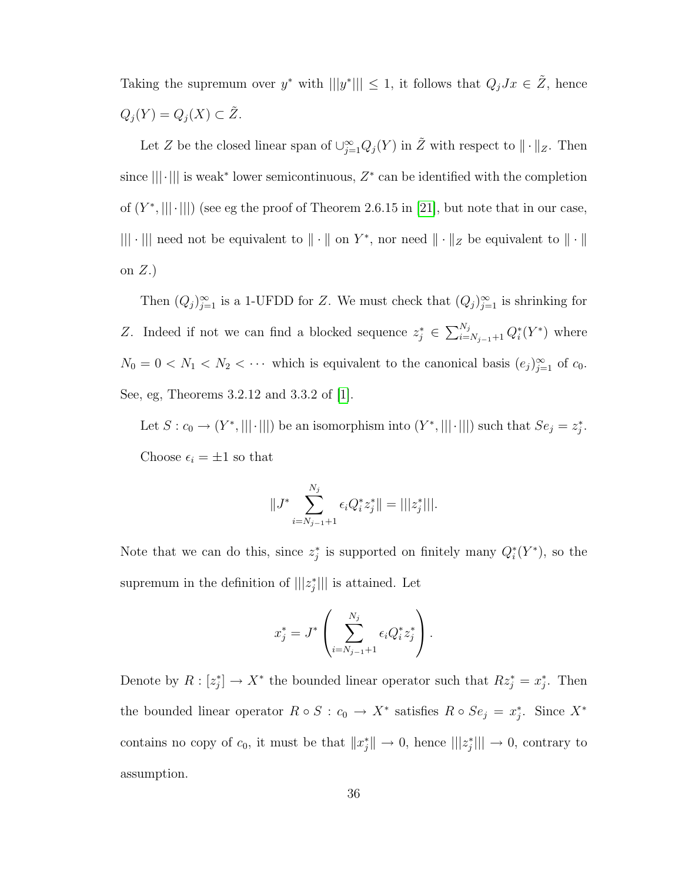Taking the supremum over  $y^*$  with  $|||y^*||| \leq 1$ , it follows that  $Q_j J x \in \tilde{Z}$ , hence  $Q_j(Y) = Q_j(X) \subset \tilde{Z}.$ 

Let Z be the closed linear span of  $\cup_{j=1}^{\infty} Q_j(Y)$  in  $\tilde{Z}$  with respect to  $\|\cdot\|_Z$ . Then since  $\|\cdot\|$  is weak<sup>\*</sup> lower semicontinuous,  $Z^*$  can be identified with the completion of  $(Y^*,|||\cdot|||)$  (see eg the proof of Theorem 2.6.15 in [\[21\]](#page-79-0), but note that in our case, ||| · ||| need not be equivalent to  $\|\cdot\|$  on  $Y^*$ , nor need  $\|\cdot\|_Z$  be equivalent to  $\|\cdot\|$ on  $Z.$ )

Then  $(Q_j)_{j=1}^{\infty}$  is a 1-UFDD for Z. We must check that  $(Q_j)_{j=1}^{\infty}$  is shrinking for Z. Indeed if not we can find a blocked sequence  $z_j^* \in \sum_{i=N_{j-1}+1}^{N_j} Q_i^*(Y^*)$  where  $N_0 = 0 < N_1 < N_2 < \cdots$  which is equivalent to the canonical basis  $(e_j)_{j=1}^{\infty}$  of  $c_0$ . See, eg, Theorems 3.2.12 and 3.3.2 of [\[1\]](#page-78-0).

Let  $S: c_0 \to (Y^*, ||| \cdot |||)$  be an isomorphism into  $(Y^*, ||| \cdot |||)$  such that  $Se_j = z_j^*$ . Choose  $\epsilon_i = \pm 1$  so that

$$
||J^* \sum_{i=N_{j-1}+1}^{N_j} \epsilon_i Q_i^* z_j^* || = |||z_j^*|||.
$$

Note that we can do this, since  $z_j^*$  is supported on finitely many  $Q_i^*(Y^*)$ , so the supremum in the definition of  $|||z_j^*|||$  is attained. Let

$$
x_j^* = J^* \left( \sum_{i=N_{j-1}+1}^{N_j} \epsilon_i Q_i^* z_j^* \right).
$$

Denote by  $R: [z_j^*] \to X^*$  the bounded linear operator such that  $Rz_j^* = x_j^*$ . Then the bounded linear operator  $R \circ S : c_0 \to X^*$  satisfies  $R \circ S e_j = x_j^*$ . Since  $X^*$ contains no copy of  $c_0$ , it must be that  $||x_j^*|| \to 0$ , hence  $|||z_j^*||| \to 0$ , contrary to assumption.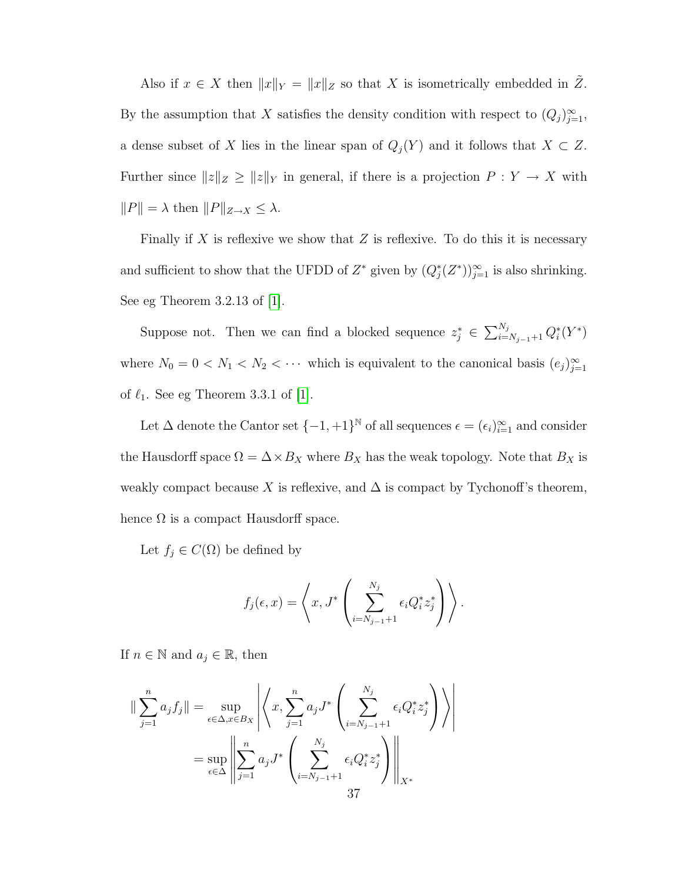Also if  $x \in X$  then  $||x||_Y = ||x||_Z$  so that X is isometrically embedded in  $\tilde{Z}$ . By the assumption that X satisfies the density condition with respect to  $(Q_j)_{j=1}^{\infty}$ , a dense subset of X lies in the linear span of  $Q_j(Y)$  and it follows that  $X \subset Z$ . Further since  $||z||_Z \ge ||z||_Y$  in general, if there is a projection  $P : Y \to X$  with  $||P|| = \lambda \text{ then } ||P||_{Z \to X} \leq \lambda.$ 

Finally if  $X$  is reflexive we show that  $Z$  is reflexive. To do this it is necessary and sufficient to show that the UFDD of  $Z^*$  given by  $(Q_j^*(Z^*))_{j=1}^{\infty}$  is also shrinking. See eg Theorem 3.2.13 of [\[1\]](#page-78-0).

Suppose not. Then we can find a blocked sequence  $z_j^* \in \sum_{i=N_{j-1}+1}^{N_j} Q_i^*(Y^*)$ where  $N_0 = 0 < N_1 < N_2 < \cdots$  which is equivalent to the canonical basis  $(e_j)_{j=1}^{\infty}$ of  $\ell_1$ . See eg Theorem 3.3.1 of [\[1\]](#page-78-0).

Let  $\Delta$  denote the Cantor set  $\{-1, +1\}^{\mathbb{N}}$  of all sequences  $\epsilon = (\epsilon_i)_{i=1}^{\infty}$  and consider the Hausdorff space  $\Omega = \Delta \times B_X$  where  $B_X$  has the weak topology. Note that  $B_X$  is weakly compact because X is reflexive, and  $\Delta$  is compact by Tychonoff's theorem, hence  $\Omega$  is a compact Hausdorff space.

Let  $f_j \in C(\Omega)$  be defined by

$$
f_j(\epsilon, x) = \left\langle x, J^* \left( \sum_{i=N_{j-1}+1}^{N_j} \epsilon_i Q_i^* z_j^* \right) \right\rangle.
$$

If  $n \in \mathbb{N}$  and  $a_j \in \mathbb{R}$ , then

$$
\|\sum_{j=1}^{n} a_j f_j\| = \sup_{\epsilon \in \Delta, x \in B_X} \left| \left\langle x, \sum_{j=1}^{n} a_j J^* \left( \sum_{i=N_{j-1}+1}^{N_j} \epsilon_i Q_i^* z_j^* \right) \right\rangle \right|
$$
  

$$
= \sup_{\epsilon \in \Delta} \left\| \sum_{j=1}^{n} a_j J^* \left( \sum_{i=N_{j-1}+1}^{N_j} \epsilon_i Q_i^* z_j^* \right) \right\|_{X^*}
$$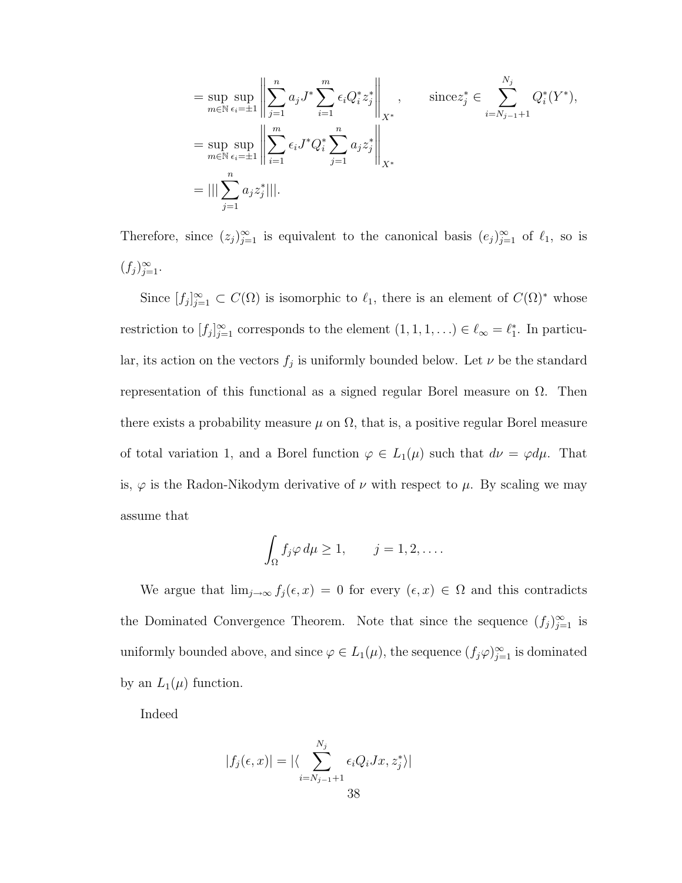$$
= \sup_{m \in \mathbb{N}} \sup_{\epsilon_i = \pm 1} \left\| \sum_{j=1}^n a_j J^* \sum_{i=1}^m \epsilon_i Q_i^* z_j^* \right\|_{X^*}, \quad \text{since} \quad z_j^* \in \sum_{i=N_{j-1}+1}^{N_j} Q_i^*(Y^*),
$$
  
\n
$$
= \sup_{m \in \mathbb{N}} \sup_{\epsilon_i = \pm 1} \left\| \sum_{i=1}^m \epsilon_i J^* Q_i^* \sum_{j=1}^n a_j z_j^* \right\|_{X^*}
$$
  
\n
$$
= ||| \sum_{j=1}^n a_j z_j^* |||.
$$

Therefore, since  $(z_j)_{j=1}^\infty$  is equivalent to the canonical basis  $(e_j)_{j=1}^\infty$  of  $\ell_1$ , so is  $(f_j)_{j=1}^{\infty}$ .

Since  $[f_j]_{j=1}^{\infty} \subset C(\Omega)$  is isomorphic to  $\ell_1$ , there is an element of  $C(\Omega)^*$  whose restriction to  $[f_j]_{j=1}^{\infty}$  corresponds to the element  $(1,1,1,\ldots) \in \ell_{\infty} = \ell_1^*$ . In particular, its action on the vectors  $f_j$  is uniformly bounded below. Let  $\nu$  be the standard representation of this functional as a signed regular Borel measure on Ω. Then there exists a probability measure  $\mu$  on  $\Omega$ , that is, a positive regular Borel measure of total variation 1, and a Borel function  $\varphi \in L_1(\mu)$  such that  $d\nu = \varphi d\mu$ . That is,  $\varphi$  is the Radon-Nikodym derivative of  $\nu$  with respect to  $\mu$ . By scaling we may assume that

$$
\int_{\Omega} f_j \varphi \, d\mu \ge 1, \qquad j = 1, 2, \dots.
$$

We argue that  $\lim_{j\to\infty} f_j(\epsilon, x) = 0$  for every  $(\epsilon, x) \in \Omega$  and this contradicts the Dominated Convergence Theorem. Note that since the sequence  $(f_j)_{j=1}^{\infty}$  is uniformly bounded above, and since  $\varphi \in L_1(\mu)$ , the sequence  $(f_j \varphi)_{j=1}^{\infty}$  is dominated by an  $L_1(\mu)$  function.

Indeed

$$
|f_j(\epsilon, x)| = |\langle \sum_{i=N_{j-1}+1}^{N_j} \epsilon_i Q_i Jx, z_j^* \rangle|
$$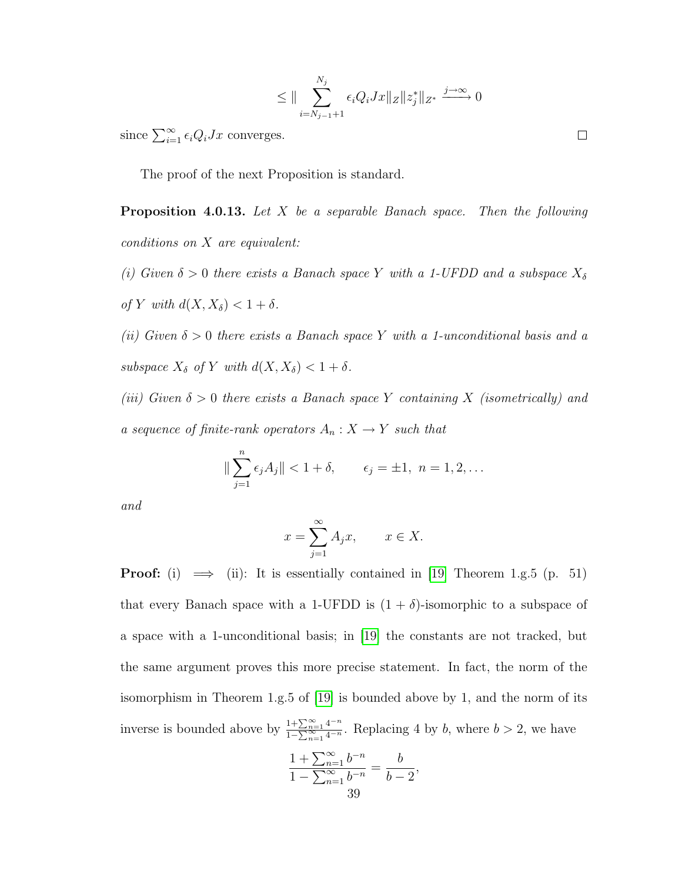$$
\leq \|\sum_{i=N_{j-1}+1}^{N_j} \epsilon_i Q_i Jx\|_Z \|z_j^*\|_{Z^*} \xrightarrow{j \to \infty} 0
$$

since  $\sum_{i=1}^{\infty} \epsilon_i Q_i J x$  converges.

<span id="page-44-0"></span>The proof of the next Proposition is standard.

**Proposition 4.0.13.** Let X be a separable Banach space. Then the following conditions on X are equivalent:

(i) Given  $\delta > 0$  there exists a Banach space Y with a 1-UFDD and a subspace  $X_{\delta}$ of Y with  $d(X, X_\delta) < 1 + \delta$ .

(ii) Given  $\delta > 0$  there exists a Banach space Y with a 1-unconditional basis and a subspace  $X_{\delta}$  of Y with  $d(X, X_{\delta}) < 1 + \delta$ .

(iii) Given  $\delta > 0$  there exists a Banach space Y containing X (isometrically) and a sequence of finite-rank operators  $A_n: X \to Y$  such that

$$
\|\sum_{j=1}^{n} \epsilon_j A_j\| < 1 + \delta, \qquad \epsilon_j = \pm 1, \ n = 1, 2, \dots
$$

and

$$
x = \sum_{j=1}^{\infty} A_j x, \qquad x \in X.
$$

**Proof:** (i)  $\implies$  (ii): It is essentially contained in [\[19\]](#page-79-1) Theorem 1.g.5 (p. 51) that every Banach space with a 1-UFDD is  $(1 + \delta)$ -isomorphic to a subspace of a space with a 1-unconditional basis; in [\[19\]](#page-79-1) the constants are not tracked, but the same argument proves this more precise statement. In fact, the norm of the isomorphism in Theorem 1.g.5 of [\[19\]](#page-79-1) is bounded above by 1, and the norm of its inverse is bounded above by  $\frac{1+\sum_{n=1}^{\infty} 4^{-n}}{1-\sum_{n=1}^{\infty} 4^{-n}}$  $\frac{1+2}{1-\sum_{n=1}^{\infty}4^{-n}}$ . Replacing 4 by b, where  $b > 2$ , we have

$$
\frac{1 + \sum_{n=1}^{\infty} b^{-n}}{1 - \sum_{n=1}^{\infty} b^{-n}} = \frac{b}{b-2},
$$
  
39

 $\Box$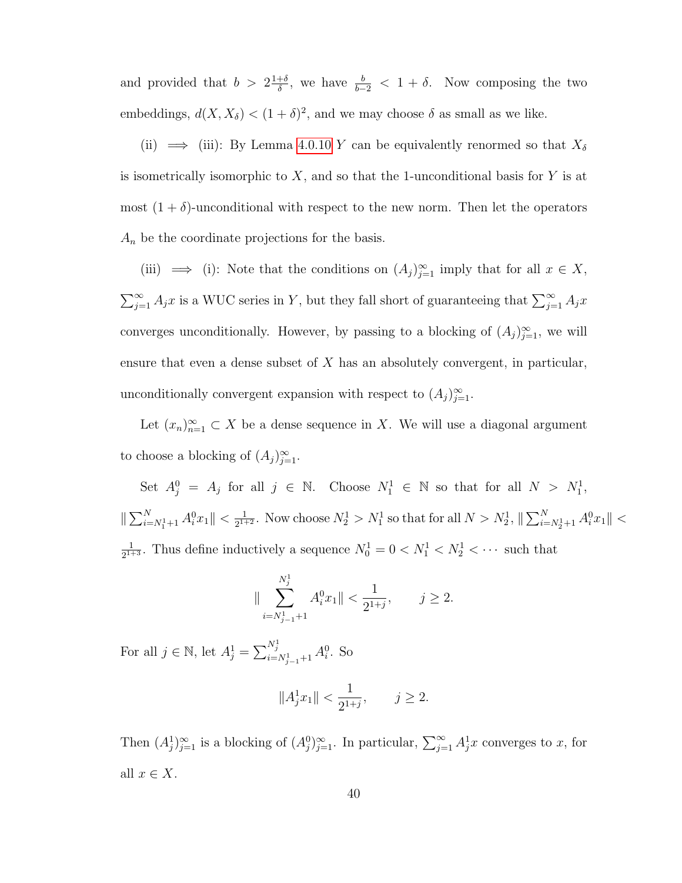and provided that  $b > 2\frac{1+\delta}{\delta}$  $\frac{+\delta}{\delta}$ , we have  $\frac{b}{b-2} < 1 + \delta$ . Now composing the two embeddings,  $d(X, X_{\delta}) < (1 + \delta)^2$ , and we may choose  $\delta$  as small as we like.

(ii)  $\implies$  (iii): By Lemma [4.0.10](#page-31-0) Y can be equivalently renormed so that  $X_{\delta}$ is isometrically isomorphic to  $X$ , and so that the 1-unconditional basis for  $Y$  is at most  $(1 + \delta)$ -unconditional with respect to the new norm. Then let the operators  $A_n$  be the coordinate projections for the basis.

(iii)  $\implies$  (i): Note that the conditions on  $(A_j)_{j=1}^{\infty}$  imply that for all  $x \in X$ ,  $\sum_{j=1}^{\infty} A_j x$  is a WUC series in Y, but they fall short of guaranteeing that  $\sum_{j=1}^{\infty} A_j x$ converges unconditionally. However, by passing to a blocking of  $(A_j)_{j=1}^{\infty}$ , we will ensure that even a dense subset of X has an absolutely convergent, in particular, unconditionally convergent expansion with respect to  $(A_j)_{j=1}^{\infty}$ .

Let  $(x_n)_{n=1}^{\infty} \subset X$  be a dense sequence in X. We will use a diagonal argument to choose a blocking of  $(A_j)_{j=1}^{\infty}$ .

Set  $A_j^0 = A_j$  for all  $j \in \mathbb{N}$ . Choose  $N_1^1 \in \mathbb{N}$  so that for all  $N > N_1^1$ ,  $\|\sum_{i=N_1^1+1}^N A_i^0 x_1\| < \frac{1}{2^{1+1}}$  $\frac{1}{2^{1+2}}$ . Now choose  $N_2^1 > N_1^1$  so that for all  $N > N_2^1$ ,  $\|\sum_{i=N_2^1+1}^N A_i^0 x_1\|$  < 1  $\frac{1}{2^{1+3}}$ . Thus define inductively a sequence  $N_0^1 = 0 < N_1^1 < N_2^1 < \cdots$  such that

$$
\|\sum_{i=N_{j-1}^1+1}^{N_j^1}A_i^0x_1\|<\frac{1}{2^{1+j}},\qquad j\geq 2.
$$

For all  $j \in \mathbb{N}$ , let  $A_j^1 = \sum_{i=N_{j-1}^1+1}^{N_j^1} A_i^0$ . So

$$
||A_j^1x_1|| < \frac{1}{2^{1+j}}, \qquad j \geq 2.
$$

Then  $(A_j^1)_{j=1}^{\infty}$  is a blocking of  $(A_j^0)_{j=1}^{\infty}$ . In particular,  $\sum_{j=1}^{\infty} A_j^1 x$  converges to x, for all  $x \in X$ .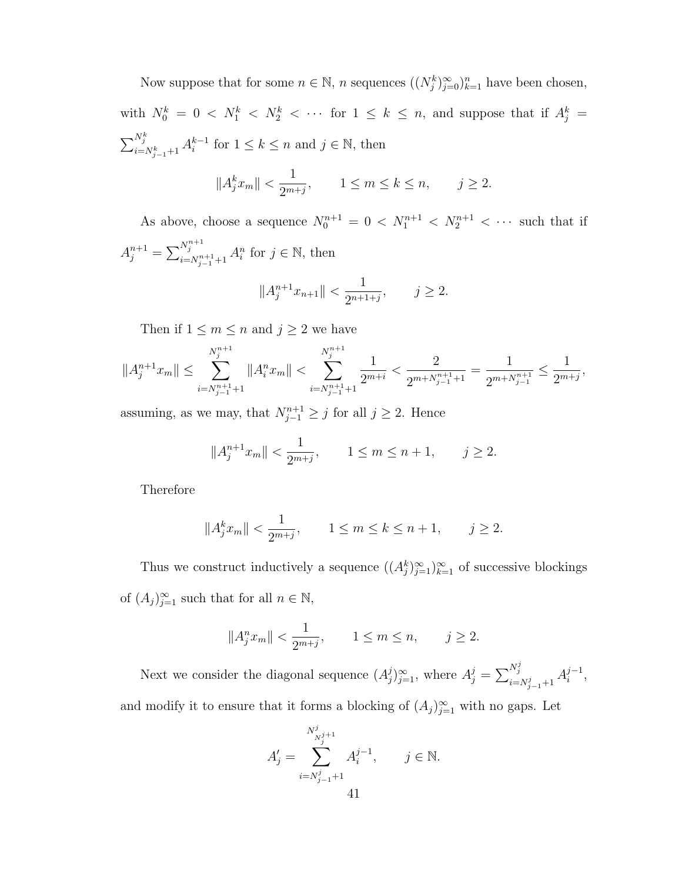Now suppose that for some  $n \in \mathbb{N}$ , n sequences  $((N_j^k)_{j=0}^{\infty})_{k=1}^n$  have been chosen, with  $N_0^k = 0 \lt N_1^k \lt N_2^k \lt \cdots$  for  $1 \leq k \leq n$ , and suppose that if  $A_j^k =$  $\sum_{i=N_{j-1}^k+1}^{N_j^k} A_i^{k-1}$  $i^{k-1}$  for  $1 \leq k \leq n$  and  $j \in \mathbb{N}$ , then

$$
||A_j^k x_m|| < \frac{1}{2^{m+j}}, \qquad 1 \le m \le k \le n, \qquad j \ge 2.
$$

As above, choose a sequence  $N_0^{n+1} = 0 \langle N_1^{n+1} \langle N_2^{n+1} \rangle \langle \cdots \rangle$  such that if  $A_j^{n+1} = \sum_{i=N}^{N_j^{n+1}}$  $\sum_{i=N_{j-1}^{n+1}+1}^{N_j^{n+1}} A_i^n$  for  $j \in \mathbb{N}$ , then

$$
||A_j^{n+1}x_{n+1}|| < \frac{1}{2^{n+1+j}}, \qquad j \ge 2.
$$

Then if  $1 \leq m \leq n$  and  $j \geq 2$  we have

$$
||A_j^{n+1}x_m|| \le \sum_{i=N_{j-1}^{n+1}+1}^{N_j^{n+1}} ||A_i^n x_m|| < \sum_{i=N_{j-1}^{n+1}+1}^{N_j^{n+1}} \frac{1}{2^{m+i}} < \frac{2}{2^{m+N_{j-1}^{n+1}+1}} = \frac{1}{2^{m+N_{j-1}^{n+1}}} \le \frac{1}{2^{m+j}},
$$

assuming, as we may, that  $N_{j-1}^{n+1} \geq j$  for all  $j \geq 2$ . Hence

$$
||A_j^{n+1}x_m|| < \frac{1}{2^{m+j}}, \qquad 1 \le m \le n+1, \qquad j \ge 2.
$$

Therefore

$$
||A_j^k x_m|| < \frac{1}{2^{m+j}}, \qquad 1 \le m \le k \le n+1, \qquad j \ge 2.
$$

Thus we construct inductively a sequence  $((A_j^k)_{j=1}^\infty)_{k=1}^\infty$  of successive blockings of  $(A_j)_{j=1}^{\infty}$  such that for all  $n \in \mathbb{N}$ ,

$$
||A_j^n x_m|| < \frac{1}{2^{m+j}}, \qquad 1 \le m \le n, \qquad j \ge 2.
$$

Next we consider the diagonal sequence  $(A_i^j)$  $(j)_{j=1}^{\infty}$ , where  $A_j^j = \sum_{i=1}^{N_j^j}$  $\sum_{i=N_{j-1}^j+1}^{N_j^j} A_i^{j-1}$  $i^{-1},$ and modify it to ensure that it forms a blocking of  $(A_j)_{j=1}^{\infty}$  with no gaps. Let

$$
A'_{j} = \sum_{i=N_{j-1}^{j}+1}^{N_{N_{j}^{j}+1}^{j}} A_{i}^{j-1}, \qquad j \in \mathbb{N}.
$$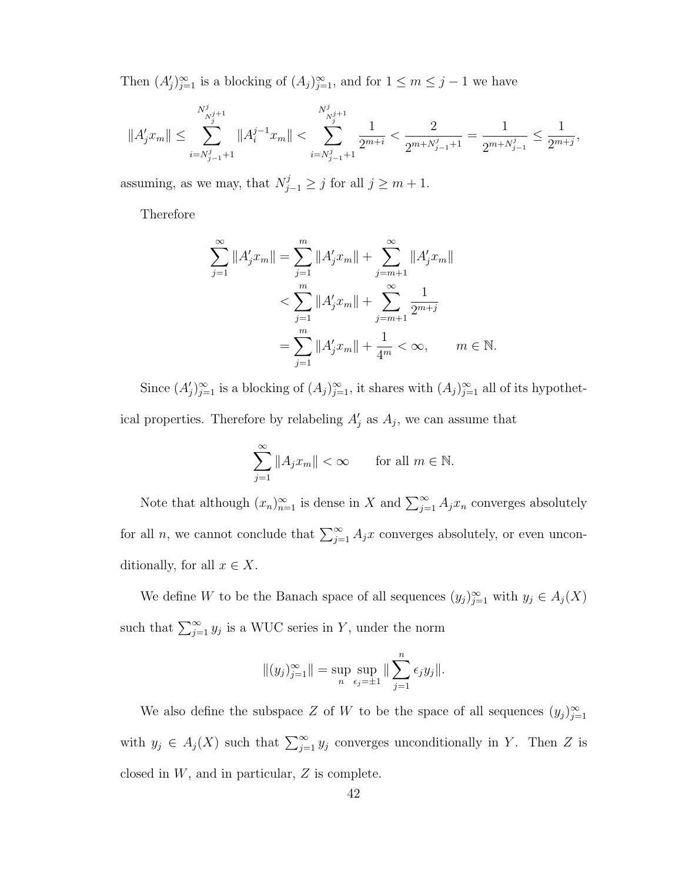Then  $(A'_j)_{j=1}^{\infty}$  is a blocking of  $(A_j)_{j=1}^{\infty}$ , and for  $1 \leq m \leq j-1$  we have

$$
\|A_j'x_m\|\leq \sum_{i=N_{j-1}^j+1}^{N_{N_j^j+1}^j}\|A_i^{j-1}x_m\|< \sum_{i=N_{j-1}^j+1}^{N_{N_j^j+1}^j}\frac{1}{2^{m+i}}<\frac{2}{2^{m+N_{j-1}^j+1}}=\frac{1}{2^{m+N_{j-1}^j}}\leq \frac{1}{2^{m+j}},
$$

assuming, as we may, that  $N_{j-1}^j \ge j$  for all  $j \ge m+1$ .

Therefore

$$
\sum_{j=1}^{\infty} ||A'_j x_m|| = \sum_{j=1}^m ||A'_j x_m|| + \sum_{j=m+1}^{\infty} ||A'_j x_m||
$$
  

$$
< \sum_{j=1}^m ||A'_j x_m|| + \sum_{j=m+1}^{\infty} \frac{1}{2^{m+j}}
$$
  

$$
= \sum_{j=1}^m ||A'_j x_m|| + \frac{1}{4^m} < \infty, \qquad m \in \mathbb{N}.
$$

Since  $(A'_j)_{j=1}^{\infty}$  is a blocking of  $(A_j)_{j=1}^{\infty}$ , it shares with  $(A_j)_{j=1}^{\infty}$  all of its hypothetical properties. Therefore by relabeling  $A'_{j}$  as  $A_{j}$ , we can assume that

$$
\sum_{j=1}^{\infty} \|A_j x_m\| < \infty \qquad \text{for all } m \in \mathbb{N}.
$$

Note that although  $(x_n)_{n=1}^{\infty}$  is dense in X and  $\sum_{j=1}^{\infty} A_j x_n$  converges absolutely for all n, we cannot conclude that  $\sum_{j=1}^{\infty} A_j x$  converges absolutely, or even unconditionally, for all  $x \in X$ .

We define W to be the Banach space of all sequences  $(y_j)_{j=1}^{\infty}$  with  $y_j \in A_j(X)$ such that  $\sum_{j=1}^{\infty} y_j$  is a WUC series in Y, under the norm

$$
||(y_j)_{j=1}^{\infty}|| = \sup_n \sup_{\epsilon_j = \pm 1} || \sum_{j=1}^n \epsilon_j y_j ||.
$$

We also define the subspace Z of W to be the space of all sequences  $(y_j)_{j=1}^{\infty}$ with  $y_j \in A_j(X)$  such that  $\sum_{j=1}^{\infty} y_j$  converges unconditionally in Y. Then Z is closed in  $W$ , and in particular,  $Z$  is complete.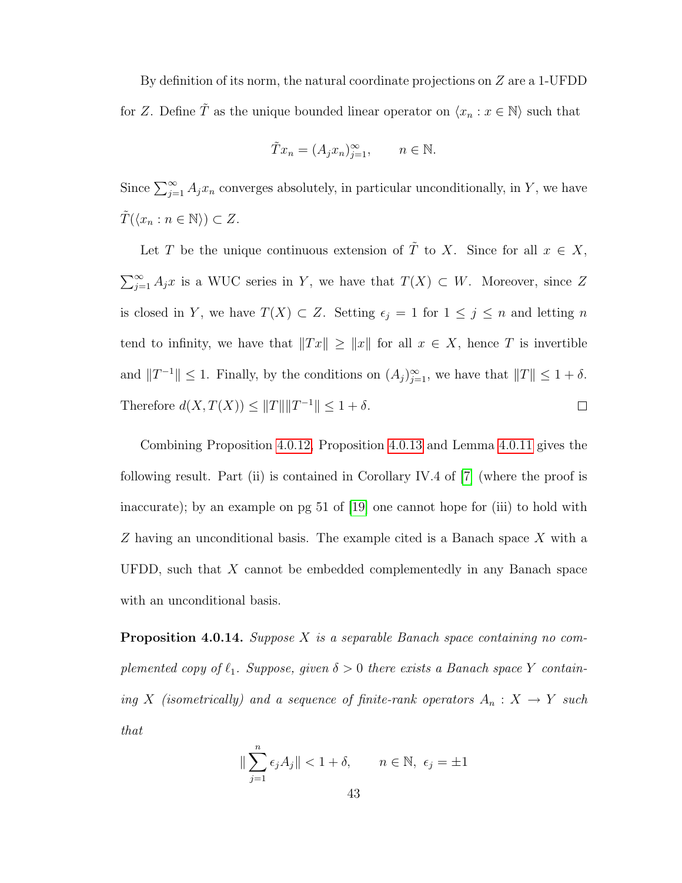By definition of its norm, the natural coordinate projections on  $Z$  are a 1-UFDD for Z. Define  $\tilde{T}$  as the unique bounded linear operator on  $\langle x_n : x \in \mathbb{N} \rangle$  such that

$$
\tilde{T}x_n = (A_j x_n)_{j=1}^{\infty}, \qquad n \in \mathbb{N}.
$$

Since  $\sum_{j=1}^{\infty} A_j x_n$  converges absolutely, in particular unconditionally, in Y, we have  $T(\langle x_n : n \in \mathbb{N} \rangle) \subset Z$ .

Let T be the unique continuous extension of  $\tilde{T}$  to X. Since for all  $x \in X$ ,  $\sum_{j=1}^{\infty} A_j x$  is a WUC series in Y, we have that  $T(X) \subset W$ . Moreover, since Z is closed in Y, we have  $T(X) \subset Z$ . Setting  $\epsilon_j = 1$  for  $1 \leq j \leq n$  and letting n tend to infinity, we have that  $||Tx|| \ge ||x||$  for all  $x \in X$ , hence T is invertible and  $||T^{-1}|| \leq 1$ . Finally, by the conditions on  $(A_j)_{j=1}^{\infty}$ , we have that  $||T|| \leq 1 + \delta$ . Therefore  $d(X, T(X)) \leq ||T|| ||T^{-1}|| \leq 1 + \delta$ .  $\Box$ 

Combining Proposition [4.0.12,](#page-38-0) Proposition [4.0.13](#page-44-0) and Lemma [4.0.11](#page-33-0) gives the following result. Part (ii) is contained in Corollary IV.4 of [\[7\]](#page-78-1) (where the proof is inaccurate); by an example on pg 51 of [\[19\]](#page-79-1) one cannot hope for (iii) to hold with Z having an unconditional basis. The example cited is a Banach space X with a UFDD, such that  $X$  cannot be embedded complementedly in any Banach space with an unconditional basis.

<span id="page-48-0"></span>**Proposition 4.0.14.** Suppose X is a separable Banach space containing no complemented copy of  $\ell_1$ . Suppose, given  $\delta > 0$  there exists a Banach space Y containing X (isometrically) and a sequence of finite-rank operators  $A_n: X \to Y$  such that

$$
\|\sum_{j=1}^{n} \epsilon_j A_j\| < 1 + \delta, \qquad n \in \mathbb{N}, \ \epsilon_j = \pm 1
$$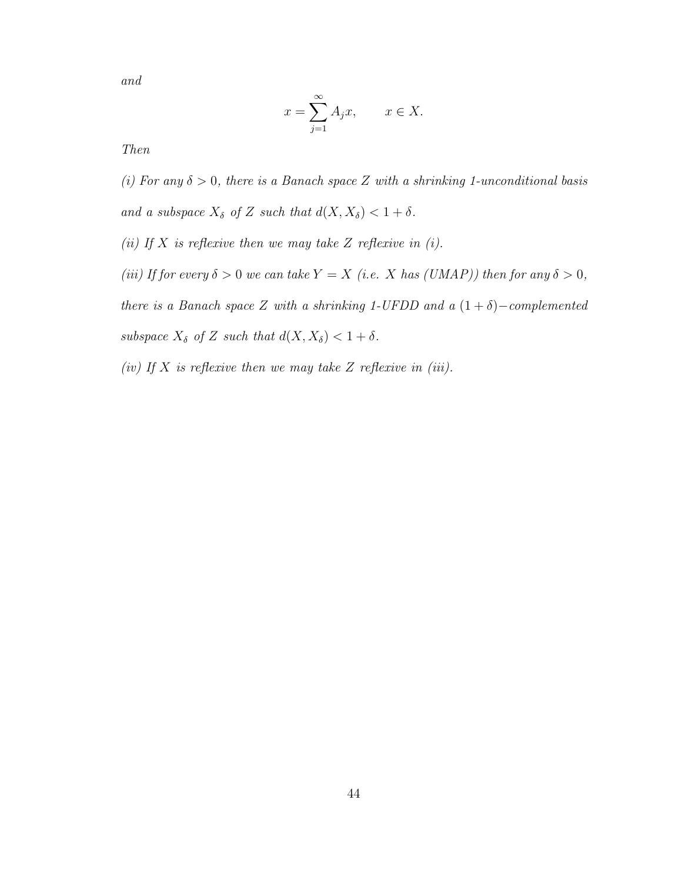and

$$
x = \sum_{j=1}^{\infty} A_j x, \qquad x \in X.
$$

Then

(i) For any  $\delta > 0$ , there is a Banach space Z with a shrinking 1-unconditional basis and a subspace  $X_{\delta}$  of Z such that  $d(X, X_{\delta}) < 1 + \delta$ .

(ii) If  $X$  is reflexive then we may take  $Z$  reflexive in (i).

(iii) If for every  $\delta > 0$  we can take  $Y = X$  (i.e. X has (UMAP)) then for any  $\delta > 0$ , there is a Banach space Z with a shrinking 1-UFDD and a  $(1 + \delta)$ -complemented subspace  $X_{\delta}$  of Z such that  $d(X, X_{\delta}) < 1 + \delta$ .

(iv) If X is reflexive then we may take Z reflexive in (iii).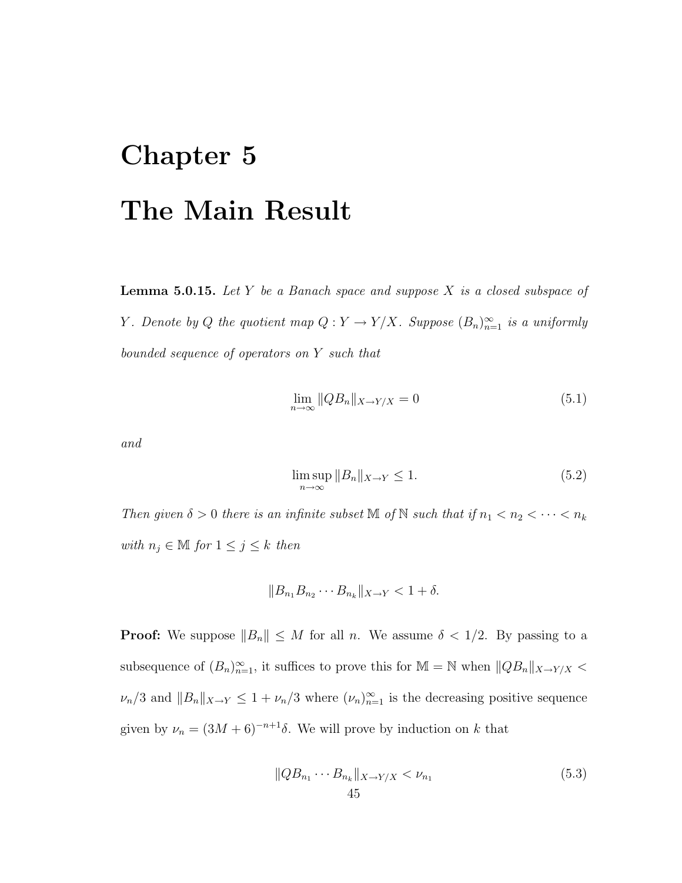## Chapter 5 The Main Result

<span id="page-50-1"></span>**Lemma 5.0.15.** Let Y be a Banach space and suppose X is a closed subspace of Y. Denote by Q the quotient map  $Q: Y \to Y/X$ . Suppose  $(B_n)_{n=1}^{\infty}$  is a uniformly bounded sequence of operators on Y such that

$$
\lim_{n \to \infty} ||QB_n||_{X \to Y/X} = 0 \tag{5.1}
$$

and

$$
\limsup_{n \to \infty} \|B_n\|_{X \to Y} \le 1. \tag{5.2}
$$

Then given  $\delta > 0$  there is an infinite subset M of N such that if  $n_1 < n_2 < \cdots < n_k$ with  $n_j \in \mathbb{M}$  for  $1 \leq j \leq k$  then

$$
||B_{n_1}B_{n_2}\cdots B_{n_k}||_{X\to Y} < 1 + \delta.
$$

**Proof:** We suppose  $||B_n|| \leq M$  for all n. We assume  $\delta < 1/2$ . By passing to a subsequence of  $(B_n)_{n=1}^{\infty}$ , it suffices to prove this for  $\mathbb{M} = \mathbb{N}$  when  $||QB_n||_{X \to Y/X}$  $\nu_n/3$  and  $||B_n||_{X\to Y} \leq 1 + \nu_n/3$  where  $(\nu_n)_{n=1}^{\infty}$  is the decreasing positive sequence given by  $\nu_n = (3M + 6)^{-n+1}\delta$ . We will prove by induction on k that

<span id="page-50-0"></span>
$$
||QB_{n_1}\cdots B_{n_k}||_{X\to Y/X} < \nu_{n_1}
$$
\n
$$
45
$$
\n(5.3)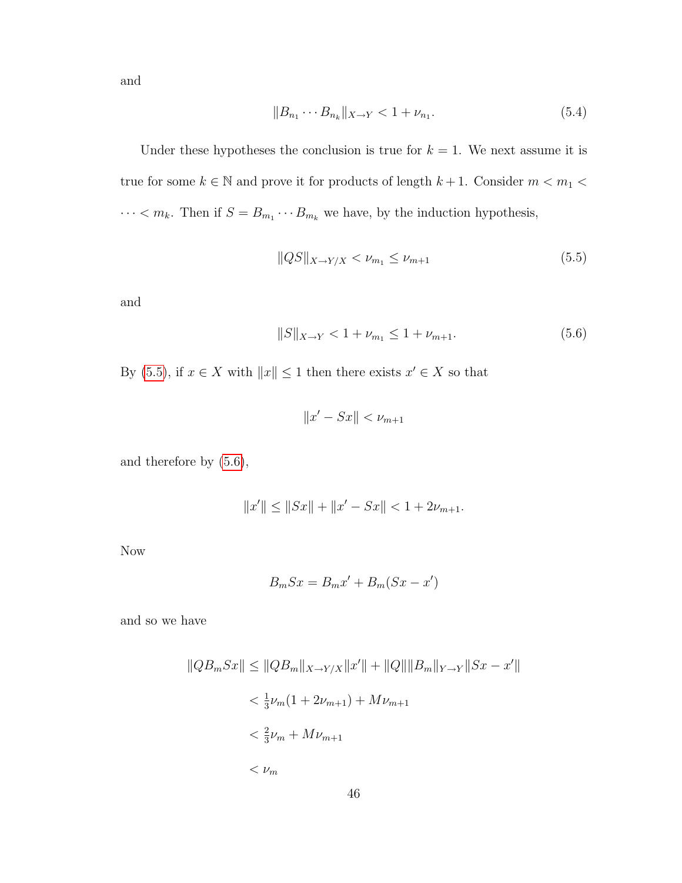and

<span id="page-51-2"></span>
$$
||B_{n_1} \cdots B_{n_k}||_{X \to Y} < 1 + \nu_{n_1}.\tag{5.4}
$$

Under these hypotheses the conclusion is true for  $k = 1$ . We next assume it is true for some  $k\in\mathbb{N}$  and prove it for products of length  $k+1.$  Consider  $m< m_1 <$  $\cdots < m_k$ . Then if  $S = B_{m_1} \cdots B_{m_k}$  we have, by the induction hypothesis,

<span id="page-51-0"></span>
$$
||QS||_{X \to Y/X} < \nu_{m_1} \le \nu_{m+1} \tag{5.5}
$$

and

<span id="page-51-1"></span>
$$
||S||_{X \to Y} < 1 + \nu_{m_1} \le 1 + \nu_{m+1}.\tag{5.6}
$$

By [\(5.5\)](#page-51-0), if  $x \in X$  with  $||x|| \leq 1$  then there exists  $x' \in X$  so that

$$
||x' - Sx|| < \nu_{m+1}
$$

and therefore by [\(5.6\)](#page-51-1),

$$
||x'|| \le ||Sx|| + ||x' - Sx|| < 1 + 2\nu_{m+1}.
$$

Now

$$
B_m S x = B_m x' + B_m (S x - x')
$$

and so we have

$$
||QB_m Sx|| \le ||QB_m||_{X \to Y/X} ||x'|| + ||Q|| ||B_m||_{Y \to Y} ||Sx - x'||
$$
  

$$
< \frac{1}{3} \nu_m (1 + 2\nu_{m+1}) + M\nu_{m+1}
$$
  

$$
< \frac{2}{3} \nu_m + M\nu_{m+1}
$$
  

$$
< \nu_m
$$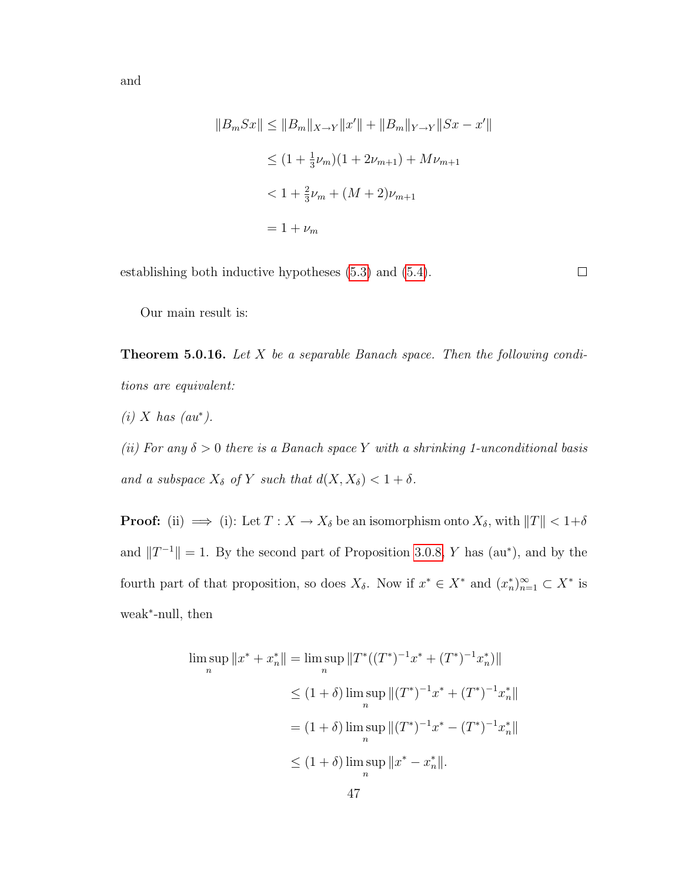and

$$
||B_m Sx|| \le ||B_m||_{X\to Y}||x'|| + ||B_m||_{Y\to Y}||Sx - x'||
$$
  
\n
$$
\le (1 + \frac{1}{3}\nu_m)(1 + 2\nu_{m+1}) + M\nu_{m+1}
$$
  
\n
$$
< 1 + \frac{2}{3}\nu_m + (M + 2)\nu_{m+1}
$$
  
\n
$$
= 1 + \nu_m
$$

establishing both inductive hypotheses [\(5.3\)](#page-50-0) and [\(5.4\)](#page-51-2).

 $\Box$ 

<span id="page-52-0"></span>Our main result is:

**Theorem 5.0.16.** Let  $X$  be a separable Banach space. Then the following conditions are equivalent:

 $(i)$  X has  $(au^*)$ .

(ii) For any  $\delta > 0$  there is a Banach space Y with a shrinking 1-unconditional basis and a subspace  $X_{\delta}$  of Y such that  $d(X, X_{\delta}) < 1 + \delta$ .

**Proof:** (ii)  $\implies$  (i): Let  $T : X \to X_{\delta}$  be an isomorphism onto  $X_{\delta}$ , with  $||T|| < 1+\delta$ and  $||T^{-1}|| = 1$ . By the second part of Proposition [3.0.8,](#page-24-0) Y has (au\*), and by the fourth part of that proposition, so does  $X_{\delta}$ . Now if  $x^* \in X^*$  and  $(x_n^*)_{n=1}^{\infty} \subset X^*$  is weak<sup>∗</sup> -null, then

$$
\limsup_{n} \|x^* + x_n^*\| = \limsup_{n} \|T^*((T^*)^{-1}x^* + (T^*)^{-1}x_n^*)\|
$$
  
\n
$$
\leq (1 + \delta) \limsup_{n} \|(T^*)^{-1}x^* + (T^*)^{-1}x_n^*\|
$$
  
\n
$$
= (1 + \delta) \limsup_{n} \|(T^*)^{-1}x^* - (T^*)^{-1}x_n^*\|
$$
  
\n
$$
\leq (1 + \delta) \limsup_{n} \|x^* - x_n^*\|.
$$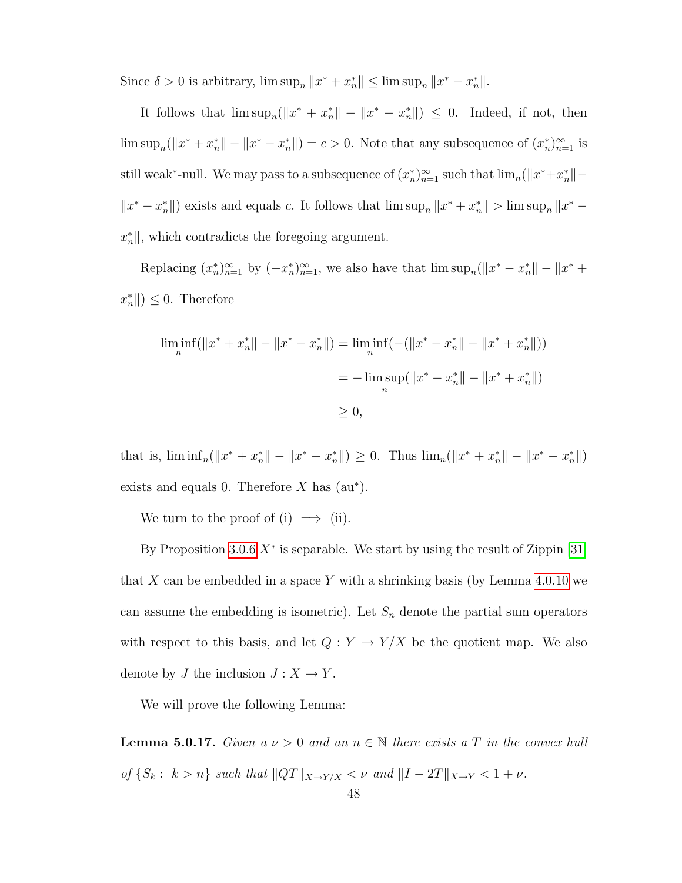Since  $\delta > 0$  is arbitrary,  $\limsup_n ||x^* + x^*_n|| \leq \limsup_n ||x^* - x^*_n||$ .

It follows that  $\limsup_n (||x^* + x^*_{n}|| - ||x^* - x^*_{n}||) \leq 0$ . Indeed, if not, then  $\limsup_n (||x^* + x^*_{n}|| - ||x^* - x^*_{n}||) = c > 0$ . Note that any subsequence of  $(x^*_{n})_{n=1}^{\infty}$  is still weak<sup>\*</sup>-null. We may pass to a subsequence of  $(x_n^*)_{n=1}^{\infty}$  such that  $\lim_n (||x^* + x_n^*|| ||x^* - x_n^*||$  exists and equals c. It follows that  $\limsup_n ||x^* + x_n^*|| > \limsup_n ||x^* - x_n^*||$  $x_n^*$ , which contradicts the foregoing argument.

Replacing  $(x_n^*)_{n=1}^{\infty}$  by  $(-x_n^*)_{n=1}^{\infty}$ , we also have that  $\limsup_n(||x^* - x_n^*|| - ||x^* +$  $\|x_n^*\| \leq 0$ . Therefore

$$
\liminf_{n} (\|x^* + x_n^*\| - \|x^* - x_n^*\|) = \liminf_{n} (-(\|x^* - x_n^*\| - \|x^* + x_n^*\|))
$$
  
= 
$$
-\limsup_{n} (\|x^* - x_n^*\| - \|x^* + x_n^*\|)
$$
  

$$
\ge 0,
$$

that is,  $\liminf_{n}(\|x^* + x^*_n\| - \|x^* - x^*_n\|) \geq 0$ . Thus  $\lim_{n}(\|x^* + x^*_n\| - \|x^* - x^*_n\|)$ exists and equals 0. Therefore  $X$  has  $(au^*)$ .

We turn to the proof of (i)  $\implies$  (ii).

By Proposition [3.0.6](#page-22-0)  $X^*$  is separable. We start by using the result of Zippin [\[31\]](#page-79-2) that X can be embedded in a space Y with a shrinking basis (by Lemma  $4.0.10$  we can assume the embedding is isometric). Let  $S_n$  denote the partial sum operators with respect to this basis, and let  $Q: Y \to Y/X$  be the quotient map. We also denote by  $J$  the inclusion  $J : X \to Y$ .

<span id="page-53-0"></span>We will prove the following Lemma:

**Lemma 5.0.17.** Given  $a \nu > 0$  and an  $n \in \mathbb{N}$  there exists a T in the convex hull of  $\{S_k : k > n\}$  such that  $||QT||_{X\rightarrow Y/X} < \nu$  and  $||I - 2T||_{X\rightarrow Y} < 1 + \nu$ .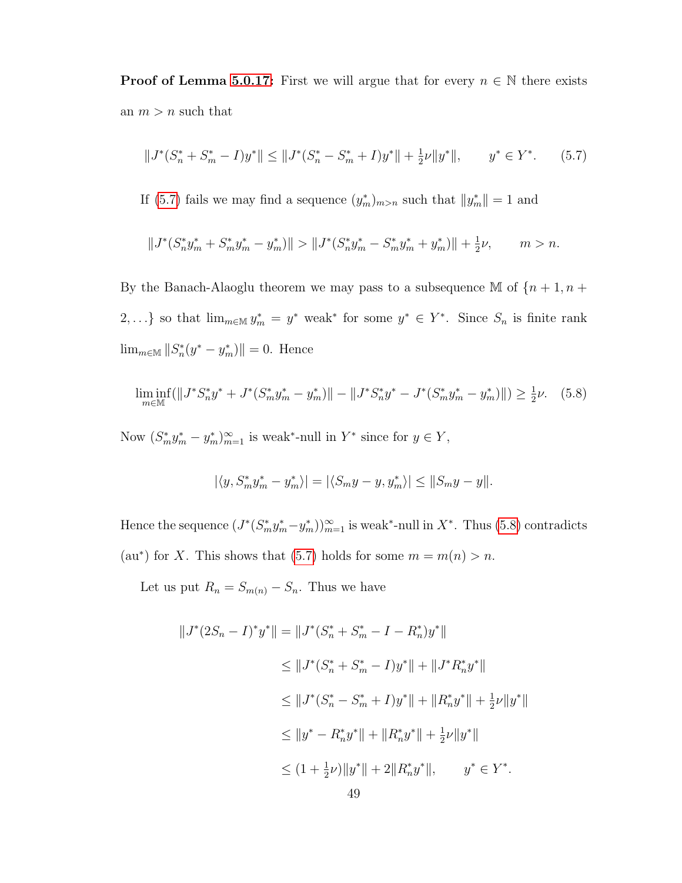**Proof of Lemma [5.0.17:](#page-53-0)** First we will argue that for every  $n \in \mathbb{N}$  there exists an  $m > n$  such that

<span id="page-54-0"></span>
$$
||J^*(S_n^* + S_m^* - I)y^*|| \le ||J^*(S_n^* - S_m^* + I)y^*|| + \frac{1}{2}\nu||y^*||, \qquad y^* \in Y^*.
$$
 (5.7)

If [\(5.7\)](#page-54-0) fails we may find a sequence  $(y_m^*)_{m>n}$  such that  $||y_m^*|| = 1$  and

$$
||J^*(S_n^*y_m^* + S_m^*y_m^* - y_m^*)|| > ||J^*(S_n^*y_m^* - S_m^*y_m^* + y_m^*)|| + \frac{1}{2}\nu, \qquad m > n.
$$

By the Banach-Alaoglu theorem we may pass to a subsequence M of  $\{n+1, n+1\}$ 2,...} so that  $\lim_{m \in \mathbb{M}} y_m^* = y^*$  weak\* for some  $y^* \in Y^*$ . Since  $S_n$  is finite rank  $\lim_{m \in \mathbb{M}} \|S_n^*(y^* - y_m^*)\| = 0.$  Hence

<span id="page-54-1"></span>
$$
\liminf_{m \in \mathbb{M}} (\|J^* S_n^* y^* + J^* (S_m^* y_m^* - y_m^*)\| - \|J^* S_n^* y^* - J^* (S_m^* y_m^* - y_m^*)\|) \ge \frac{1}{2} \nu. \tag{5.8}
$$

Now  $(S_m^* y_m^* - y_m^*)_{m=1}^{\infty}$  is weak\*-null in  $Y^*$  since for  $y \in Y$ ,

$$
|\langle y, S_m^* y_m^* - y_m^* \rangle| = |\langle S_m y - y, y_m^* \rangle| \le ||S_m y - y||.
$$

Hence the sequence  $(J^*(S_m^*y_m^* - y_m^*))_{m=1}^{\infty}$  is weak\*-null in  $X^*$ . Thus [\(5.8\)](#page-54-1) contradicts (au\*) for X. This shows that [\(5.7\)](#page-54-0) holds for some  $m = m(n) > n$ .

Let us put  $R_n = S_{m(n)} - S_n$ . Thus we have

$$
||J^*(2S_n - I)^*y^*|| = ||J^*(S_n^* + S_m^* - I - R_n^*)y^*||
$$
  
\n
$$
\leq ||J^*(S_n^* + S_m^* - I)y^*|| + ||J^*R_n^*y^*||
$$
  
\n
$$
\leq ||J^*(S_n^* - S_m^* + I)y^*|| + ||R_n^*y^*|| + \frac{1}{2}\nu||y^*||
$$
  
\n
$$
\leq ||y^* - R_n^*y^*|| + ||R_n^*y^*|| + \frac{1}{2}\nu||y^*||
$$
  
\n
$$
\leq (1 + \frac{1}{2}\nu)||y^*|| + 2||R_n^*y^*||, \qquad y^* \in Y^*.
$$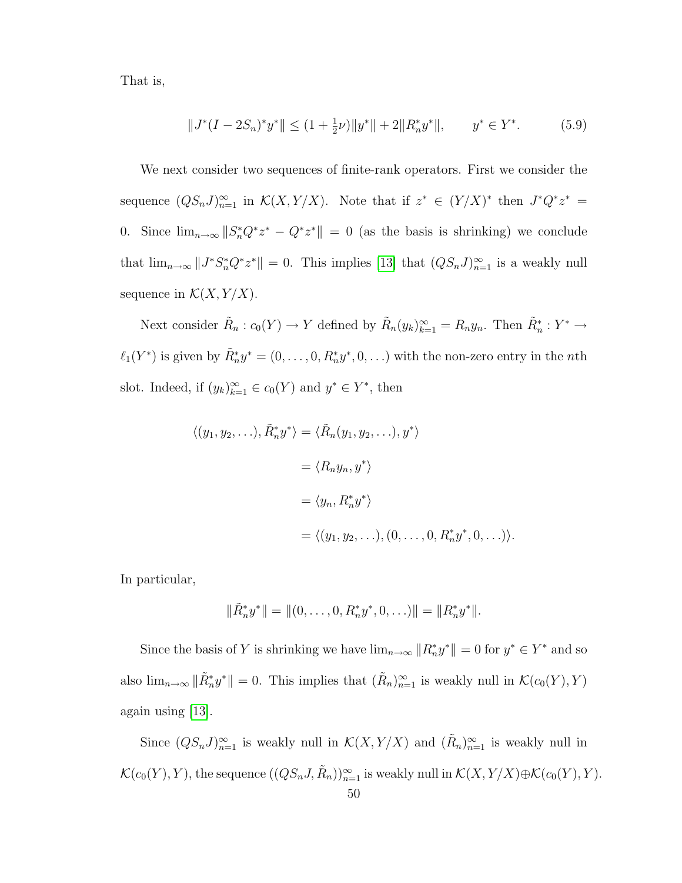That is,

<span id="page-55-0"></span>
$$
||J^*(I - 2S_n)^* y^*|| \le (1 + \frac{1}{2}\nu) ||y^*|| + 2||R_n^* y^*||, \qquad y^* \in Y^*.
$$
 (5.9)

We next consider two sequences of finite-rank operators. First we consider the sequence  $(QS_nJ)_{n=1}^{\infty}$  in  $\mathcal{K}(X,Y/X)$ . Note that if  $z^* \in (Y/X)^*$  then  $J^*Q^*z^* =$ 0. Since  $\lim_{n\to\infty} ||S_n^*Q^*z^* - Q^*z^*|| = 0$  (as the basis is shrinking) we conclude that  $\lim_{n\to\infty} ||J^*S_n^*Q^*z^*|| = 0$ . This implies [\[13\]](#page-78-2) that  $(QS_nJ)_{n=1}^{\infty}$  is a weakly null sequence in  $\mathcal{K}(X, Y/X)$ .

Next consider  $\tilde{R}_n : c_0(Y) \to Y$  defined by  $\tilde{R}_n(y_k)_{k=1}^\infty = R_n y_n$ . Then  $\tilde{R}_n^* : Y^* \to Y$  $\ell_1(Y^*)$  is given by  $\tilde{R}_n^* y^* = (0, \ldots, 0, R_n^* y^*, 0, \ldots)$  with the non-zero entry in the nth slot. Indeed, if  $(y_k)_{k=1}^{\infty} \in c_0(Y)$  and  $y^* \in Y^*$ , then

$$
\langle (y_1, y_2, \ldots), \tilde{R}_n^* y^* \rangle = \langle \tilde{R}_n(y_1, y_2, \ldots), y^* \rangle
$$
  
=  $\langle R_n y_n, y^* \rangle$   
=  $\langle y_n, R_n^* y^* \rangle$   
=  $\langle (y_1, y_2, \ldots), (0, \ldots, 0, R_n^* y^*, 0, \ldots) \rangle$ .

In particular,

$$
\|\tilde{R}_n^*y^*\| = \|(0,\ldots,0,R_n^*y^*,0,\ldots)\| = \|R_n^*y^*\|.
$$

Since the basis of Y is shrinking we have  $\lim_{n\to\infty} ||R_n^*y^*|| = 0$  for  $y^* \in Y^*$  and so also  $\lim_{n\to\infty} \|\tilde{R}_n^*y^*\| = 0$ . This implies that  $(\tilde{R}_n)_{n=1}^\infty$  is weakly null in  $\mathcal{K}(c_0(Y), Y)$ again using [\[13\]](#page-78-2).

Since  $(QS_nJ)_{n=1}^{\infty}$  is weakly null in  $\mathcal{K}(X,Y/X)$  and  $(\tilde{R}_n)_{n=1}^{\infty}$  is weakly null in  $\mathcal{K}(c_0(Y), Y)$ , the sequence  $((QS_n J, \tilde{R}_n))_{n=1}^{\infty}$  is weakly null in  $\mathcal{K}(X, Y/X) \oplus \mathcal{K}(c_0(Y), Y)$ .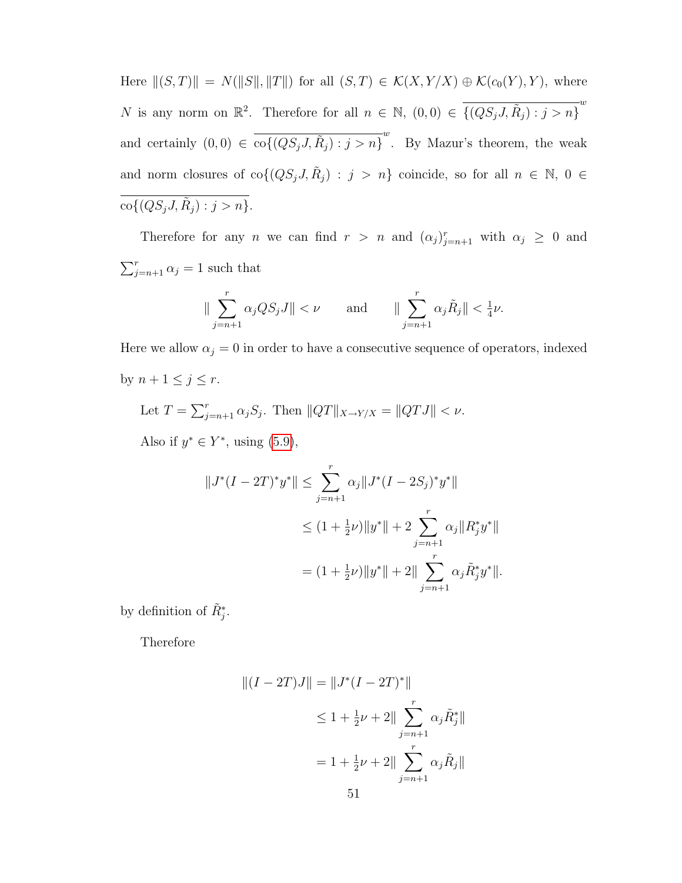Here  $||(S, T)|| = N(||S||, ||T||)$  for all  $(S, T) \in K(X, Y/X) \oplus K(c_0(Y), Y)$ , where N is any norm on  $\mathbb{R}^2$ . Therefore for all  $n \in \mathbb{N}$ ,  $(0,0) \in \overline{\{(QS_j J, \tilde{R}_j) : j > n\}}^w$ and certainly  $(0,0) \in \overline{\text{co}\{(QS_jJ,\tilde{R}_j) : j > n\}}^w$ . By Mazur's theorem, the weak and norm closures of  $\text{co}\{(QS_j J, \tilde{R}_j) : j > n\}$  coincide, so for all  $n \in \mathbb{N}, 0 \in$  $\text{co}\{(QS_j J, \tilde{R}_j) : j > n\}.$ 

Therefore for any n we can find  $r > n$  and  $(\alpha_j)_{j=n+1}^r$  with  $\alpha_j \geq 0$  and  $\sum_{j=n+1}^{r} \alpha_j = 1$  such that

$$
\|\sum_{j=n+1}^r \alpha_j QS_jJ\| < \nu \quad \text{and} \quad \|\sum_{j=n+1}^r \alpha_j \tilde{R}_j\| < \frac{1}{4}\nu.
$$

Here we allow  $\alpha_j = 0$  in order to have a consecutive sequence of operators, indexed by  $n+1 \leq j \leq r$ .

Let 
$$
T = \sum_{j=n+1}^{r} \alpha_j S_j
$$
. Then  $||QT||_{X \to Y/X} = ||QTJ|| < \nu$ .

Also if  $y^* \in Y^*$ , using  $(5.9)$ ,

$$
||J^*(I - 2T)^*y^*|| \le \sum_{j=n+1}^r \alpha_j ||J^*(I - 2S_j)^*y^*||
$$
  
\n
$$
\le (1 + \frac{1}{2}\nu) ||y^*|| + 2 \sum_{j=n+1}^r \alpha_j ||R_j^*y^*||
$$
  
\n
$$
= (1 + \frac{1}{2}\nu) ||y^*|| + 2|| \sum_{j=n+1}^r \alpha_j \tilde{R}_j^*y^*||.
$$

by definition of  $\tilde{R}^*_{j}$ .

Therefore

$$
||(I - 2T)J|| = ||J^*(I - 2T)^*||
$$
  
\n
$$
\leq 1 + \frac{1}{2}\nu + 2||\sum_{j=n+1}^r \alpha_j \tilde{R}_j^*||
$$
  
\n
$$
= 1 + \frac{1}{2}\nu + 2||\sum_{j=n+1}^r \alpha_j \tilde{R}_j||
$$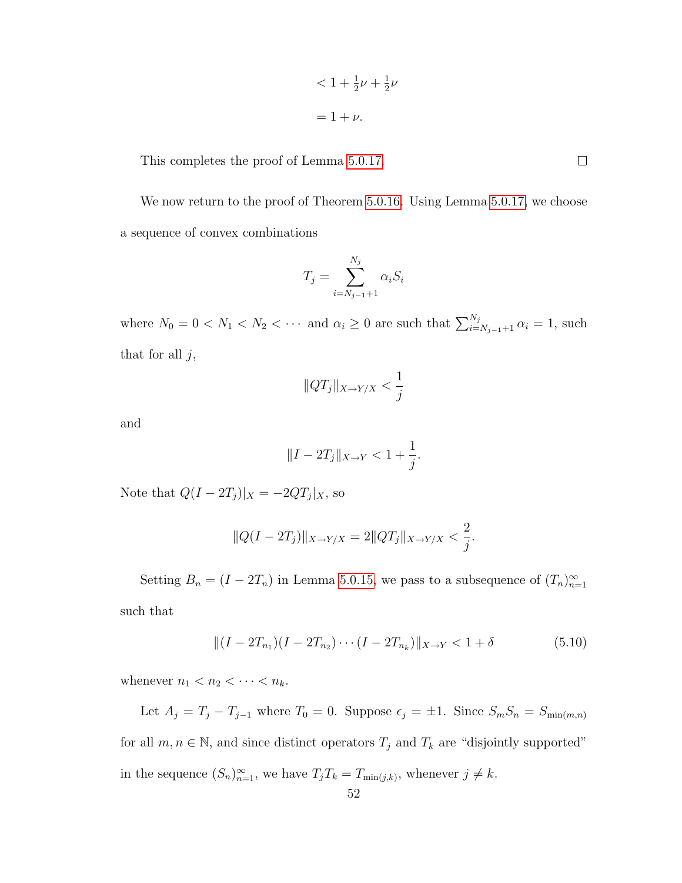$$
\langle 1 + \frac{1}{2}\nu + \frac{1}{2}\nu
$$

$$
= 1 + \nu.
$$

This completes the proof of Lemma [5.0.17.](#page-53-0)

We now return to the proof of Theorem [5.0.16.](#page-52-0) Using Lemma [5.0.17,](#page-53-0) we choose a sequence of convex combinations

$$
T_j = \sum_{i=N_{j-1}+1}^{N_j} \alpha_i S_i
$$

where  $N_0 = 0 < N_1 < N_2 < \cdots$  and  $\alpha_i \geq 0$  are such that  $\sum_{i=N_{j-1}+1}^{N_j} \alpha_i = 1$ , such that for all  $j$ ,

$$
||QT_j||_{X\to Y/X} < \frac{1}{j}
$$

and

$$
||I - 2T_j||_{X \to Y} < 1 + \frac{1}{j}.
$$

Note that  $Q(I - 2T_j)|_X = -2QT_j|_X$ , so

$$
||Q(I - 2T_j)||_{X \to Y/X} = 2||QT_j||_{X \to Y/X} < \frac{2}{j}.
$$

Setting  $B_n = (I - 2T_n)$  in Lemma [5.0.15,](#page-50-1) we pass to a subsequence of  $(T_n)_{n=1}^{\infty}$ 

such that

<span id="page-57-0"></span>
$$
||(I - 2T_{n_1})(I - 2T_{n_2}) \cdots (I - 2T_{n_k})||_{X \to Y} < 1 + \delta
$$
\n(5.10)

whenever  $n_1 < n_2 < \cdots < n_k$ .

Let  $A_j = T_j - T_{j-1}$  where  $T_0 = 0$ . Suppose  $\epsilon_j = \pm 1$ . Since  $S_m S_n = S_{\min(m,n)}$ for all  $m, n \in \mathbb{N}$ , and since distinct operators  $T_j$  and  $T_k$  are "disjointly supported" in the sequence  $(S_n)_{n=1}^{\infty}$ , we have  $T_jT_k = T_{\min(j,k)}$ , whenever  $j \neq k$ .

 $\Box$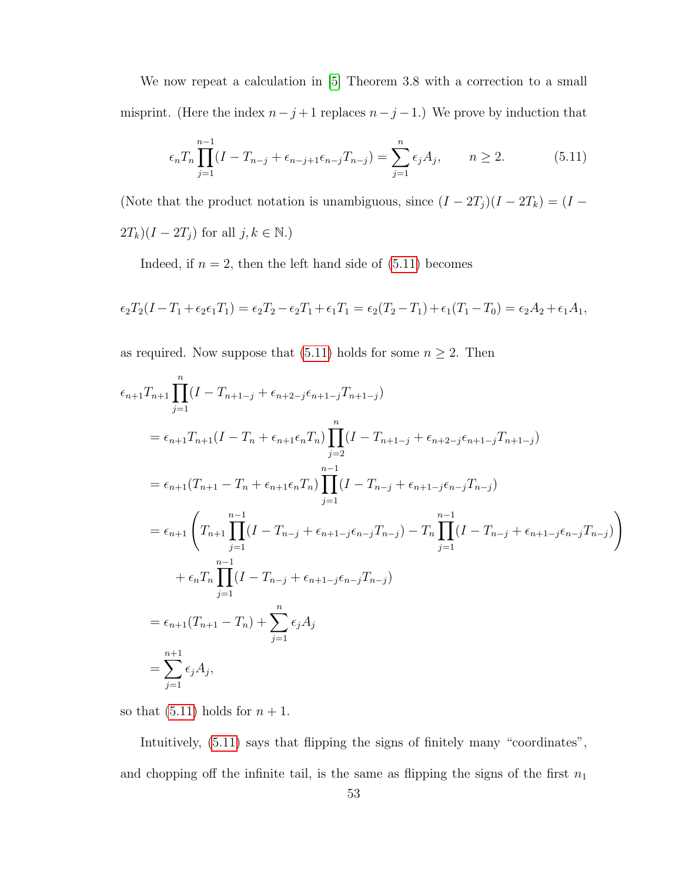We now repeat a calculation in [\[5\]](#page-78-3) Theorem 3.8 with a correction to a small misprint. (Here the index  $n-j+1$  replaces  $n-j-1$ .) We prove by induction that

<span id="page-58-0"></span>
$$
\epsilon_n T_n \prod_{j=1}^{n-1} (I - T_{n-j} + \epsilon_{n-j+1} \epsilon_{n-j} T_{n-j}) = \sum_{j=1}^n \epsilon_j A_j, \qquad n \ge 2.
$$
 (5.11)

(Note that the product notation is unambiguous, since  $(I - 2T_j)(I - 2T_k) = (I 2T_k$ )( $I - 2T_j$ ) for all  $j, k \in \mathbb{N}$ .)

Indeed, if  $n = 2$ , then the left hand side of  $(5.11)$  becomes

$$
\epsilon_2 T_2 (I - T_1 + \epsilon_2 \epsilon_1 T_1) = \epsilon_2 T_2 - \epsilon_2 T_1 + \epsilon_1 T_1 = \epsilon_2 (T_2 - T_1) + \epsilon_1 (T_1 - T_0) = \epsilon_2 A_2 + \epsilon_1 A_1,
$$

as required. Now suppose that [\(5.11\)](#page-58-0) holds for some  $n \geq 2$ . Then

$$
\epsilon_{n+1}T_{n+1}\prod_{j=1}^{n}(I - T_{n+1-j} + \epsilon_{n+2-j}\epsilon_{n+1-j}T_{n+1-j})
$$
\n
$$
= \epsilon_{n+1}T_{n+1}(I - T_n + \epsilon_{n+1}\epsilon_nT_n)\prod_{j=2}^{n}(I - T_{n+1-j} + \epsilon_{n+2-j}\epsilon_{n+1-j}T_{n+1-j})
$$
\n
$$
= \epsilon_{n+1}(T_{n+1} - T_n + \epsilon_{n+1}\epsilon_nT_n)\prod_{j=1}^{n-1}(I - T_{n-j} + \epsilon_{n+1-j}\epsilon_{n-j}T_{n-j})
$$
\n
$$
= \epsilon_{n+1}\left(T_{n+1}\prod_{j=1}^{n-1}(I - T_{n-j} + \epsilon_{n+1-j}\epsilon_{n-j}T_{n-j}) - T_n\prod_{j=1}^{n-1}(I - T_{n-j} + \epsilon_{n+1-j}\epsilon_{n-j}T_{n-j})\right)
$$
\n
$$
+ \epsilon_nT_n\prod_{j=1}^{n-1}(I - T_{n-j} + \epsilon_{n+1-j}\epsilon_{n-j}T_{n-j})
$$
\n
$$
= \epsilon_{n+1}(T_{n+1} - T_n) + \sum_{j=1}^{n}\epsilon_jA_j
$$
\n
$$
= \sum_{j=1}^{n+1}\epsilon_jA_j,
$$

so that  $(5.11)$  holds for  $n + 1$ .

Intuitively, [\(5.11\)](#page-58-0) says that flipping the signs of finitely many "coordinates", and chopping off the infinite tail, is the same as flipping the signs of the first  $n_1$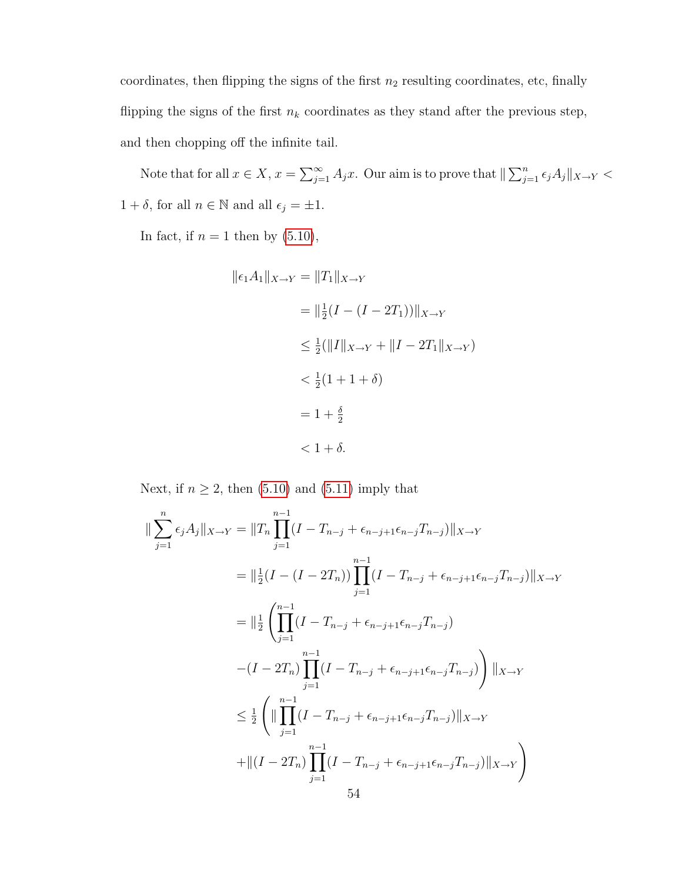coordinates, then flipping the signs of the first  $n_2$  resulting coordinates, etc, finally flipping the signs of the first  $n_k$  coordinates as they stand after the previous step, and then chopping off the infinite tail.

Note that for all  $x \in X$ ,  $x = \sum_{j=1}^{\infty} A_j x$ . Our aim is to prove that  $\|\sum_{j=1}^{n} \epsilon_j A_j\|_{X\to Y}$  $1 + \delta,$  for all  $n \in \mathbb{N}$  and all  $\epsilon_j = \pm 1.$ 

In fact, if  $n = 1$  then by  $(5.10)$ ,

$$
\|\epsilon_1 A_1\|_{X\to Y} = \|T_1\|_{X\to Y}
$$
  
=  $\|\frac{1}{2}(I - (I - 2T_1))\|_{X\to Y}$   
 $\leq \frac{1}{2}(\|I\|_{X\to Y} + \|I - 2T_1\|_{X\to Y})$   
 $< \frac{1}{2}(1 + 1 + \delta)$   
=  $1 + \frac{\delta}{2}$   
 $< 1 + \delta$ .

Next, if  $n \geq 2$ , then [\(5.10\)](#page-57-0) and [\(5.11\)](#page-58-0) imply that

$$
\|\sum_{j=1}^{n} \epsilon_j A_j \|_{X \to Y} = \|T_n \prod_{j=1}^{n-1} (I - T_{n-j} + \epsilon_{n-j+1} \epsilon_{n-j} T_{n-j}) \|_{X \to Y}
$$
  
\n
$$
= \|\frac{1}{2} (I - (I - 2T_n)) \prod_{j=1}^{n-1} (I - T_{n-j} + \epsilon_{n-j+1} \epsilon_{n-j} T_{n-j}) \|_{X \to Y}
$$
  
\n
$$
= \|\frac{1}{2} \left( \prod_{j=1}^{n-1} (I - T_{n-j} + \epsilon_{n-j+1} \epsilon_{n-j} T_{n-j}) - (I - 2T_n) \prod_{j=1}^{n-1} (I - T_{n-j} + \epsilon_{n-j+1} \epsilon_{n-j} T_{n-j}) \right) \|_{X \to Y}
$$
  
\n
$$
\leq \frac{1}{2} \left( \|\prod_{j=1}^{n-1} (I - T_{n-j} + \epsilon_{n-j+1} \epsilon_{n-j} T_{n-j}) \|_{X \to Y} + \|(I - 2T_n) \prod_{j=1}^{n-1} (I - T_{n-j} + \epsilon_{n-j+1} \epsilon_{n-j} T_{n-j}) \|_{X \to Y} \right)
$$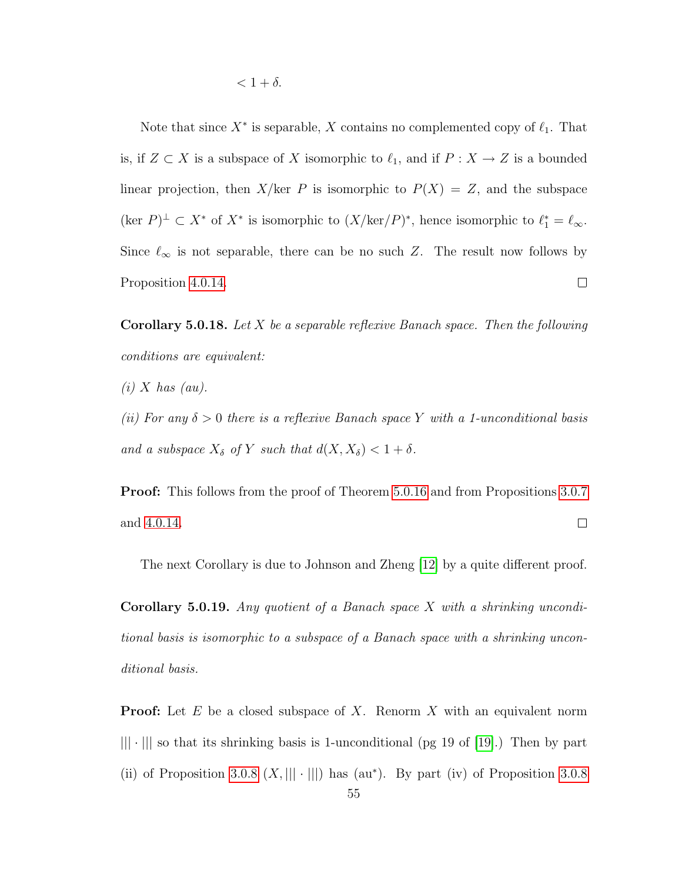Note that since  $X^*$  is separable, X contains no complemented copy of  $\ell_1$ . That is, if  $Z \subset X$  is a subspace of X isomorphic to  $\ell_1$ , and if  $P : X \to Z$  is a bounded linear projection, then  $X/\text{ker } P$  is isomorphic to  $P(X) = Z$ , and the subspace  $(\text{ker } P)^{\perp} \subset X^*$  of  $X^*$  is isomorphic to  $(X/\text{ker}(P)^*$ , hence isomorphic to  $\ell_1^* = \ell_{\infty}$ . Since  $\ell_{\infty}$  is not separable, there can be no such Z. The result now follows by Proposition [4.0.14.](#page-48-0)  $\Box$ 

**Corollary 5.0.18.** Let X be a separable reflexive Banach space. Then the following conditions are equivalent:

 $(i)$  X has  $(au)$ .

(ii) For any  $\delta > 0$  there is a reflexive Banach space Y with a 1-unconditional basis and a subspace  $X_{\delta}$  of Y such that  $d(X, X_{\delta}) < 1 + \delta$ .

Proof: This follows from the proof of Theorem [5.0.16](#page-52-0) and from Propositions [3.0.7](#page-23-0)  $\Box$ and [4.0.14.](#page-48-0)

The next Corollary is due to Johnson and Zheng [\[12\]](#page-78-4) by a quite different proof.

**Corollary 5.0.19.** Any quotient of a Banach space  $X$  with a shrinking unconditional basis is isomorphic to a subspace of a Banach space with a shrinking unconditional basis.

**Proof:** Let  $E$  be a closed subspace of  $X$ . Renorm  $X$  with an equivalent norm  $|||\cdot|||$  so that its shrinking basis is 1-unconditional (pg 19 of [\[19\]](#page-79-1).) Then by part (ii) of Proposition [3.0.8](#page-24-0)  $(X,|||\cdot|||)$  has (au\*). By part (iv) of Proposition 3.0.8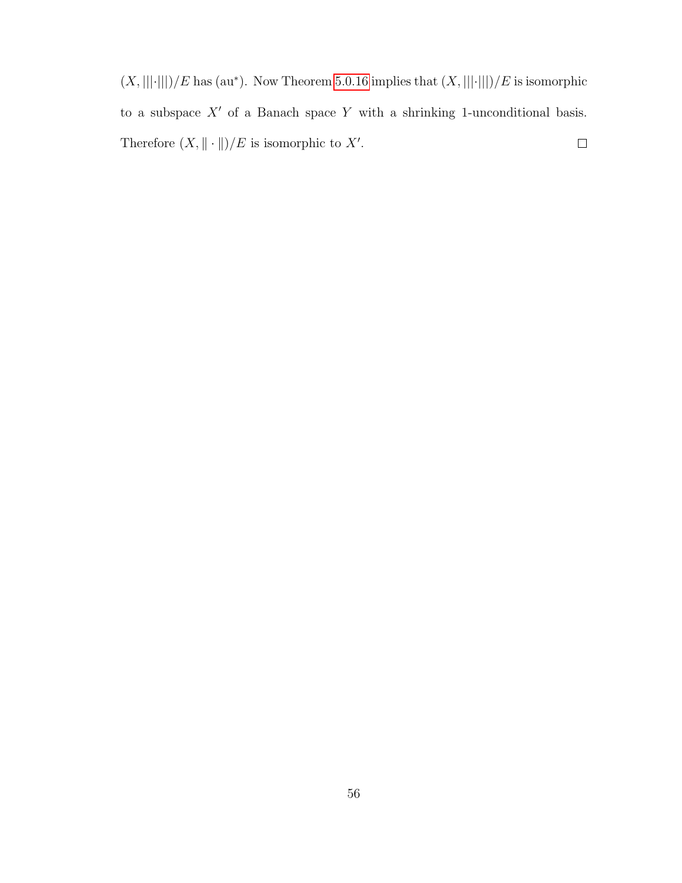$(X, |||·||)/E$  has (au<sup>\*</sup>). Now Theorem [5.0.16](#page-52-0) implies that  $(X, |||·||)/E$  is isomorphic to a subspace  $X'$  of a Banach space Y with a shrinking 1-unconditional basis. Therefore  $(X, \|\cdot\|)/E$  is isomorphic to X'.  $\Box$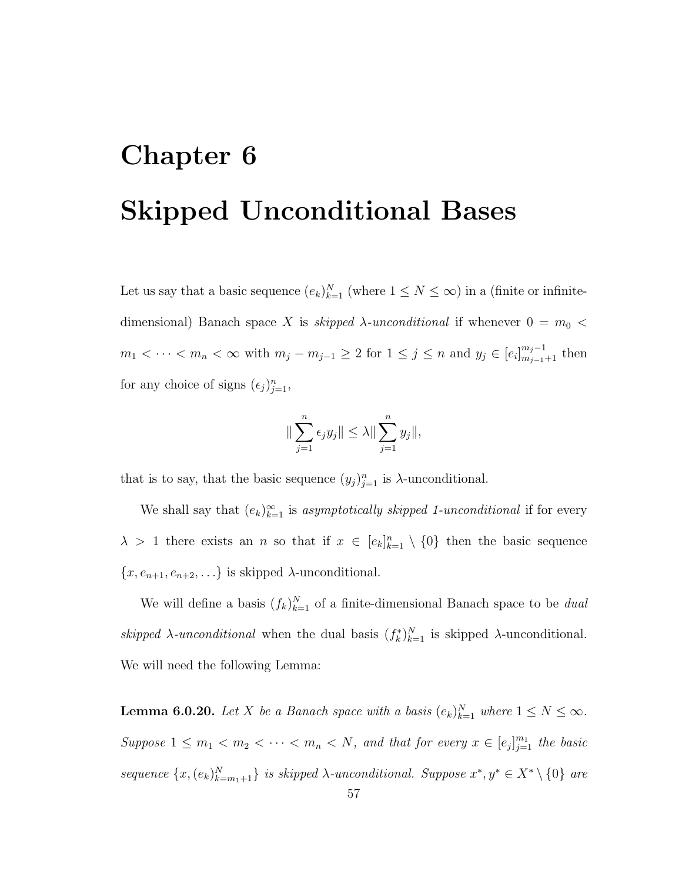## Chapter 6 Skipped Unconditional Bases

Let us say that a basic sequence  $(e_k)_{k=1}^N$  (where  $1 \leq N \leq \infty$ ) in a (finite or infinitedimensional) Banach space X is skipped  $\lambda$ -unconditional if whenever  $0 = m_0$  <  $m_1 < \cdots < m_n < \infty$  with  $m_j - m_{j-1} \geq 2$  for  $1 \leq j \leq n$  and  $y_j \in [e_i]_{m_{j-1}+1}^{m_j-1}$  then for any choice of signs  $(\epsilon_j)_{j=1}^n$ ,

$$
\|\sum_{j=1}^n \epsilon_j y_j\| \leq \lambda \|\sum_{j=1}^n y_j\|,
$$

that is to say, that the basic sequence  $(y_j)_{j=1}^n$  is  $\lambda$ -unconditional.

We shall say that  $(e_k)_{k=1}^{\infty}$  is asymptotically skipped 1-unconditional if for every  $\lambda > 1$  there exists an n so that if  $x \in [e_k]_{k=1}^n \setminus \{0\}$  then the basic sequence  ${x, e_{n+1}, e_{n+2}, \ldots}$  is skipped  $\lambda$ -unconditional.

We will define a basis  $(f_k)_{k=1}^N$  of a finite-dimensional Banach space to be *dual* skipped  $\lambda$ -unconditional when the dual basis  $(f_k^*)_{k=1}^N$  is skipped  $\lambda$ -unconditional. We will need the following Lemma:

<span id="page-62-0"></span>**Lemma 6.0.20.** Let X be a Banach space with a basis  $(e_k)_{k=1}^N$  where  $1 \leq N \leq \infty$ . Suppose  $1 \leq m_1 < m_2 < \cdots < m_n < N$ , and that for every  $x \in [e_j]_{j=1}^{m_1}$  the basic sequence  $\{x, (e_k)_{k=m_1+1}^N\}$  is skipped  $\lambda$ -unconditional. Suppose  $x^*, y^* \in X^* \setminus \{0\}$  are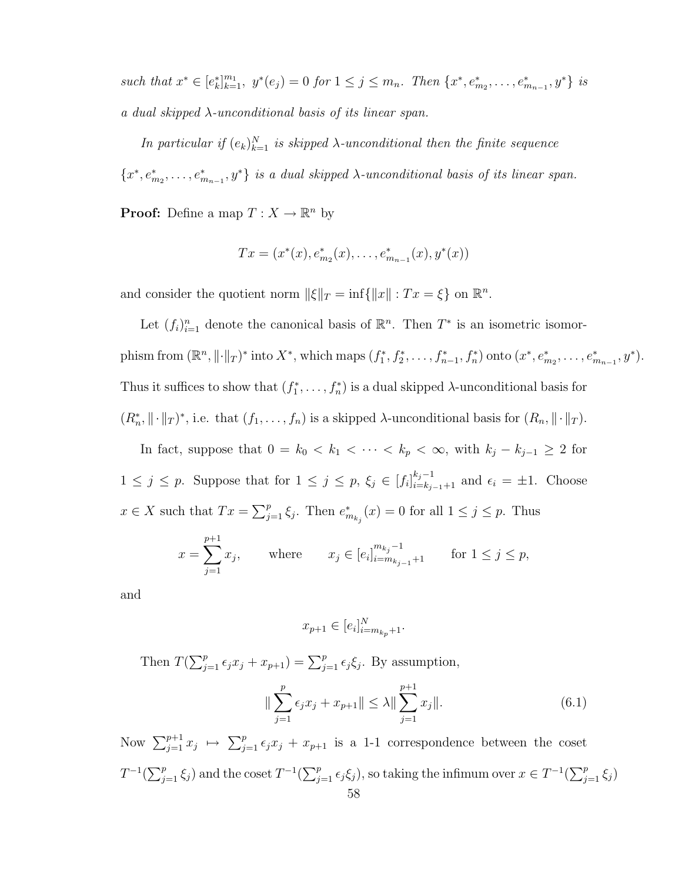such that  $x^* \in [e_k^*]_{k=1}^{m_1}$ ,  $y^*(e_j) = 0$  for  $1 \leq j \leq m_n$ . Then  $\{x^*, e_{m_2}^*, \ldots, e_{m_{n-1}}^*, y^*\}$  is a dual skipped λ-unconditional basis of its linear span.

In particular if  $(e_k)_{k=1}^N$  is skipped  $\lambda$ -unconditional then the finite sequence  ${x^*, e^*_{m_2}, \ldots, e^*_{m_{n-1}}, y^*}$  is a dual skipped  $\lambda$ -unconditional basis of its linear span.

**Proof:** Define a map  $T: X \to \mathbb{R}^n$  by

$$
Tx = (x^*(x), e^*_{m_2}(x), \dots, e^*_{m_{n-1}}(x), y^*(x))
$$

and consider the quotient norm  $\|\xi\|_T = \inf\{\|x\| : Tx = \xi\}$  on  $\mathbb{R}^n$ .

Let  $(f_i)_{i=1}^n$  denote the canonical basis of  $\mathbb{R}^n$ . Then  $T^*$  is an isometric isomorphism from  $(\mathbb{R}^n, \|\cdot\|_T)^*$  into  $X^*$ , which maps  $(f_1^*, f_2^*, \ldots, f_{n-1}^*, f_n^*)$  onto  $(x^*, e_{m_2}^*, \ldots, e_{m_{n-1}}^*, y^*)$ . Thus it suffices to show that  $(f_1^*, \ldots, f_n^*)$  is a dual skipped  $\lambda$ -unconditional basis for  $(R_n^*, \|\cdot\|_T)^*$ , i.e. that  $(f_1, \ldots, f_n)$  is a skipped  $\lambda$ -unconditional basis for  $(R_n, \|\cdot\|_T)$ .

In fact, suppose that  $0 = k_0 < k_1 < \cdots < k_p < \infty$ , with  $k_j - k_{j-1} \geq 2$  for  $1 \leq j \leq p$ . Suppose that for  $1 \leq j \leq p$ ,  $\xi_j \in [f_i]_{i=k_{j-1}+1}^{k_j-1}$  and  $\epsilon_i = \pm 1$ . Choose  $x \in X$  such that  $Tx = \sum_{j=1}^p \xi_j$ . Then  $e_{m_{k_j}}^*(x) = 0$  for all  $1 \le j \le p$ . Thus

$$
x = \sum_{j=1}^{p+1} x_j
$$
, where  $x_j \in [e_i]_{i=m_{k_{j-1}}+1}^{m_{k_j}-1}$  for  $1 \le j \le p$ ,

and

$$
x_{p+1} \in [e_i]_{i=m_{k_p}+1}^N.
$$

Then  $T(\sum_{j=1}^p \epsilon_j x_j + x_{p+1}) = \sum_{j=1}^p \epsilon_j \xi_j$ . By assumption,

<span id="page-63-0"></span>
$$
\|\sum_{j=1}^{p} \epsilon_j x_j + x_{p+1}\| \le \lambda \|\sum_{j=1}^{p+1} x_j\|.\tag{6.1}
$$

Now  $\sum_{j=1}^{p+1} x_j \mapsto \sum_{j=1}^p \epsilon_j x_j + x_{p+1}$  is a 1-1 correspondence between the coset  $T^{-1}(\sum_{j=1}^p \xi_j)$  and the coset  $T^{-1}(\sum_{j=1}^p \epsilon_j \xi_j)$ , so taking the infimum over  $x \in T^{-1}(\sum_{j=1}^p \xi_j)$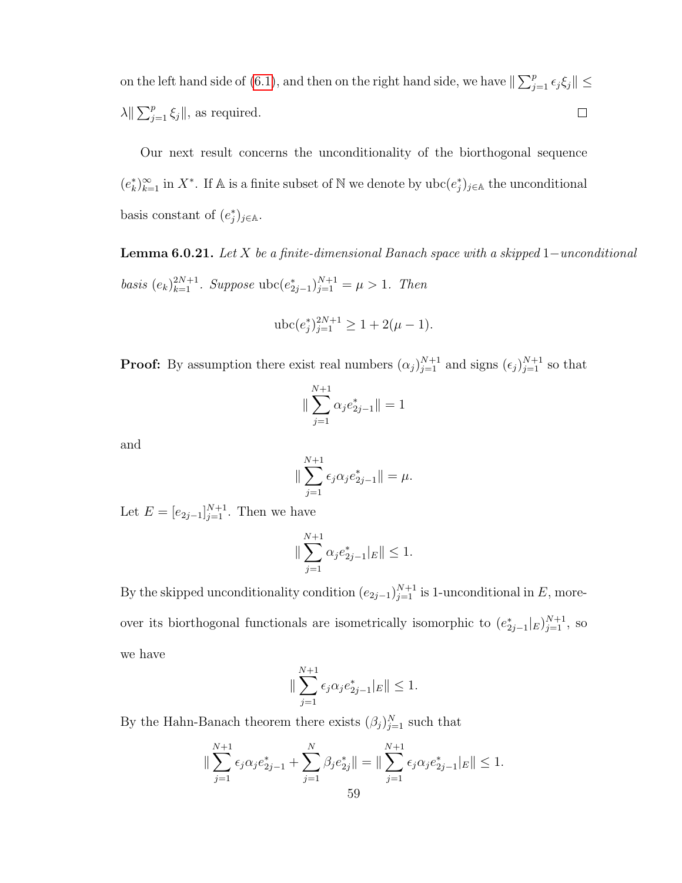on the left hand side of [\(6.1\)](#page-63-0), and then on the right hand side, we have  $\|\sum_{j=1}^p \epsilon_j \xi_j\|$   $\leq$  $\lambda \|\sum_{j=1}^p \xi_j\|$ , as required.  $\Box$ 

Our next result concerns the unconditionality of the biorthogonal sequence  $(e_k^*)_{k=1}^{\infty}$  in  $X^*$ . If A is a finite subset of N we denote by  $\text{ubc}(e_j^*)_{j\in\mathbb{A}}$  the unconditional basis constant of  $(e_j^*)_{j\in\mathbb{A}}$ .

<span id="page-64-0"></span>**Lemma 6.0.21.** Let X be a finite-dimensional Banach space with a skipped  $1$ -unconditional basis  $(e_k)_{k=1}^{2N+1}$ . Suppose ubc $(e_{2j-1}^*)_{j=1}^{N+1} = \mu > 1$ . Then

$$
\text{ubc}(e_j^*)_{j=1}^{2N+1} \ge 1 + 2(\mu - 1).
$$

**Proof:** By assumption there exist real numbers  $(\alpha_j)_{j=1}^{N+1}$  and signs  $(\epsilon_j)_{j=1}^{N+1}$  so that

$$
\|\sum_{j=1}^{N+1} \alpha_j e_{2j-1}^* \| = 1
$$

and

$$
\|\sum_{j=1}^{N+1} \epsilon_j \alpha_j e_{2j-1}^* \| = \mu.
$$

Let  $E = [e_{2j-1}]_{j=1}^{N+1}$ . Then we have

$$
\|\sum_{j=1}^{N+1} \alpha_j e_{2j-1}^*|_E\| \le 1.
$$

By the skipped unconditionality condition  $(e_{2j-1})_{j=1}^{N+1}$  is 1-unconditional in E, moreover its biorthogonal functionals are isometrically isomorphic to  $(e_{2j-1}^*|_E)_{j=1}^{N+1}$ , so we have

$$
\|\sum_{j=1}^{N+1} \epsilon_j \alpha_j e_{2j-1}^*|_E\| \le 1.
$$

By the Hahn-Banach theorem there exists  $(\beta_j)_{j=1}^N$  such that

$$
\|\sum_{j=1}^{N+1} \epsilon_j \alpha_j e_{2j-1}^* + \sum_{j=1}^N \beta_j e_{2j}^* \| = \|\sum_{j=1}^{N+1} \epsilon_j \alpha_j e_{2j-1}^* \|_E \|\le 1.
$$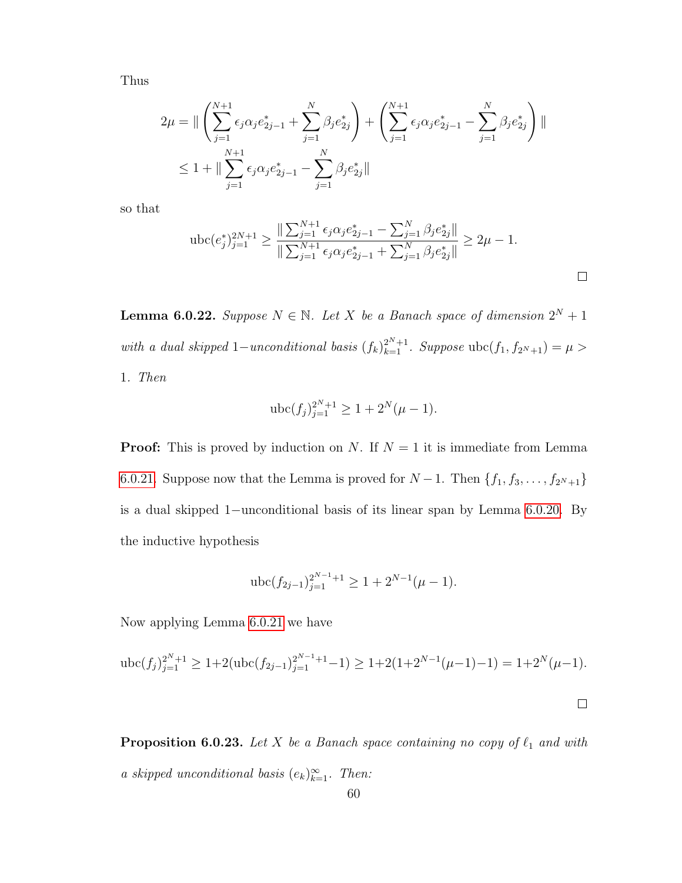Thus

$$
2\mu = \|\left(\sum_{j=1}^{N+1} \epsilon_j \alpha_j e_{2j-1}^* + \sum_{j=1}^N \beta_j e_{2j}^*\right) + \left(\sum_{j=1}^{N+1} \epsilon_j \alpha_j e_{2j-1}^* - \sum_{j=1}^N \beta_j e_{2j}^*\right)\|
$$
  

$$
\leq 1 + \|\sum_{j=1}^{N+1} \epsilon_j \alpha_j e_{2j-1}^* - \sum_{j=1}^N \beta_j e_{2j}^*\|
$$

so that

$$
\operatorname{ubc}(e_j^*)_{j=1}^{2N+1} \ge \frac{\|\sum_{j=1}^{N+1} \epsilon_j \alpha_j e_{2j-1}^* - \sum_{j=1}^N \beta_j e_{2j}^* \|}{\|\sum_{j=1}^{N+1} \epsilon_j \alpha_j e_{2j-1}^* + \sum_{j=1}^N \beta_j e_{2j}^* \|} \ge 2\mu - 1.
$$

<span id="page-65-1"></span>**Lemma 6.0.22.** Suppose  $N \in \mathbb{N}$ . Let X be a Banach space of dimension  $2^N + 1$ with a dual skipped 1–unconditional basis  $(f_k)_{k=1}^{2^N+1}$ . Suppose ubc $(f_1, f_{2^N+1}) = \mu >$ 1. Then

$$
\operatorname{ubc}(f_j)_{j=1}^{2^N+1} \ge 1 + 2^N(\mu - 1).
$$

**Proof:** This is proved by induction on N. If  $N = 1$  it is immediate from Lemma [6.0.21.](#page-64-0) Suppose now that the Lemma is proved for  $N-1$ . Then  $\{f_1, f_3, \ldots, f_{2^N+1}\}\$ is a dual skipped 1−unconditional basis of its linear span by Lemma [6.0.20.](#page-62-0) By the inductive hypothesis

$$
\operatorname{ubc}(f_{2j-1})_{j=1}^{2^{N-1}+1} \ge 1 + 2^{N-1}(\mu - 1).
$$

Now applying Lemma [6.0.21](#page-64-0) we have

$$
\operatorname{ubc}(f_j)_{j=1}^{2^N+1} \ge 1 + 2(\operatorname{ubc}(f_{2j-1})_{j=1}^{2^{N-1}+1} - 1) \ge 1 + 2(1 + 2^{N-1}(\mu - 1) - 1) = 1 + 2^N(\mu - 1).
$$

<span id="page-65-0"></span>**Proposition 6.0.23.** Let X be a Banach space containing no copy of  $\ell_1$  and with a skipped unconditional basis  $(e_k)_{k=1}^{\infty}$ . Then: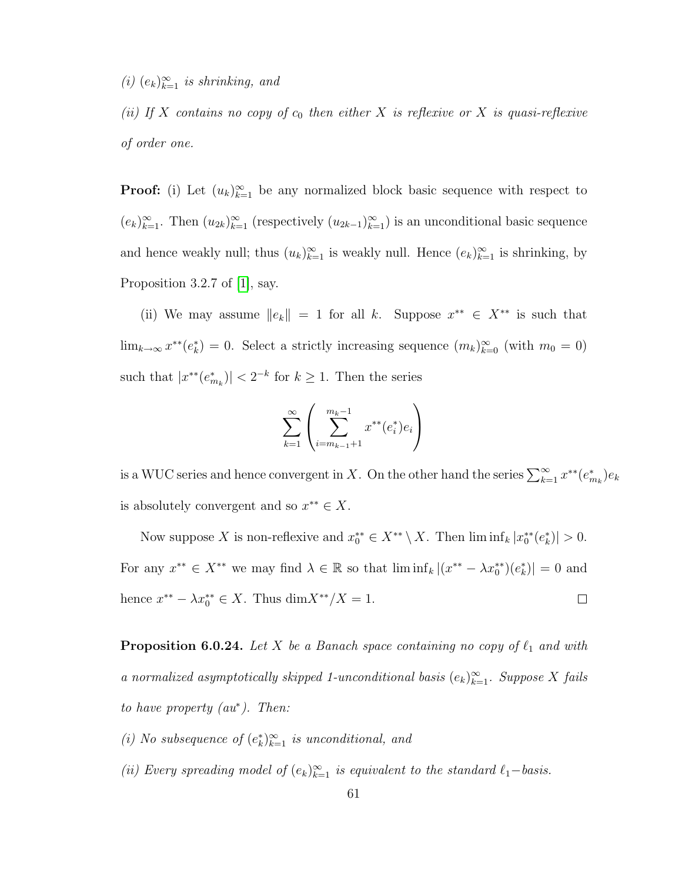(i)  $(e_k)_{k=1}^{\infty}$  is shrinking, and

(ii) If X contains no copy of  $c_0$  then either X is reflexive or X is quasi-reflexive of order one.

**Proof:** (i) Let  $(u_k)_{k=1}^{\infty}$  be any normalized block basic sequence with respect to  $(e_k)_{k=1}^{\infty}$ . Then  $(u_{2k})_{k=1}^{\infty}$  (respectively  $(u_{2k-1})_{k=1}^{\infty}$ ) is an unconditional basic sequence and hence weakly null; thus  $(u_k)_{k=1}^{\infty}$  is weakly null. Hence  $(e_k)_{k=1}^{\infty}$  is shrinking, by Proposition 3.2.7 of [\[1\]](#page-78-0), say.

(ii) We may assume  $||e_k|| = 1$  for all k. Suppose  $x^{**} \in X^{**}$  is such that  $\lim_{k\to\infty} x^{**}(e_k^*)=0$ . Select a strictly increasing sequence  $(m_k)_{k=0}^{\infty}$  (with  $m_0=0$ ) such that  $|x^{**}(e_{m_k}^*)| < 2^{-k}$  for  $k \ge 1$ . Then the series

$$
\sum_{k=1}^{\infty} \left( \sum_{i=m_{k-1}+1}^{m_k-1} x^{**}(e_i^*) e_i \right)
$$

is a WUC series and hence convergent in X. On the other hand the series  $\sum_{k=1}^{\infty} x^{**}(e_{m_k}^*)e_k$ is absolutely convergent and so  $x^{**} \in X$ .

Now suppose X is non-reflexive and  $x_0^{**} \in X^{**} \setminus X$ . Then  $\liminf_k |x_0^{**}(e_k^*)| > 0$ . For any  $x^{**} \in X^{**}$  we may find  $\lambda \in \mathbb{R}$  so that  $\liminf_k |(x^{**} - \lambda x_0^{**})(e_k^*)| = 0$  and hence  $x^{**} - \lambda x_0^{**} \in X$ . Thus  $\dim X^{**}/X = 1$ .  $\Box$ 

**Proposition 6.0.24.** Let X be a Banach space containing no copy of  $\ell_1$  and with a normalized asymptotically skipped 1-unconditional basis  $(e_k)_{k=1}^{\infty}$ . Suppose X fails to have property (au<sup>∗</sup> ). Then:

- (i) No subsequence of  $(e_k^*)_{k=1}^\infty$  is unconditional, and
- (ii) Every spreading model of  $(e_k)_{k=1}^{\infty}$  is equivalent to the standard  $\ell_1$ -basis.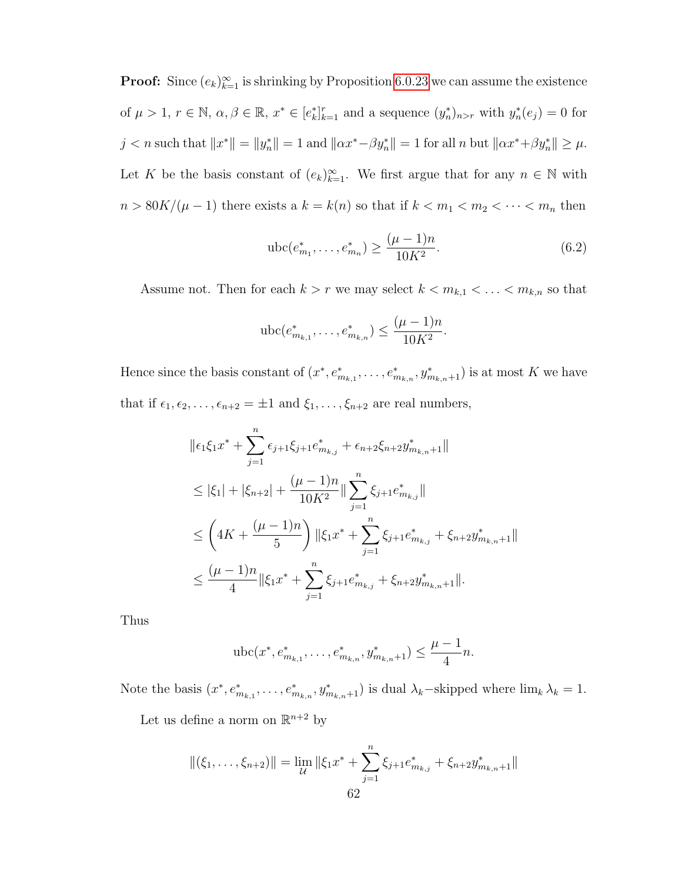**Proof:** Since  $(e_k)_{k=1}^{\infty}$  is shrinking by Proposition [6.0.23](#page-65-0) we can assume the existence of  $\mu > 1$ ,  $r \in \mathbb{N}$ ,  $\alpha, \beta \in \mathbb{R}$ ,  $x^* \in [e_k^*]_{k=1}^r$  and a sequence  $(y_n^*)_{n>r}$  with  $y_n^*(e_j) = 0$  for  $j < n$  such that  $||x^*|| = ||y_n^*|| = 1$  and  $||\alpha x^* - \beta y_n^*|| = 1$  for all n but  $||\alpha x^* + \beta y_n^*|| \ge \mu$ . Let K be the basis constant of  $(e_k)_{k=1}^{\infty}$ . We first argue that for any  $n \in \mathbb{N}$  with  $n > 80K/(\mu - 1)$  there exists a  $k = k(n)$  so that if  $k < m_1 < m_2 < \cdots < m_n$  then

<span id="page-67-0"></span>
$$
\operatorname{ubc}(e_{m_1}^*, \dots, e_{m_n}^*) \ge \frac{(\mu - 1)n}{10K^2}.\tag{6.2}
$$

Assume not. Then for each  $k > r$  we may select  $k < m_{k,1} < \ldots < m_{k,n}$  so that

$$
\text{ubc}(e_{m_{k,1}}^*, \dots, e_{m_{k,n}}^*) \le \frac{(\mu-1)n}{10K^2}.
$$

Hence since the basis constant of  $(x^*, e_{m_{k,1}}^*, \ldots, e_{m_{k,n}}^*, y_{m_{k,n}+1}^*)$  is at most K we have that if  $\epsilon_1, \epsilon_2, \ldots, \epsilon_{n+2} = \pm 1$  and  $\xi_1, \ldots, \xi_{n+2}$  are real numbers,

$$
\|\epsilon_1 \xi_1 x^* + \sum_{j=1}^n \epsilon_{j+1} \xi_{j+1} e^*_{m_{k,j}} + \epsilon_{n+2} \xi_{n+2} y^*_{m_{k,n}+1} \|
$$
  
\n
$$
\leq |\xi_1| + |\xi_{n+2}| + \frac{(\mu - 1)n}{10K^2} \|\sum_{j=1}^n \xi_{j+1} e^*_{m_{k,j}} \|
$$
  
\n
$$
\leq \left( 4K + \frac{(\mu - 1)n}{5} \right) \|\xi_1 x^* + \sum_{j=1}^n \xi_{j+1} e^*_{m_{k,j}} + \xi_{n+2} y^*_{m_{k,n}+1} \|
$$
  
\n
$$
\leq \frac{(\mu - 1)n}{4} \|\xi_1 x^* + \sum_{j=1}^n \xi_{j+1} e^*_{m_{k,j}} + \xi_{n+2} y^*_{m_{k,n}+1} \|.
$$

Thus

$$
abc(x^*, e^*_{m_{k,1}}, \ldots, e^*_{m_{k,n}}, y^*_{m_{k,n}+1}) \leq \frac{\mu-1}{4}n.
$$

Note the basis  $(x^*, e_{m_{k,1}}^*, \ldots, e_{m_{k,n}}^*, y_{m_{k,n}+1}^*)$  is dual  $\lambda_k$ -skipped where  $\lim_k \lambda_k = 1$ .

Let us define a norm on  $\mathbb{R}^{n+2}$  by

$$
\|(\xi_1,\ldots,\xi_{n+2})\| = \lim_{\mathcal{U}} \|\xi_1 x^* + \sum_{j=1}^n \xi_{j+1} e^*_{m_{k,j}} + \xi_{n+2} y^*_{m_{k,n}+1}\|
$$
  
62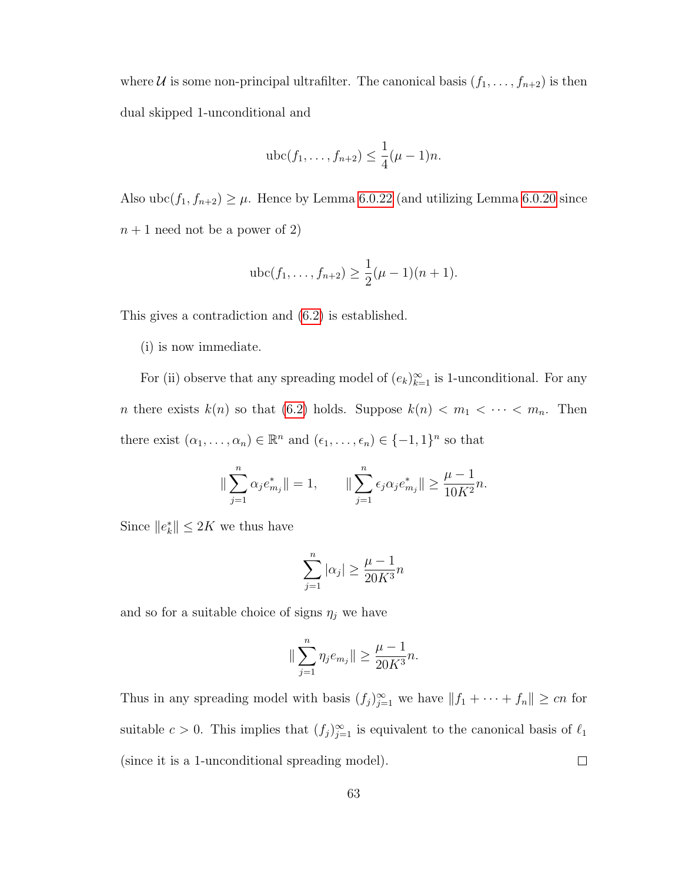where *U* is some non-principal ultrafilter. The canonical basis  $(f_1, \ldots, f_{n+2})$  is then dual skipped 1-unconditional and

$$
abc(f_1,...,f_{n+2}) \leq \frac{1}{4}(\mu-1)n.
$$

Also ubc $(f_1, f_{n+2}) \ge \mu$ . Hence by Lemma [6.0.22](#page-65-1) (and utilizing Lemma [6.0.20](#page-62-0) since  $n+1$  need not be a power of 2)

$$
\operatorname{ubc}(f_1,\ldots,f_{n+2}) \ge \frac{1}{2}(\mu-1)(n+1).
$$

This gives a contradiction and [\(6.2\)](#page-67-0) is established.

(i) is now immediate.

For (ii) observe that any spreading model of  $(e_k)_{k=1}^{\infty}$  is 1-unconditional. For any *n* there exists  $k(n)$  so that [\(6.2\)](#page-67-0) holds. Suppose  $k(n) < m_1 < \cdots < m_n$ . Then there exist  $(\alpha_1, \ldots, \alpha_n) \in \mathbb{R}^n$  and  $(\epsilon_1, \ldots, \epsilon_n) \in \{-1, 1\}^n$  so that

$$
\|\sum_{j=1}^n \alpha_j e_{m_j}^*\| = 1, \qquad \|\sum_{j=1}^n \epsilon_j \alpha_j e_{m_j}^*\| \ge \frac{\mu - 1}{10K^2}n.
$$

Since  $||e_k^*|| \leq 2K$  we thus have

$$
\sum_{j=1}^{n} |\alpha_j| \ge \frac{\mu - 1}{20K^3}n
$$

and so for a suitable choice of signs  $\eta_j$  we have

$$
\|\sum_{j=1}^{n} \eta_j e_{m_j}\| \ge \frac{\mu-1}{20K^3}n.
$$

Thus in any spreading model with basis  $(f_j)_{j=1}^{\infty}$  we have  $||f_1 + \cdots + f_n|| \ge cn$  for suitable  $c > 0$ . This implies that  $(f_j)_{j=1}^{\infty}$  is equivalent to the canonical basis of  $\ell_1$ (since it is a 1-unconditional spreading model).  $\Box$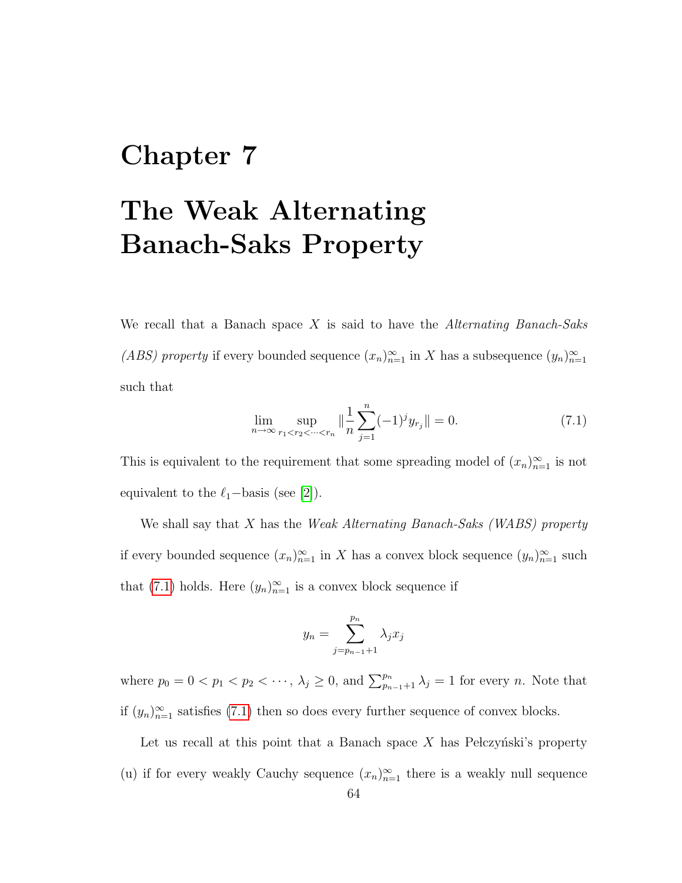## Chapter 7

## The Weak Alternating Banach-Saks Property

We recall that a Banach space  $X$  is said to have the Alternating Banach-Saks (ABS) property if every bounded sequence  $(x_n)_{n=1}^{\infty}$  in X has a subsequence  $(y_n)_{n=1}^{\infty}$ such that

<span id="page-69-0"></span>
$$
\lim_{n \to \infty} \sup_{r_1 < r_2 < \dots < r_n} \| \frac{1}{n} \sum_{j=1}^n (-1)^j y_{r_j} \| = 0. \tag{7.1}
$$

This is equivalent to the requirement that some spreading model of  $(x_n)_{n=1}^{\infty}$  is not equivalent to the  $\ell_1$ −basis (see [\[2\]](#page-78-5)).

We shall say that  $X$  has the *Weak Alternating Banach-Saks (WABS) property* if every bounded sequence  $(x_n)_{n=1}^{\infty}$  in X has a convex block sequence  $(y_n)_{n=1}^{\infty}$  such that [\(7.1\)](#page-69-0) holds. Here  $(y_n)_{n=1}^{\infty}$  is a convex block sequence if

$$
y_n = \sum_{j=p_{n-1}+1}^{p_n} \lambda_j x_j
$$

where  $p_0 = 0 < p_1 < p_2 < \cdots, \lambda_j \geq 0$ , and  $\sum_{p_{n-1}+1}^{p_n} \lambda_j = 1$  for every *n*. Note that if  $(y_n)_{n=1}^{\infty}$  satisfies [\(7.1\)](#page-69-0) then so does every further sequence of convex blocks.

Let us recall at this point that a Banach space  $X$  has Pelczyński's property (u) if for every weakly Cauchy sequence  $(x_n)_{n=1}^{\infty}$  there is a weakly null sequence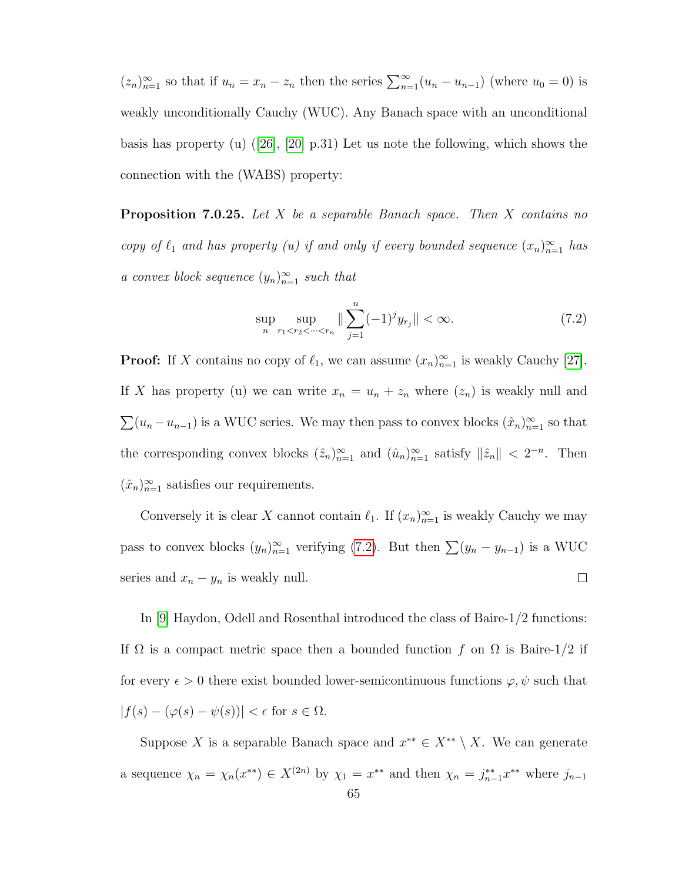$(z_n)_{n=1}^{\infty}$  so that if  $u_n = x_n - z_n$  then the series  $\sum_{n=1}^{\infty} (u_n - u_{n-1})$  (where  $u_0 = 0$ ) is weakly unconditionally Cauchy (WUC). Any Banach space with an unconditional basis has property (u)  $(26)$ ,  $[20]$  p.31) Let us note the following, which shows the connection with the (WABS) property:

Proposition 7.0.25. Let X be a separable Banach space. Then X contains no copy of  $\ell_1$  and has property (u) if and only if every bounded sequence  $(x_n)_{n=1}^{\infty}$  has a convex block sequence  $(y_n)_{n=1}^{\infty}$  such that

<span id="page-70-0"></span>
$$
\sup_{n} \sup_{r_1 < r_2 < \dots < r_n} \| \sum_{j=1}^n (-1)^j y_{r_j} \| < \infty. \tag{7.2}
$$

**Proof:** If X contains no copy of  $\ell_1$ , we can assume  $(x_n)_{n=1}^{\infty}$  is weakly Cauchy [\[27\]](#page-79-5). If X has property (u) we can write  $x_n = u_n + z_n$  where  $(z_n)$  is weakly null and  $\sum (u_n - u_{n-1})$  is a WUC series. We may then pass to convex blocks  $(\hat{x}_n)_{n=1}^{\infty}$  so that the corresponding convex blocks  $(\hat{z}_n)_{n=1}^{\infty}$  and  $(\hat{u}_n)_{n=1}^{\infty}$  satisfy  $\|\hat{z}_n\| < 2^{-n}$ . Then  $(\hat{x}_n)_{n=1}^{\infty}$  satisfies our requirements.

Conversely it is clear X cannot contain  $\ell_1$ . If  $(x_n)_{n=1}^{\infty}$  is weakly Cauchy we may pass to convex blocks  $(y_n)_{n=1}^{\infty}$  verifying [\(7.2\)](#page-70-0). But then  $\sum (y_n - y_{n-1})$  is a WUC series and  $x_n - y_n$  is weakly null.  $\Box$ 

In [\[9\]](#page-78-6) Haydon, Odell and Rosenthal introduced the class of Baire-1/2 functions: If  $\Omega$  is a compact metric space then a bounded function f on  $\Omega$  is Baire-1/2 if for every  $\epsilon > 0$  there exist bounded lower-semicontinuous functions  $\varphi, \psi$  such that  $|f(s) - (\varphi(s) - \psi(s))| < \epsilon$  for  $s \in \Omega$ .

Suppose X is a separable Banach space and  $x^{**} \in X^{**} \setminus X$ . We can generate a sequence  $\chi_n = \chi_n(x^{**}) \in X^{(2n)}$  by  $\chi_1 = x^{**}$  and then  $\chi_n = j_{n-1}^{**} x^{**}$  where  $j_{n-1}$ 65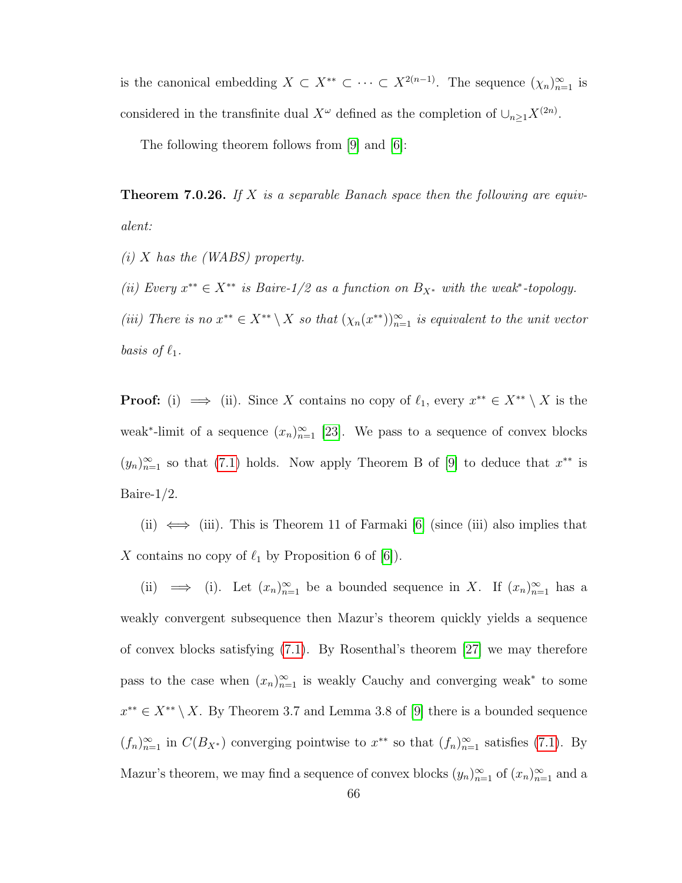is the canonical embedding  $X \subset X^{**} \subset \cdots \subset X^{2(n-1)}$ . The sequence  $(\chi_n)_{n=1}^{\infty}$  is considered in the transfinite dual  $X^{\omega}$  defined as the completion of  $\cup_{n\geq 1} X^{(2n)}$ .

The following theorem follows from [\[9\]](#page-78-6) and [\[6\]](#page-78-7):

**Theorem 7.0.26.** If X is a separable Banach space then the following are equivalent:

 $(i)$  X has the (WABS) property.

(ii) Every  $x^{**} \in X^{**}$  is Baire-1/2 as a function on  $B_{X^*}$  with the weak\*-topology.

(iii) There is no  $x^{**} \in X^{**} \setminus X$  so that  $(\chi_n(x^{**}))_{n=1}^{\infty}$  is equivalent to the unit vector basis of  $\ell_1$ .

**Proof:** (i)  $\implies$  (ii). Since X contains no copy of  $\ell_1$ , every  $x^{**} \in X^{**} \setminus X$  is the weak<sup>\*</sup>-limit of a sequence  $(x_n)_{n=1}^{\infty}$  [\[23\]](#page-79-6). We pass to a sequence of convex blocks  $(y_n)_{n=1}^{\infty}$  so that [\(7.1\)](#page-69-0) holds. Now apply Theorem B of [\[9\]](#page-78-6) to deduce that  $x^{**}$  is Baire-1/2.

(ii)  $\iff$  (iii). This is Theorem 11 of Farmaki [\[6\]](#page-78-7) (since (iii) also implies that X contains no copy of  $\ell_1$  by Proposition 6 of  $[6]$ ).

(ii)  $\implies$  (i). Let  $(x_n)_{n=1}^{\infty}$  be a bounded sequence in X. If  $(x_n)_{n=1}^{\infty}$  has a weakly convergent subsequence then Mazur's theorem quickly yields a sequence of convex blocks satisfying [\(7.1\)](#page-69-0). By Rosenthal's theorem [\[27\]](#page-79-5) we may therefore pass to the case when  $(x_n)_{n=1}^{\infty}$  is weakly Cauchy and converging weak<sup>\*</sup> to some  $x^{**} \in X^{**} \setminus X$ . By Theorem 3.7 and Lemma 3.8 of [\[9\]](#page-78-6) there is a bounded sequence  $(f_n)_{n=1}^{\infty}$  in  $C(B_{X^*})$  converging pointwise to  $x^{**}$  so that  $(f_n)_{n=1}^{\infty}$  satisfies [\(7.1\)](#page-69-0). By Mazur's theorem, we may find a sequence of convex blocks  $(y_n)_{n=1}^{\infty}$  of  $(x_n)_{n=1}^{\infty}$  and a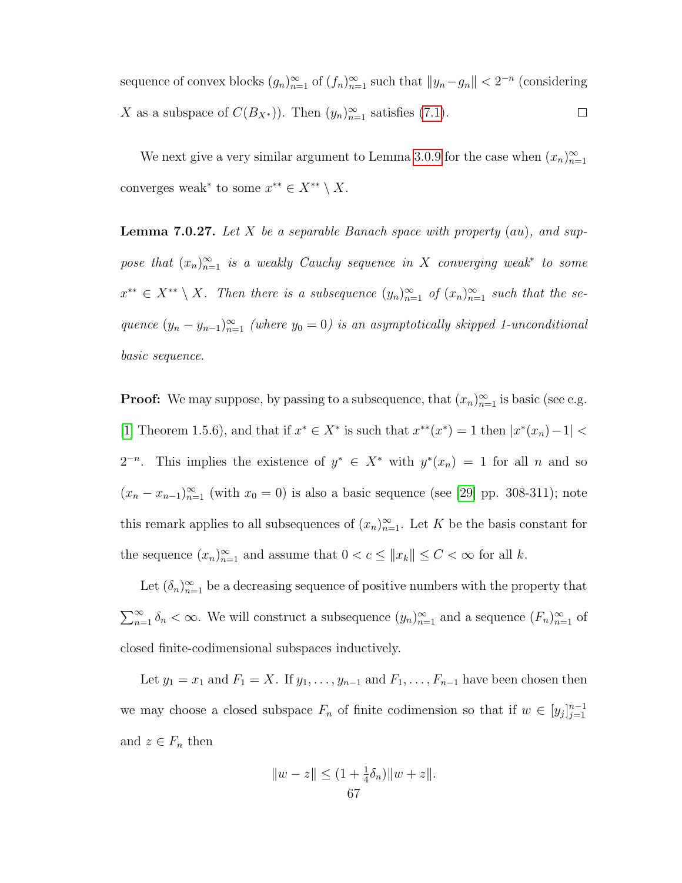sequence of convex blocks  $(g_n)_{n=1}^{\infty}$  of  $(f_n)_{n=1}^{\infty}$  such that  $||g_n-g_n|| < 2^{-n}$  (considering X as a subspace of  $C(B_{X^*})$ ). Then  $(y_n)_{n=1}^{\infty}$  satisfies [\(7.1\)](#page-69-0).  $\Box$ 

We next give a very similar argument to Lemma [3.0.9](#page-28-0) for the case when  $(x_n)_{n=1}^{\infty}$ converges weak<sup>\*</sup> to some  $x^{**} \in X^{**} \setminus X$ .

<span id="page-72-0"></span>**Lemma 7.0.27.** Let X be a separable Banach space with property  $(au)$ , and suppose that  $(x_n)_{n=1}^{\infty}$  is a weakly Cauchy sequence in X converging weak<sup>\*</sup> to some  $x^{**} \in X^{**} \setminus X$ . Then there is a subsequence  $(y_n)_{n=1}^{\infty}$  of  $(x_n)_{n=1}^{\infty}$  such that the sequence  $(y_n - y_{n-1})_{n=1}^{\infty}$  (where  $y_0 = 0$ ) is an asymptotically skipped 1-unconditional basic sequence.

**Proof:** We may suppose, by passing to a subsequence, that  $(x_n)_{n=1}^{\infty}$  is basic (see e.g. [\[1\]](#page-78-0) Theorem 1.5.6), and that if  $x^* \in X^*$  is such that  $x^{**}(x^*) = 1$  then  $|x^*(x_n) - 1| <$  $2^{-n}$ . This implies the existence of  $y^* \in X^*$  with  $y^*(x_n) = 1$  for all n and so  $(x_n - x_{n-1})_{n=1}^{\infty}$  (with  $x_0 = 0$ ) is also a basic sequence (see [\[29\]](#page-79-0) pp. 308-311); note this remark applies to all subsequences of  $(x_n)_{n=1}^{\infty}$ . Let K be the basis constant for the sequence  $(x_n)_{n=1}^{\infty}$  and assume that  $0 < c \leq ||x_k|| \leq C < \infty$  for all k.

Let  $(\delta_n)_{n=1}^{\infty}$  be a decreasing sequence of positive numbers with the property that  $\sum_{n=1}^{\infty} \delta_n < \infty$ . We will construct a subsequence  $(y_n)_{n=1}^{\infty}$  and a sequence  $(F_n)_{n=1}^{\infty}$  of closed finite-codimensional subspaces inductively.

Let  $y_1 = x_1$  and  $F_1 = X$ . If  $y_1, \ldots, y_{n-1}$  and  $F_1, \ldots, F_{n-1}$  have been chosen then we may choose a closed subspace  $F_n$  of finite codimension so that if  $w \in [y_j]_{j=1}^{n-1}$  $j=1$ and  $z \in F_n$  then

$$
||w - z|| \le (1 + \frac{1}{4}\delta_n) ||w + z||.
$$
  
67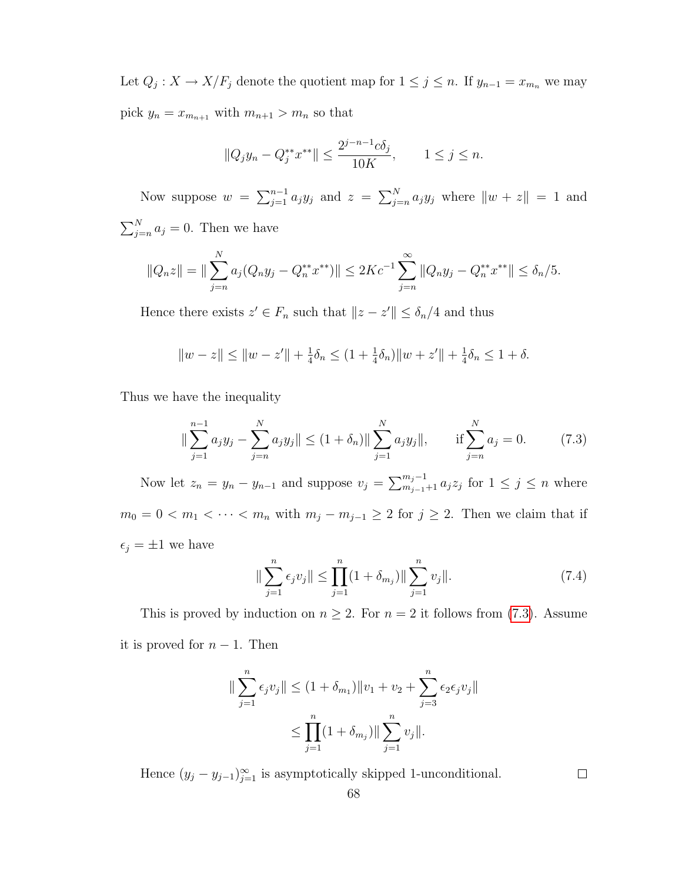Let  $Q_j: X \to X/F_j$  denote the quotient map for  $1 \leq j \leq n$ . If  $y_{n-1} = x_{m_n}$  we may pick  $y_n = x_{m_{n+1}}$  with  $m_{n+1} > m_n$  so that

$$
||Q_j y_n - Q_j^{**} x^{**}|| \le \frac{2^{j-n-1} c \delta_j}{10K}, \qquad 1 \le j \le n.
$$

Now suppose  $w = \sum_{j=1}^{n-1} a_j y_j$  and  $z = \sum_{j=n}^{N} a_j y_j$  where  $||w + z|| = 1$  and  $\sum_{j=n}^{N} a_j = 0$ . Then we have

$$
||Q_nz|| = ||\sum_{j=n}^N a_j(Q_ny_j - Q_n^{**}x^{**})|| \le 2Ke^{-1}\sum_{j=n}^\infty ||Q_ny_j - Q_n^{**}x^{**}|| \le \delta_n/5.
$$

Hence there exists  $z' \in F_n$  such that  $||z - z'|| \leq \delta_n/4$  and thus

$$
||w - z|| \le ||w - z'|| + \frac{1}{4}\delta_n \le (1 + \frac{1}{4}\delta_n)||w + z'|| + \frac{1}{4}\delta_n \le 1 + \delta.
$$

Thus we have the inequality

<span id="page-73-0"></span>
$$
\|\sum_{j=1}^{n-1} a_j y_j - \sum_{j=n}^{N} a_j y_j\| \le (1+\delta_n) \|\sum_{j=1}^{N} a_j y_j\|, \quad \text{if } \sum_{j=n}^{N} a_j = 0. \quad (7.3)
$$

Now let  $z_n = y_n - y_{n-1}$  and suppose  $v_j = \sum_{m_{j-1}+1}^{m_j-1} a_j z_j$  for  $1 \le j \le n$  where  $m_0 = 0 < m_1 < \cdots < m_n$  with  $m_j - m_{j-1} \geq 2$  for  $j \geq 2$ . Then we claim that if  $\epsilon_j = \pm 1$  we have

$$
\|\sum_{j=1}^{n} \epsilon_j v_j\| \le \prod_{j=1}^{n} (1 + \delta_{m_j}) \|\sum_{j=1}^{n} v_j\|.
$$
 (7.4)

This is proved by induction on  $n \geq 2$ . For  $n = 2$  it follows from [\(7.3\)](#page-73-0). Assume it is proved for  $n-1$ . Then

$$
\|\sum_{j=1}^{n} \epsilon_j v_j \| \le (1 + \delta_{m_1}) \|v_1 + v_2 + \sum_{j=3}^{n} \epsilon_j \epsilon_j v_j \|
$$
  

$$
\le \prod_{j=1}^{n} (1 + \delta_{m_j}) \|\sum_{j=1}^{n} v_j \|.
$$

Hence  $(y_j - y_{j-1})_{j=1}^{\infty}$  is asymptotically skipped 1-unconditional.

 $\Box$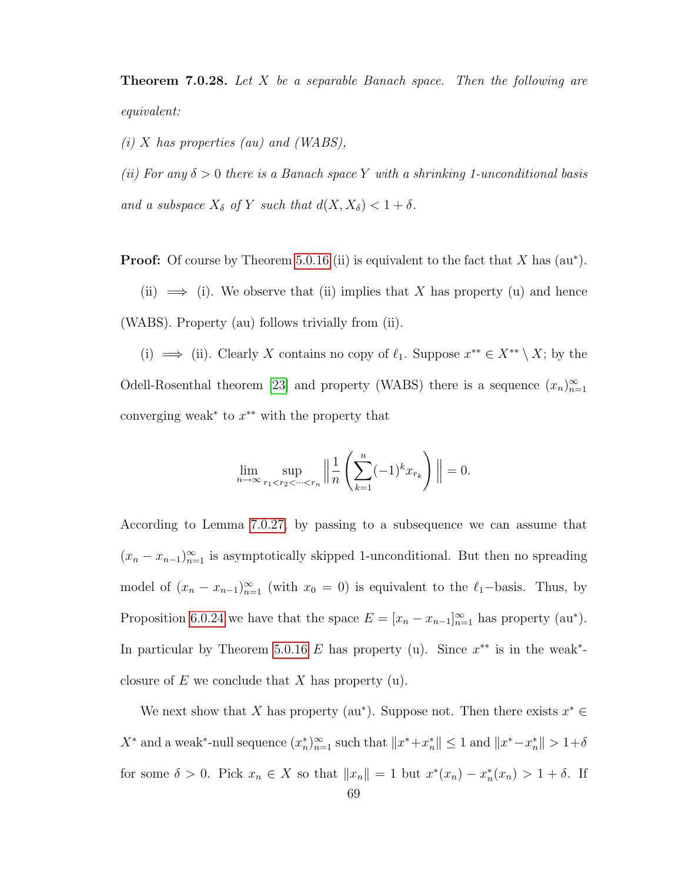<span id="page-74-0"></span>**Theorem 7.0.28.** Let X be a separable Banach space. Then the following are equivalent:

 $(i)$  X has properties (au) and (WABS),

(ii) For any  $\delta > 0$  there is a Banach space Y with a shrinking 1-unconditional basis and a subspace  $X_{\delta}$  of Y such that  $d(X, X_{\delta}) < 1 + \delta$ .

**Proof:** Of course by Theorem [5.0.16](#page-52-0) (ii) is equivalent to the fact that  $X$  has  $(au^*)$ .

(ii)  $\implies$  (i). We observe that (ii) implies that X has property (u) and hence (WABS). Property (au) follows trivially from (ii).

(i)  $\implies$  (ii). Clearly X contains no copy of  $\ell_1$ . Suppose  $x^{**} \in X^{**} \setminus X$ ; by the Odell-Rosenthal theorem [\[23\]](#page-79-1) and property (WABS) there is a sequence  $(x_n)_{n=1}^{\infty}$ converging weak<sup>\*</sup> to  $x^*$ \* with the property that

$$
\lim_{n \to \infty} \sup_{r_1 < r_2 < \dots < r_n} \left\| \frac{1}{n} \left( \sum_{k=1}^n (-1)^k x_{r_k} \right) \right\| = 0.
$$

According to Lemma [7.0.27,](#page-72-0) by passing to a subsequence we can assume that  $(x_n - x_{n-1})_{n=1}^{\infty}$  is asymptotically skipped 1-unconditional. But then no spreading model of  $(x_n - x_{n-1})_{n=1}^{\infty}$  (with  $x_0 = 0$ ) is equivalent to the  $\ell_1$ -basis. Thus, by Proposition [6.0.24](#page-66-0) we have that the space  $E = [x_n - x_{n-1}]_{n=1}^{\infty}$  has property (au\*). In particular by Theorem [5.0.16](#page-52-0) E has property (u). Since  $x^{**}$  is in the weak<sup>\*</sup>closure of  $E$  we conclude that  $X$  has property (u).

We next show that X has property (au\*). Suppose not. Then there exists  $x^* \in$  $X^*$  and a weak<sup>\*</sup>-null sequence  $(x_n^*)_{n=1}^{\infty}$  such that  $||x^*+x_n^*|| \leq 1$  and  $||x^*-x_n^*|| > 1+\delta$ for some  $\delta > 0$ . Pick  $x_n \in X$  so that  $||x_n|| = 1$  but  $x^*(x_n) - x_n^*(x_n) > 1 + \delta$ . If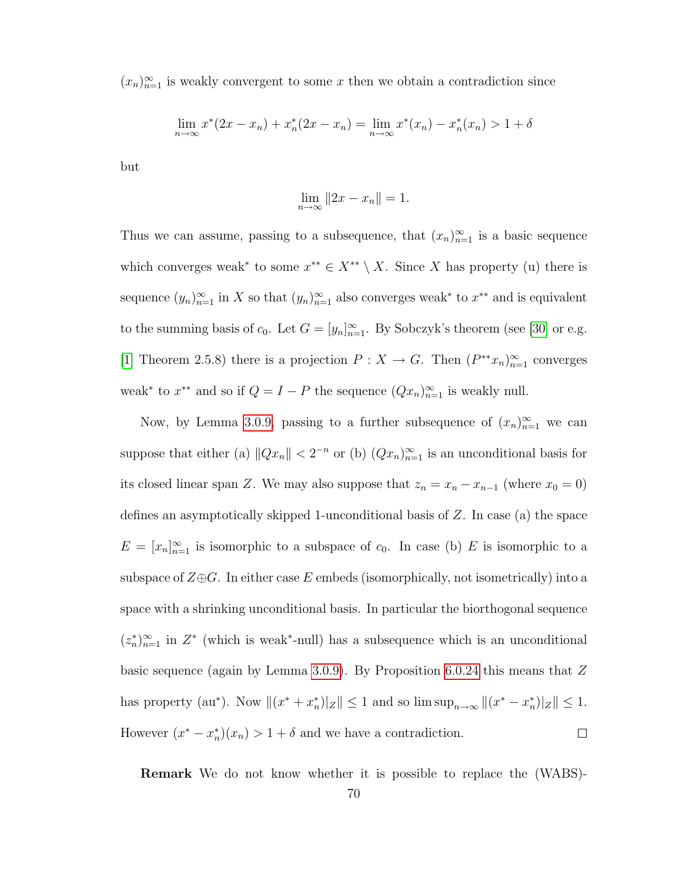$(x_n)_{n=1}^{\infty}$  is weakly convergent to some x then we obtain a contradiction since

$$
\lim_{n \to \infty} x^*(2x - x_n) + x_n^*(2x - x_n) = \lim_{n \to \infty} x^*(x_n) - x_n^*(x_n) > 1 + \delta
$$

but

$$
\lim_{n \to \infty} ||2x - x_n|| = 1.
$$

Thus we can assume, passing to a subsequence, that  $(x_n)_{n=1}^{\infty}$  is a basic sequence which converges weak<sup>\*</sup> to some  $x^{**} \in X^{**} \setminus X$ . Since X has property (u) there is sequence  $(y_n)_{n=1}^{\infty}$  in X so that  $(y_n)_{n=1}^{\infty}$  also converges weak\* to  $x^{**}$  and is equivalent to the summing basis of  $c_0$ . Let  $G = [y_n]_{n=1}^{\infty}$ . By Sobczyk's theorem (see [\[30\]](#page-79-2) or e.g. [\[1\]](#page-78-0) Theorem 2.5.8) there is a projection  $P: X \to G$ . Then  $(P^{**}x_n)_{n=1}^{\infty}$  converges weak<sup>\*</sup> to  $x^{**}$  and so if  $Q = I - P$  the sequence  $(Qx_n)_{n=1}^{\infty}$  is weakly null.

Now, by Lemma [3.0.9,](#page-28-0) passing to a further subsequence of  $(x_n)_{n=1}^{\infty}$  we can suppose that either (a)  $||Qx_n|| < 2^{-n}$  or (b)  $(Qx_n)_{n=1}^{\infty}$  is an unconditional basis for its closed linear span Z. We may also suppose that  $z_n = x_n - x_{n-1}$  (where  $x_0 = 0$ ) defines an asymptotically skipped 1-unconditional basis of Z. In case (a) the space  $E = [x_n]_{n=1}^{\infty}$  is isomorphic to a subspace of  $c_0$ . In case (b) E is isomorphic to a subspace of  $\mathbb{Z}\oplus\mathbb{G}$ . In either case E embeds (isomorphically, not isometrically) into a space with a shrinking unconditional basis. In particular the biorthogonal sequence  $(z_n^*)_{n=1}^{\infty}$  in  $Z^*$  (which is weak<sup>\*</sup>-null) has a subsequence which is an unconditional basic sequence (again by Lemma [3.0.9\)](#page-28-0). By Proposition [6.0.24](#page-66-0) this means that Z has property (au\*). Now  $||(x^* + x^*_n)||_Z|| \le 1$  and so  $\limsup_{n\to\infty}||(x^* - x^*_n)||_Z|| \le 1$ . However  $(x^* - x_n^*)(x_n) > 1 + \delta$  and we have a contradiction.  $\Box$ 

Remark We do not know whether it is possible to replace the (WABS)-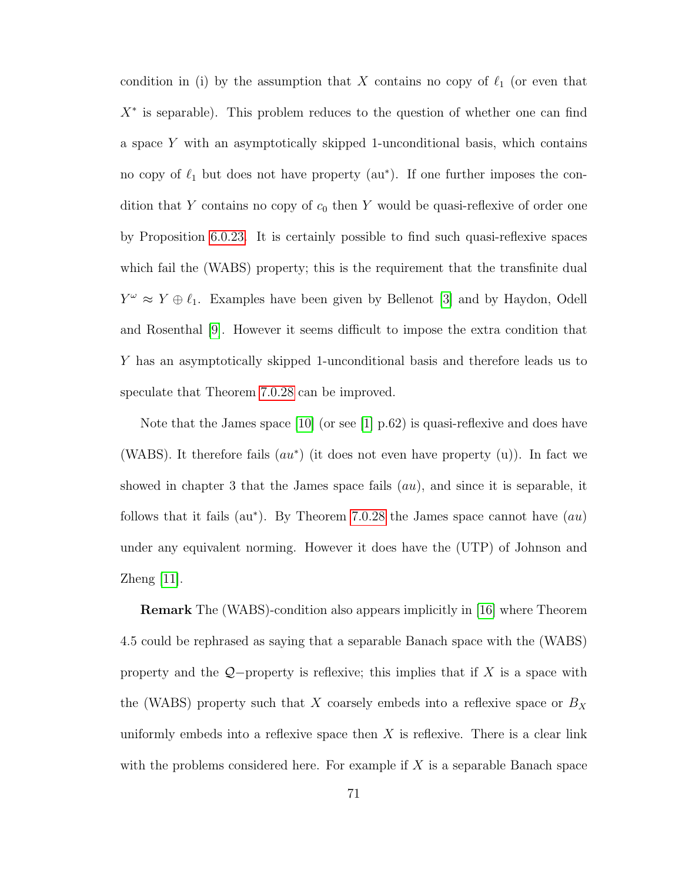condition in (i) by the assumption that X contains no copy of  $\ell_1$  (or even that  $X^*$  is separable). This problem reduces to the question of whether one can find a space Y with an asymptotically skipped 1-unconditional basis, which contains no copy of  $\ell_1$  but does not have property (au\*). If one further imposes the condition that Y contains no copy of  $c_0$  then Y would be quasi-reflexive of order one by Proposition [6.0.23.](#page-65-0) It is certainly possible to find such quasi-reflexive spaces which fail the (WABS) property; this is the requirement that the transfinite dual  $Y^{\omega} \approx Y \oplus \ell_1$ . Examples have been given by Bellenot [\[3\]](#page-78-1) and by Haydon, Odell and Rosenthal [\[9\]](#page-78-2). However it seems difficult to impose the extra condition that Y has an asymptotically skipped 1-unconditional basis and therefore leads us to speculate that Theorem [7.0.28](#page-74-0) can be improved.

Note that the James space  $[10]$  (or see  $[1]$  p.62) is quasi-reflexive and does have (WABS). It therefore fails  $(au^*)$  (it does not even have property  $(u)$ ). In fact we showed in chapter 3 that the James space fails  $(au)$ , and since it is separable, it follows that it fails ( $au^*$ ). By Theorem [7.0.28](#page-74-0) the James space cannot have  $(au)$ under any equivalent norming. However it does have the (UTP) of Johnson and Zheng [\[11\]](#page-78-4).

Remark The (WABS)-condition also appears implicitly in [\[16\]](#page-78-5) where Theorem 4.5 could be rephrased as saying that a separable Banach space with the (WABS) property and the  $Q$ −property is reflexive; this implies that if X is a space with the (WABS) property such that X coarsely embeds into a reflexive space or  $B_X$ uniformly embeds into a reflexive space then  $X$  is reflexive. There is a clear link with the problems considered here. For example if  $X$  is a separable Banach space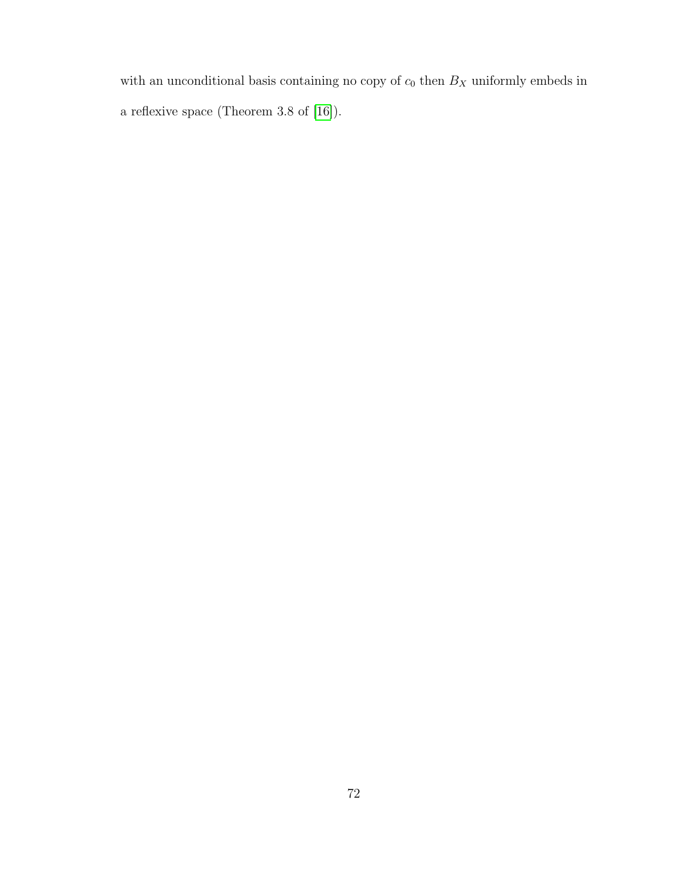with an unconditional basis containing no copy of  $c_0$  then  ${\mathcal B}_X$  uniformly embeds in a reflexive space (Theorem 3.8 of [\[16\]](#page-78-5)).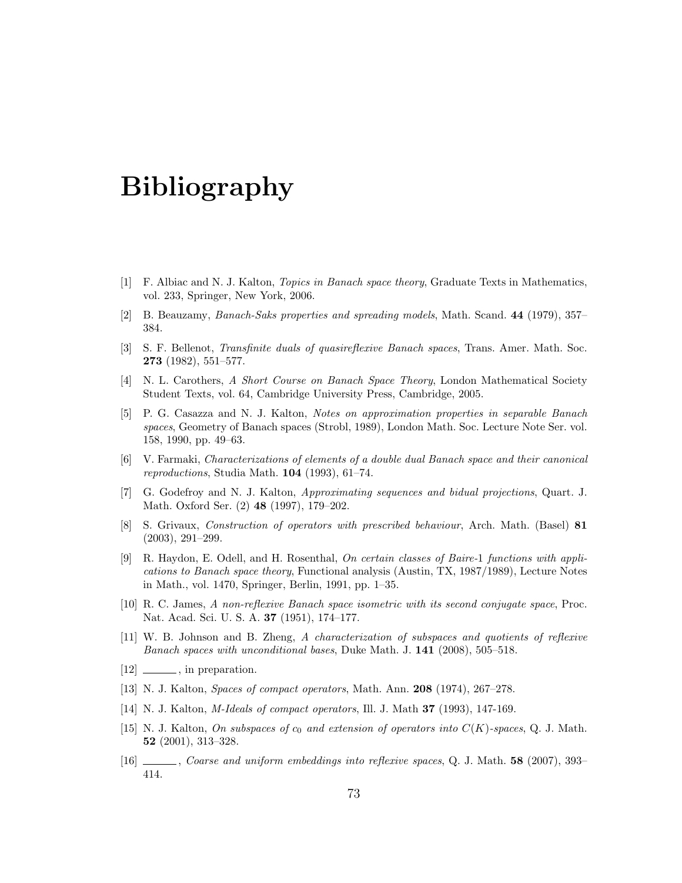## Bibliography

- <span id="page-78-0"></span>[1] F. Albiac and N. J. Kalton, Topics in Banach space theory, Graduate Texts in Mathematics, vol. 233, Springer, New York, 2006.
- [2] B. Beauzamy, Banach-Saks properties and spreading models, Math. Scand. 44 (1979), 357– 384.
- <span id="page-78-1"></span>[3] S. F. Bellenot, Transfinite duals of quasireflexive Banach spaces, Trans. Amer. Math. Soc. 273 (1982), 551–577.
- [4] N. L. Carothers, A Short Course on Banach Space Theory, London Mathematical Society Student Texts, vol. 64, Cambridge University Press, Cambridge, 2005.
- [5] P. G. Casazza and N. J. Kalton, Notes on approximation properties in separable Banach spaces, Geometry of Banach spaces (Strobl, 1989), London Math. Soc. Lecture Note Ser. vol. 158, 1990, pp. 49–63.
- [6] V. Farmaki, Characterizations of elements of a double dual Banach space and their canonical reproductions, Studia Math. 104 (1993), 61–74.
- [7] G. Godefroy and N. J. Kalton, Approximating sequences and bidual projections, Quart. J. Math. Oxford Ser. (2) 48 (1997), 179–202.
- [8] S. Grivaux, Construction of operators with prescribed behaviour, Arch. Math. (Basel) 81 (2003), 291–299.
- <span id="page-78-2"></span>[9] R. Haydon, E. Odell, and H. Rosenthal, On certain classes of Baire-1 functions with applications to Banach space theory, Functional analysis (Austin, TX, 1987/1989), Lecture Notes in Math., vol. 1470, Springer, Berlin, 1991, pp. 1–35.
- <span id="page-78-3"></span>[10] R. C. James, A non-reflexive Banach space isometric with its second conjugate space, Proc. Nat. Acad. Sci. U. S. A. 37 (1951), 174–177.
- <span id="page-78-4"></span>[11] W. B. Johnson and B. Zheng, A characterization of subspaces and quotients of reflexive Banach spaces with unconditional bases, Duke Math. J. 141 (2008), 505–518.
- $[12]$   $\_\_\_\_\$ , in preparation.
- [13] N. J. Kalton, Spaces of compact operators, Math. Ann. 208 (1974), 267–278.
- [14] N. J. Kalton, M-Ideals of compact operators, Ill. J. Math 37 (1993), 147-169.
- [15] N. J. Kalton, On subspaces of  $c_0$  and extension of operators into  $C(K)$ -spaces, Q. J. Math. 52 (2001), 313–328.
- <span id="page-78-5"></span>[16] , Coarse and uniform embeddings into reflexive spaces, Q. J. Math. 58 (2007), 393– 414.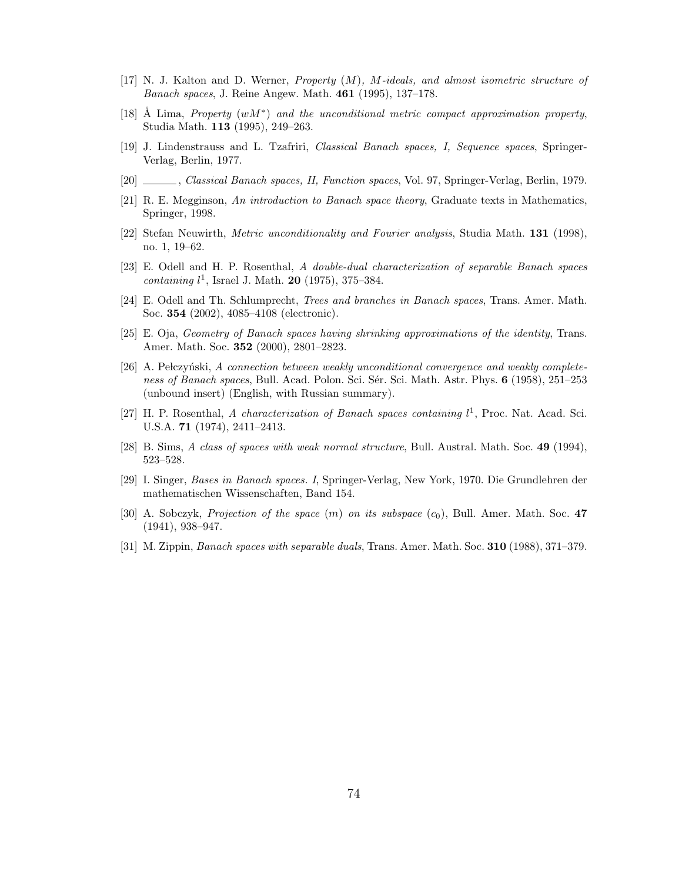- [17] N. J. Kalton and D. Werner, Property (M), M-ideals, and almost isometric structure of Banach spaces, J. Reine Angew. Math. 461 (1995), 137–178.
- [18] Å Lima, Property  $(wM^*)$  and the unconditional metric compact approximation property, Studia Math. 113 (1995), 249–263.
- [19] J. Lindenstrauss and L. Tzafriri, Classical Banach spaces, I, Sequence spaces, Springer-Verlag, Berlin, 1977.
- [20] , Classical Banach spaces, II, Function spaces, Vol. 97, Springer-Verlag, Berlin, 1979.
- [21] R. E. Megginson, An introduction to Banach space theory, Graduate texts in Mathematics, Springer, 1998.
- [22] Stefan Neuwirth, Metric unconditionality and Fourier analysis, Studia Math. 131 (1998), no. 1, 19–62.
- <span id="page-79-1"></span>[23] E. Odell and H. P. Rosenthal, A double-dual characterization of separable Banach spaces containing  $l^1$ , Israel J. Math. **20** (1975), 375-384.
- [24] E. Odell and Th. Schlumprecht, *Trees and branches in Banach spaces*, Trans. Amer. Math. Soc. 354 (2002), 4085–4108 (electronic).
- [25] E. Oja, Geometry of Banach spaces having shrinking approximations of the identity, Trans. Amer. Math. Soc. 352 (2000), 2801–2823.
- [26] A. Pełczyński, A connection between weakly unconditional convergence and weakly completeness of Banach spaces, Bull. Acad. Polon. Sci. Sér. Sci. Math. Astr. Phys. 6 (1958), 251–253 (unbound insert) (English, with Russian summary).
- [27] H. P. Rosenthal, A characterization of Banach spaces containing  $l^1$ , Proc. Nat. Acad. Sci. U.S.A. 71 (1974), 2411–2413.
- [28] B. Sims, A class of spaces with weak normal structure, Bull. Austral. Math. Soc. 49 (1994), 523–528.
- <span id="page-79-0"></span>[29] I. Singer, Bases in Banach spaces. I, Springer-Verlag, New York, 1970. Die Grundlehren der mathematischen Wissenschaften, Band 154.
- <span id="page-79-2"></span>[30] A. Sobczyk, *Projection of the space*  $(m)$  on its subspace  $(c_0)$ , Bull. Amer. Math. Soc. 47 (1941), 938–947.
- [31] M. Zippin, Banach spaces with separable duals, Trans. Amer. Math. Soc. 310 (1988), 371–379.